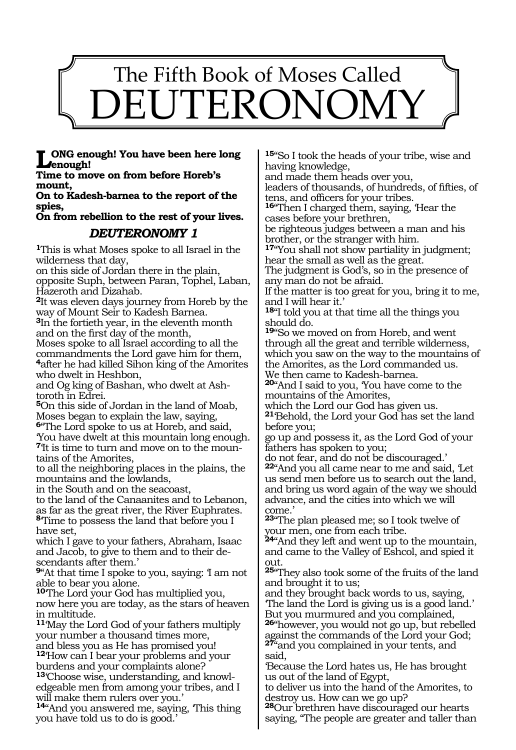# The Fifth Book of Moses Called DEUTERONOM

#### **ONG enough! You have been here long enough!**

**Time to move on from before Horeb's mount,**

#### **On to Kadesh-barnea to the report of the spies,**

**On from rebellion to the rest of your lives.** 

# *DEUTERONOMY 1*

**<sup>1</sup>**This is what Moses spoke to all Israel in the wilderness that day,

on this side of Jordan there in the plain, opposite Suph, between Paran, Tophel, Laban,

Hazeroth and Dizahab. **<sup>2</sup>**It was eleven days journey from Horeb by the way of Mount Seir to Kadesh Barnea.

**<sup>3</sup>**In the fortieth year, in the eleventh month and on the first day of the month,

Moses spoke to all Israel according to all the commandments the Lord gave him for them, <sup>4</sup>after he had killed Sihon king of the Amorites who dwelt in Heshbon,

and Og king of Bashan, who dwelt at Ashtoroth in Edrei.

**<sup>5</sup>**On this side of Jordan in the land of Moab, Moses began to explain the law, saying, **<sup>6</sup>**"The Lord spoke to us at Horeb, and said, 'You have dwelt at this mountain long enough. **7**'It is time to turn and move on to the mountains of the Amorites,

to all the neighboring places in the plains, the mountains and the lowlands,

in the South and on the seacoast,

to the land of the Canaanites and to Lebanon, as far as the great river, the River Euphrates. **<sup>8</sup>**'Time to possess the land that before you I have set,

which I gave to your fathers, Abraham, Isaac and Jacob, to give to them and to their descendants after them.'

**<sup>9</sup>**"At that time I spoke to you, saying: 'I am not able to bear you alone.

**<sup>10</sup>**'The Lord your God has multiplied you, now here you are today, as the stars of heaven in multitude.

**<sup>11</sup>**'May the Lord God of your fathers multiply your number a thousand times more, and bless you as He has promised you!

**<sup>12</sup>**'How can I bear your problems and your burdens and your complaints alone?

**13**'Choose wise, understanding, and knowledgeable men from among your tribes, and I will make them rulers over you.'

**<sup>14</sup>**"And you answered me, saying, 'This thing you have told us to do is good.'

**<sup>15</sup>**"So I took the heads of your tribe, wise and having knowledge,

and made them heads over you,

leaders of thousands, of hundreds, of fifties, of tens, and officers for your tribes.

**<sup>16</sup>**"Then I charged them, saying, 'Hear the cases before your brethren,

be righteous judges between a man and his brother, or the stranger with him.

**<sup>17</sup>**"You shall not show partiality in judgment; hear the small as well as the great.

The judgment is God's, so in the presence of any man do not be afraid.

If the matter is too great for you, bring it to me, and I will hear it.'

**<sup>18</sup>**"I told you at that time all the things you should do.

**<sup>19</sup>**"So we moved on from Horeb, and went through all the great and terrible wilderness, which you saw on the way to the mountains of the Amorites, as the Lord commanded us. We then came to Kadesh-barnea.

**<sup>20</sup>**"And I said to you, 'You have come to the mountains of the Amorites,

which the Lord our God has given us.

**<sup>21</sup>**'Behold, the Lord your God has set the land before you;

go up and possess it, as the Lord God of your fathers has spoken to you;

do not fear, and do not be discouraged.'

**<sup>22</sup>**"And you all came near to me and said, 'Let us send men before us to search out the land, and bring us word again of the way we should advance, and the cities into which we will come.'

**<sup>23</sup>**"The plan pleased me; so I took twelve of your men, one from each tribe.

**<sup>24</sup>**"And they left and went up to the mountain, and came to the Valley of Eshcol, and spied it out.

**<sup>25</sup>**"They also took some of the fruits of the land and brought it to us;

and they brought back words to us, saying, 'The land the Lord is giving us is a good land.' But you murmured and you complained,

**<sup>26</sup>**"however, you would not go up, but rebelled against the commands of the Lord your God; **<sup>27</sup>**"and you complained in your tents, and said,

'Because the Lord hates us, He has brought us out of the land of Egypt,

to deliver us into the hand of the Amorites, to destroy us. How can we go up?

**<sup>28</sup>**Our brethren have discouraged our hearts saying, "The people are greater and taller than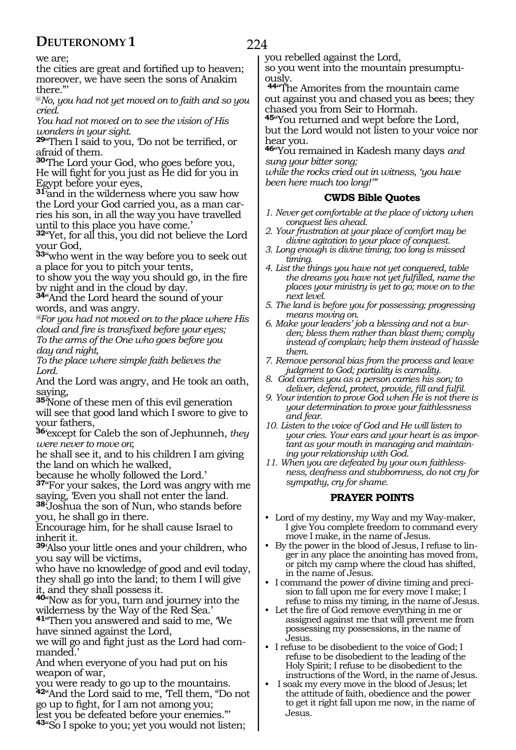we are;

the cities are great and fortified up to heaven; moreover, we have seen the sons of Anakim there."'

@*No, you had not yet moved on to faith and so you cried.*

*You had not moved on to see the vision of His wonders in your sight.*

**<sup>29</sup>**"Then I said to you, 'Do not be terrified, or afraid of them.

**<sup>30</sup>**'The Lord your God, who goes before you, He will fight for you just as He did for you in Egypt before your eyes,

**31<sup>°</sup>and in the wilderness where you saw how<br>the Lord your God carried you, as a man car**ries his son, in all the way you have travelled until to this place you have come.'

**<sup>32</sup>**"Yet, for all this, you did not believe the Lord your God,

**<sup>33</sup>**"who went in the way before you to seek out a place for you to pitch your tents,

to show you the way you should go, in the fire by night and in the cloud by day.

**<sup>34</sup>**"And the Lord heard the sound of your words, and was angry.

*@For you had not moved on to the place where His cloud and fire is transfixed before your eyes; To the arms of the One who goes before you day and night,*

*To the place where simple faith believes the Lord.*

And the Lord was angry, and He took an oath, saying,

**<sup>35</sup>**'None of these men of this evil generation will see that good land which I swore to give to your fathers,

**<sup>36</sup>**'except for Caleb the son of Jephunneh, *they were never to move on*;

he shall see it, and to his children I am giving the land on which he walked,

because he wholly followed the Lord.'

**<sup>37</sup>**"For your sakes, the Lord was angry with me saying, 'Even you shall not enter the land.

**<sup>38</sup>**'Joshua the son of Nun, who stands before you, he shall go in there.

Encourage him, for he shall cause Israel to inherit it.

**<sup>39</sup>**'Also your little ones and your children, who you say will be victims,

who have no knowledge of good and evil today, they shall go into the land; to them I will give it, and they shall possess it.

**<sup>40</sup>**"Now as for you, turn and journey into the wilderness by the Way of the Red Sea.'

**<sup>41</sup>**"Then you answered and said to me, 'We have sinned against the Lord,

we will go and fight just as the Lord had commanded.'

And when everyone of you had put on his weapon of war,

you were ready to go up to the mountains. **<sup>42</sup>**"And the Lord said to me, 'Tell them, "Do not go up to fight, for I am not among you; lest you be defeated before your enemies."'

**<sup>43</sup>**"So I spoke to you; yet you would not listen;

you rebelled against the Lord,

so you went into the mountain presumptuously.

**<sup>44</sup>**"The Amorites from the mountain came out against you and chased you as bees; they chased you from Seir to Hormah.

**<sup>45</sup>**"You returned and wept before the Lord, but the Lord would not listen to your voice nor hear you.

**<sup>46</sup>**"You remained in Kadesh many days *and sung your bitter song;* 

*while the rocks cried out in witness, 'you have been here much too long!'"*

#### **CWDS Bible Quotes**

- *1. Never get comfortable at the place of victory when conquest lies ahead.*
- *2. Your frustration at your place of comfort may be divine agitation to your place of conquest.*
- *3. Long enough is divine timing; too long is missed timing.*
- *4. List the things you have not yet conquered, table the dreams you have not yet fulfilled, name the places your ministry is yet to go; move on to the next level.*
- *5. The land is before you for possessing; progressing means moving on.*
- *6. Make your leaders' job a blessing and not a burden; bless them rather than blast them; comply instead of complain; help them instead of hassle them.*
- *7. Remove personal bias from the process and leave judgment to God; partiality is carnality.*
- *8. God carries you as a person carries his son; to deliver, defend, protect, provide, fill and fulfil.*
- *9. Your intention to prove God when He is not there is your determination to prove your faithlessness and fear.*
- *10. Listen to the voice of God and He will listen to your cries. Your ears and your heart is as important as your mouth in managing and maintaining your relationship with God.*
- *11. When you are defeated by your own faithlessness, deafness and stubbornness, do not cry for sympathy, cry for shame.*

#### **PRAYER POINTS**

- Lord of my destiny, my Way and my Way-maker, I give You complete freedom to command every move I make, in the name of Jesus.
- By the power in the blood of Jesus, I refuse to linger in any place the anointing has moved from, or pitch my camp where the cloud has shifted, in the name of Jesus.
- I command the power of divine timing and precision to fall upon me for every move I make; I refuse to miss my timing, in the name of Jesus.
- Let the fire of God remove everything in me or assigned against me that will prevent me from possessing my possessions, in the name of Jesus.
- I refuse to be disobedient to the voice of God; I refuse to be disobedient to the leading of the Holy Spirit; I refuse to be disobedient to the instructions of the Word, in the name of Jesus.
- I soak my every move in the blood of Jesus; let the attitude of faith, obedience and the power to get it right fall upon me now, in the name of Jesus.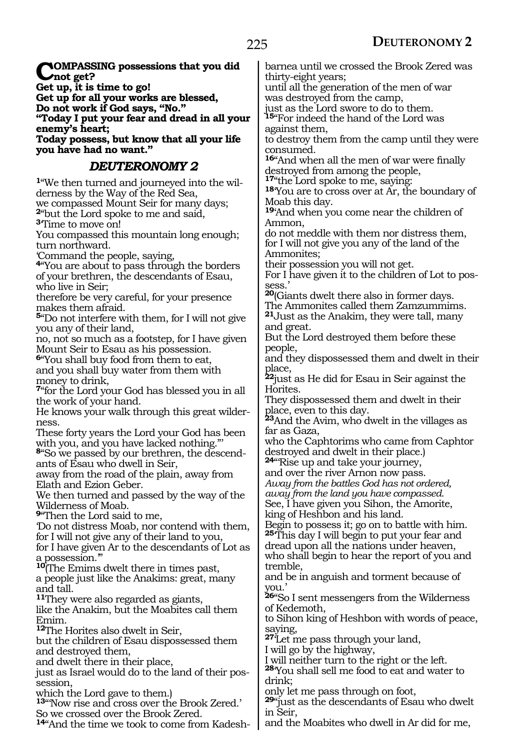**COMPASSING possessions that you did not get? Get up, it is time to go! Get up for all your works are blessed, Do not work if God says, "No." "Today I put your fear and dread in all your enemy's heart; Today possess, but know that all your life you have had no want."** *DEUTERONOMY 2* **1**"We then turned and journeyed into the wilderness by the Way of the Red Sea, we compassed Mount Seir for many days; **<sup>2</sup>**"but the Lord spoke to me and said, **<sup>3</sup>**'Time to move on! You compassed this mountain long enough; turn northward. 'Command the people, saying, **<sup>4</sup>**"You are about to pass through the borders of your brethren, the descendants of Esau, who live in Seir; therefore be very careful, for your presence makes them afraid. **<sup>5</sup>**"Do not interfere with them, for I will not give you any of their land, no, not so much as a footstep, for I have given Mount Seir to Esau as his possession. **<sup>6</sup>**"You shall buy food from them to eat, and you shall buy water from them with money to drink, **<sup>7</sup>**"for the Lord your God has blessed you in all the work of your hand. He knows your walk through this great wilderness. These forty years the Lord your God has been with you, and you have lacked nothing."' **8**"So we passed by our brethren, the descendants of Esau who dwell in Seir, away from the road of the plain, away from Elath and Ezion Geber. We then turned and passed by the way of the Wilderness of Moab. **<sup>9</sup>**"Then the Lord said to me, 'Do not distress Moab, nor contend with them, for I will not give any of their land to you, for I have given Ar to the descendants of Lot as a possession.'" **<sup>10</sup>**(The Emims dwelt there in times past, a people just like the Anakims: great, many and tall. **<sup>11</sup>**They were also regarded as giants, like the Anakim, but the Moabites call them Emim. **<sup>12</sup>**The Horites also dwelt in Seir, but the children of Esau dispossessed them and destroyed them, and dwelt there in their place, just as Israel would do to the land of their possession, which the Lord gave to them.) **<sup>13</sup>**"'Now rise and cross over the Brook Zered.' So we crossed over the Brook Zered. barnea until we crossed the Brook Zered was thirty-eight years; until all the generation of the men of war was destroyed from the camp, just as the Lord swore to do to them. **<sup>15</sup>**"For indeed the hand of the Lord was against them, to destroy them from the camp until they were consumed. **<sup>16</sup>**"And when all the men of war were finally destroyed from among the people,<br><sup>17</sup>"the Lord spoke to me, saying: **18**You are to cross over at Ar, the boundary of Moab this day. **<sup>19</sup>**'And when you come near the children of Ammon, do not meddle with them nor distress them, for I will not give you any of the land of the Ammonites; their possession you will not get. For I have given it to the children of Lot to possess.' **<sup>20</sup>**(Giants dwelt there also in former days. The Ammonites called them Zamzummims. **<sup>21</sup>**Just as the Anakim, they were tall, many and great. But the Lord destroyed them before these people, and they dispossessed them and dwelt in their place, **<sup>22</sup>**just as He did for Esau in Seir against the Horites. They dispossessed them and dwelt in their place, even to this day. **<sup>23</sup>**And the Avim, who dwelt in the villages as far as Gaza, who the Caphtorims who came from Caphtor destroyed and dwelt in their place.) **24**"Rise up and take your journey, and over the river Arnon now pass. *Away from the battles God has not ordered, away from the land you have compassed.* See, I have given you Sihon, the Amorite, king of Heshbon and his land. Begin to possess it; go on to battle with him. **<sup>25</sup>**'This day I will begin to put your fear and dread upon all the nations under heaven, who shall begin to hear the report of you and tremble, and be in anguish and torment because of you.' **<sup>26</sup>**"So I sent messengers from the Wilderness of Kedemoth, to Sihon king of Heshbon with words of peace, saying, **<sup>27</sup>**'Let me pass through your land, I will go by the highway, I will neither turn to the right or the left. **<sup>28</sup>**'You shall sell me food to eat and water to drink; only let me pass through on foot, **<sup>29</sup>**"just as the descendants of Esau who dwelt in Seir,

**14**"And the time we took to come from Kadesh-

and the Moabites who dwell in Ar did for me,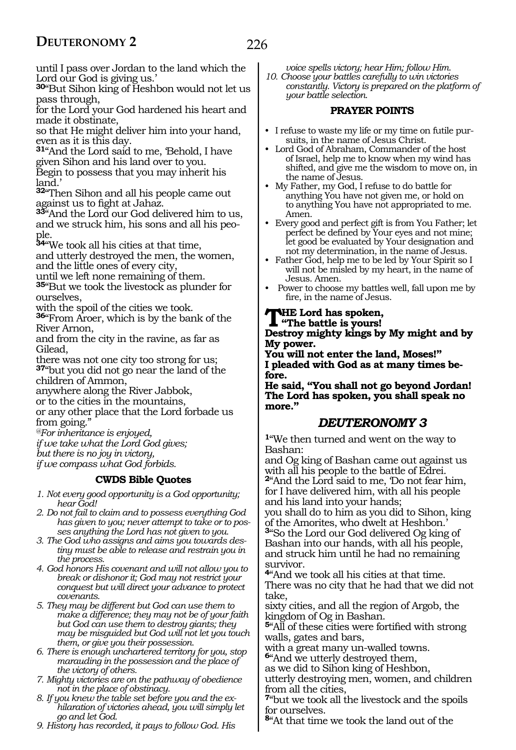until I pass over Jordan to the land which the Lord our God is giving us.'

**<sup>30</sup>**"But Sihon king of Heshbon would not let us pass through,

for the Lord your God hardened his heart and made it obstinate,

so that He might deliver him into your hand, even as it is this day.

**<sup>31</sup>**"And the Lord said to me, 'Behold, I have given Sihon and his land over to you. Begin to possess that you may inherit his land.'

**<sup>32</sup>**"Then Sihon and all his people came out against us to fight at Jahaz.

**<sup>33</sup>**"And the Lord our God delivered him to us, and we struck him, his sons and all his people.

**<sup>34</sup>**"We took all his cities at that time,

and utterly destroyed the men, the women, and the little ones of every city,

until we left none remaining of them.

**<sup>35</sup>**"But we took the livestock as plunder for ourselves,

with the spoil of the cities we took.

**<sup>36</sup>**"From Aroer, which is by the bank of the River Arnon,

and from the city in the ravine, as far as Gilead,

there was not one city too strong for us; **<sup>37</sup>**"but you did not go near the land of the children of Ammon,

anywhere along the River Jabbok,

or to the cities in the mountains,

or any other place that the Lord forbade us from going."

*@For inheritance is enjoyed,*

*if we take what the Lord God gives; but there is no joy in victory,*

*if we compass what God forbids.* 

#### **CWDS Bible Quotes**

- *1. Not every good opportunity is a God opportunity; hear God!*
- *2. Do not fail to claim and to possess everything God has given to you; never attempt to take or to posses anything the Lord has not given to you.*
- *3. The God who assigns and aims you towards destiny must be able to release and restrain you in the process.*
- *4. God honors His covenant and will not allow you to break or dishonor it; God may not restrict your conquest but will direct your advance to protect covenants.*
- *5. They may be different but God can use them to make a difference; they may not be of your faith but God can use them to destroy giants; they may be misguided but God will not let you touch them, or give you their possession.*
- *6. There is enough unchartered territory for you, stop marauding in the possession and the place of the victory of others.*
- *7. Mighty victories are on the pathway of obedience not in the place of obstinacy.*
- *8. If you knew the table set before you and the exhilaration of victories ahead, you will simply let go and let God.*
- *9. History has recorded, it pays to follow God. His*

*voice spells victory; hear Him; follow Him.*

*10. Choose your battles carefully to win victories constantly. Victory is prepared on the platform of your battle selection.*

#### **PRAYER POINTS**

- I refuse to waste my life or my time on futile pursuits, in the name of Jesus Christ.
- Lord God of Abraham, Commander of the host of Israel, help me to know when my wind has shifted, and give me the wisdom to move on, in the name of Jesus.
- My Father, my God, I refuse to do battle for anything You have not given me, or hold on to anything You have not appropriated to me. Amen.
- Every good and perfect gift is from You Father; let perfect be defined by Your eyes and not mine; let good be evaluated by Your designation and not my determination, in the name of Jesus.
- Father God, help me to be led by Your Spirit so I will not be misled by my heart, in the name of Jesus. Amen.
- Power to choose my battles well, fall upon me by fire, in the name of Jesus.

**THE Lord has spoken,**<br> **The battle is yours!**<br> **Dostney mighty lines by** 

**Destroy mighty kings by My might and by My power.**

**You will not enter the land, Moses!" I pleaded with God as at many times before.**

**He said, "You shall not go beyond Jordan! The Lord has spoken, you shall speak no more."**

### *DEUTERONOMY 3*

**<sup>1</sup>**"We then turned and went on the way to Bashan:

and Og king of Bashan came out against us with all his people to the battle of Edrei. **<sup>2</sup>**"And the Lord said to me, 'Do not fear him, for I have delivered him, with all his people

and his land into your hands; you shall do to him as you did to Sihon, king of the Amorites, who dwelt at Heshbon.' **<sup>3</sup>**"So the Lord our God delivered Og king of Bashan into our hands, with all his people, and struck him until he had no remaining survivor.

**<sup>4</sup>**"And we took all his cities at that time. There was no city that he had that we did not take,

sixty cities, and all the region of Argob, the kingdom of Og in Bashan.

**<sup>5</sup>**"All of these cities were fortified with strong walls, gates and bars,

with a great many un-walled towns.

**<sup>6</sup>**"And we utterly destroyed them,

as we did to Sihon king of Heshbon, utterly destroying men, women, and children from all the cities,

**<sup>7</sup>**"but we took all the livestock and the spoils for ourselves.

**<sup>8</sup>**"At that time we took the land out of the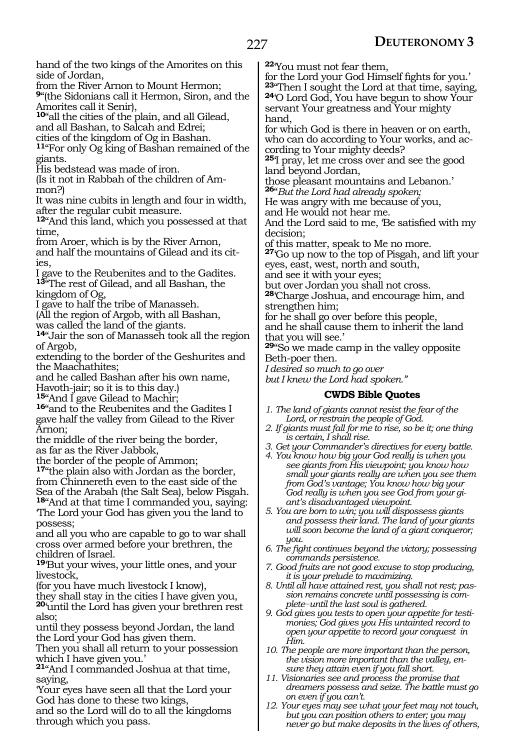hand of the two kings of the Amorites on this side of Jordan,

from the River Arnon to Mount Hermon;

**<sup>9</sup>**"(the Sidonians call it Hermon, Siron, and the Amorites call it Senir),

**<sup>10</sup>**"all the cities of the plain, and all Gilead, and all Bashan, to Salcah and Edrei;

cities of the kingdom of Og in Bashan.

**<sup>11</sup>**"For only Og king of Bashan remained of the giants.

His bedstead was made of iron.

(Is it not in Rabbah of the children of Ammon?)

It was nine cubits in length and four in width, after the regular cubit measure.

**<sup>12</sup>**"And this land, which you possessed at that time,

from Aroer, which is by the River Arnon, and half the mountains of Gilead and its cities,

I gave to the Reubenites and to the Gadites. **<sup>13</sup>**"The rest of Gilead, and all Bashan, the kingdom of Og,

I gave to half the tribe of Manasseh.

(All the region of Argob, with all Bashan,

was called the land of the giants.

**<sup>14</sup>**"Jair the son of Manasseh took all the region of Argob,

extending to the border of the Geshurites and the Maachathites;

and he called Bashan after his own name,

Havoth-jair; so it is to this day.)<br><sup>15</sup>"And I gave Gilead to Machir;

16<sup>"</sup>and to the Reubenites and the Gadites I gave half the valley from Gilead to the River Arnon;

the middle of the river being the border, as far as the River Jabbok,

the border of the people of Ammon;

**<sup>17</sup>**"the plain also with Jordan as the border, from Chinnereth even to the east side of the Sea of the Arabah (the Salt Sea), below Pisgah.

**<sup>18</sup>**"And at that time I commanded you, saying: 'The Lord your God has given you the land to

possess; and all you who are capable to go to war shall cross over armed before your brethren, the children of Israel.

**<sup>19</sup>**'But your wives, your little ones, and your livestock,

(for you have much livestock I know),

they shall stay in the cities I have given you, **<sup>20</sup>**'until the Lord has given your brethren rest also;

until they possess beyond Jordan, the land the Lord your God has given them.

Then you shall all return to your possession which I have given you.'

**<sup>21</sup>**"And I commanded Joshua at that time, saying,

'Your eyes have seen all that the Lord your God has done to these two kings,

and so the Lord will do to all the kingdoms through which you pass.

**<sup>22</sup>**'You must not fear them,

for the Lord your God Himself fights for you.' **<sup>23</sup>**"Then I sought the Lord at that time, saying, **24**'O Lord God, You have begun to show Your servant Your greatness and Your mighty hand,

for which God is there in heaven or on earth, who can do according to Your works, and according to Your mighty deeds?

**<sup>25</sup>**'I pray, let me cross over and see the good land beyond Jordan,

those pleasant mountains and Lebanon.' **<sup>26</sup>**"*But the Lord had already spoken;*

He was angry with me because of you,

and He would not hear me.

And the Lord said to me, 'Be satisfied with my decision;

of this matter, speak to Me no more.

**<sup>27</sup>**'Go up now to the top of Pisgah, and lift your eyes, east, west, north and south,

and see it with your eyes;

but over Jordan you shall not cross.

**<sup>28</sup>**'Charge Joshua, and encourage him, and strengthen him;

for he shall go over before this people,

and he shall cause them to inherit the land that you will see.'

**<sup>29</sup>**"So we made camp in the valley opposite Beth-poer then.

*I desired so much to go over*

*but I knew the Lord had spoken."*

#### **CWDS Bible Quotes**

- *1. The land of giants cannot resist the fear of the Lord, or restrain the people of God.*
- *2. If giants must fall for me to rise, so be it; one thing is certain, I shall rise.*
- *3. Get your Commander's directives for every battle.*
- *4. You know how big your God really is when you see giants from His viewpoint; you know how small your giants really are when you see them from God's vantage; You know how big your God really is when you see God from your giant's disadvantaged viewpoint.*
- *5. You are born to win; you will dispossess giants and possess their land. The land of your giants will soon become the land of a giant conqueror; you.*
- *6. The fight continues beyond the victory; possessing commands persistence.*
- *7. Good fruits are not good excuse to stop producing, it is your prelude to maximizing.*
- *8. Until all have attained rest, you shall not rest; passion remains concrete until possessing is complete\_\_until the last soul is gathered.*
- *9. God gives you tests to open your appetite for testimonies; God gives you His untainted record to open your appetite to record your conquest in Him.*
- *10. The people are more important than the person, the vision more important than the valley, ensure they attain even if you fall short.*
- *11. Visionaries see and process the promise that dreamers possess and seize. The battle must go on even if you can't.*
- *12. Your eyes may see what your feet may not touch, but you can position others to enter; you may never go but make deposits in the lives of others,*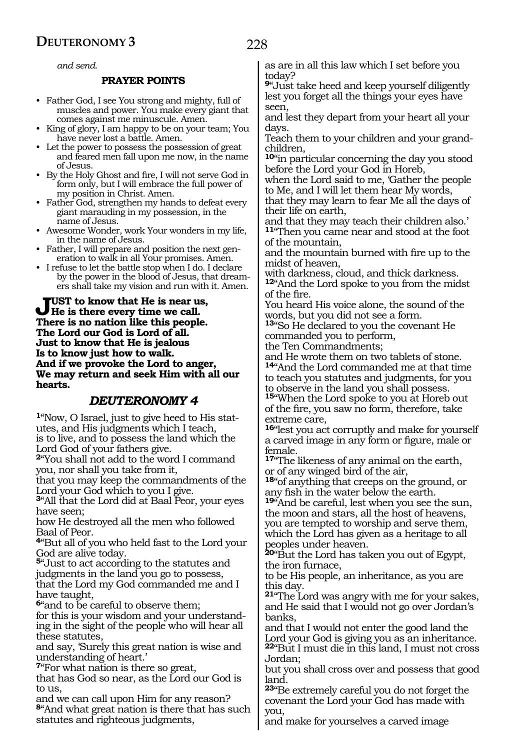*and send.*

#### **PRAYER POINTS**

- Father God, I see You strong and mighty, full of muscles and power. You make every giant that comes against me minuscule. Amen.
- King of glory, I am happy to be on your team; You have never lost a battle. Amen.
- Let the power to possess the possession of great and feared men fall upon me now, in the name of Jesus.
- By the Holy Ghost and fire, I will not serve God in form only, but I will embrace the full power of my position in Christ. Amen.
- Father God, strengthen my hands to defeat every giant marauding in my possession, in the name of Jesus.
- Awesome Wonder, work Your wonders in my life, in the name of Jesus.
- Father, I will prepare and position the next generation to walk in all Your promises. Amen.
- I refuse to let the battle stop when I do. I declare by the power in the blood of Jesus, that dreamers shall take my vision and run with it. Amen.

**Just to know that He is near us, He is there every time we call. There is no nation like this people. The Lord our God is Lord of all. Just to know that He is jealous Is to know just how to walk. And if we provoke the Lord to anger, We may return and seek Him with all our hearts.**

#### *DEUTERONOMY 4*

**1**"Now, O Israel, just to give heed to His statutes, and His judgments which I teach, is to live, and to possess the land which the Lord God of your fathers give.

**<sup>2</sup>**"You shall not add to the word I command you, nor shall you take from it,

that you may keep the commandments of the Lord your God which to you I give.

**<sup>3</sup>**"All that the Lord did at Baal Peor, your eyes have seen;

how He destroyed all the men who followed Baal of Peor.

**<sup>4</sup>**"But all of you who held fast to the Lord your God are alive today.

**<sup>5</sup>**"Just to act according to the statutes and judgments in the land you go to possess, that the Lord my God commanded me and I have taught,

**<sup>6</sup>**"and to be careful to observe them; for this is your wisdom and your understanding in the sight of the people who will hear all these statutes,

and say, 'Surely this great nation is wise and understanding of heart.'

**<sup>7</sup>**"For what nation is there so great,

that has God so near, as the Lord our God is to us,

and we can call upon Him for any reason? **<sup>8</sup>**"And what great nation is there that has such statutes and righteous judgments,

as are in all this law which I set before you today?

**<sup>9</sup>**"Just take heed and keep yourself diligently lest you forget all the things your eyes have seen,

and lest they depart from your heart all your days.

Teach them to your children and your grandchildren,

**<sup>10</sup>**"in particular concerning the day you stood before the Lord your God in Horeb,

when the Lord said to me, 'Gather the people to Me, and I will let them hear My words,

that they may learn to fear Me all the days of their life on earth,

and that they may teach their children also.' **<sup>11</sup>**"Then you came near and stood at the foot of the mountain,

and the mountain burned with fire up to the midst of heaven,

with darkness, cloud, and thick darkness.

**<sup>12</sup>**"And the Lord spoke to you from the midst of the fire.

You heard His voice alone, the sound of the words, but you did not see a form.

**<sup>13</sup>**"So He declared to you the covenant He commanded you to perform,

the Ten Commandments;

and He wrote them on two tablets of stone. **<sup>14</sup>**"And the Lord commanded me at that time to teach you statutes and judgments, for you to observe in the land you shall possess. **<sup>15</sup>**"When the Lord spoke to you at Horeb out of the fire, you saw no form, therefore, take extreme care,

**<sup>16</sup>**"lest you act corruptly and make for yourself a carved image in any form or figure, male or female.

**<sup>17</sup>**"The likeness of any animal on the earth, or of any winged bird of the air,

**<sup>18</sup>**"of anything that creeps on the ground, or any fish in the water below the earth.

**<sup>19</sup>**"And be careful, lest when you see the sun, the moon and stars, all the host of heavens, you are tempted to worship and serve them, which the Lord has given as a heritage to all peoples under heaven.

**<sup>20</sup>**"But the Lord has taken you out of Egypt, the iron furnace,

to be His people, an inheritance, as you are this day.

**<sup>21</sup>**"The Lord was angry with me for your sakes, and He said that I would not go over Jordan's banks,

and that I would not enter the good land the Lord your God is giving you as an inheritance. **<sup>22</sup>**"But I must die in this land, I must not cross Jordan;

but you shall cross over and possess that good land.

**<sup>23</sup>**"Be extremely careful you do not forget the covenant the Lord your God has made with you,

and make for yourselves a carved image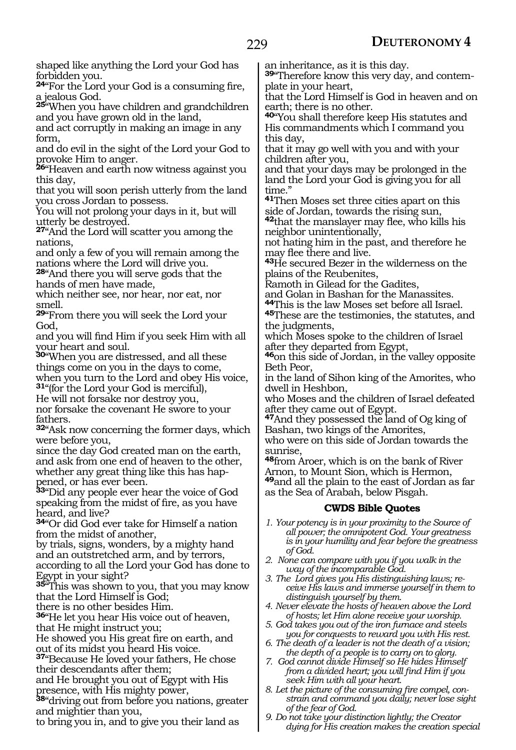229

shaped like anything the Lord your God has forbidden you.

**<sup>24</sup>**"For the Lord your God is a consuming fire, a jealous God.

**<sup>25</sup>**"When you have children and grandchildren and you have grown old in the land,

and act corruptly in making an image in any form,

and do evil in the sight of the Lord your God to provoke Him to anger.

**<sup>26</sup>**"Heaven and earth now witness against you this day,

that you will soon perish utterly from the land you cross Jordan to possess.

You will not prolong your days in it, but will utterly be destroyed.

**<sup>27</sup>**"And the Lord will scatter you among the nations,

and only a few of you will remain among the nations where the Lord will drive you.

**<sup>28</sup>**"And there you will serve gods that the hands of men have made,

which neither see, nor hear, nor eat, nor smell.

**<sup>29</sup>**"From there you will seek the Lord your God,

and you will find Him if you seek Him with all your heart and soul.

**<sup>30</sup>**"When you are distressed, and all these things come on you in the days to come, when you turn to the Lord and obey His voice,

**<sup>31</sup>**"(for the Lord your God is merciful), He will not forsake nor destroy you,

nor forsake the covenant He swore to your fathers.

**<sup>32</sup>**"Ask now concerning the former days, which were before you,

since the day God created man on the earth, and ask from one end of heaven to the other, whether any great thing like this has happened, or has ever been.

**<sup>33</sup>**"Did any people ever hear the voice of God speaking from the midst of fire, as you have heard, and live?

**<sup>34</sup>**"Or did God ever take for Himself a nation from the midst of another,

by trials, signs, wonders, by a mighty hand and an outstretched arm, and by terrors, according to all the Lord your God has done to

Egypt in your sight?

**<sup>35</sup>**"This was shown to you, that you may know that the Lord Himself is God;

there is no other besides Him.

**<sup>36</sup>**"He let you hear His voice out of heaven, that He might instruct you;

He showed you His great fire on earth, and out of its midst you heard His voice.

**<sup>37</sup>**"Because He loved your fathers, He chose their descendants after them;

and He brought you out of Egypt with His presence, with His mighty power,

**<sup>38</sup>**"driving out from before you nations, greater and mightier than you,

to bring you in, and to give you their land as

an inheritance, as it is this day.

**39**"Therefore know this very day, and contemplate in your heart,

that the Lord Himself is God in heaven and on earth; there is no other.

**<sup>40</sup>**"You shall therefore keep His statutes and His commandments which I command you this day,

that it may go well with you and with your children after you,

and that your days may be prolonged in the land the Lord your God is giving you for all time."

**<sup>41</sup>**Then Moses set three cities apart on this side of Jordan, towards the rising sun,

**<sup>42</sup>**that the manslayer may flee, who kills his neighbor unintentionally,

not hating him in the past, and therefore he may flee there and live.

**<sup>43</sup>**He secured Bezer in the wilderness on the plains of the Reubenites,

Ramoth in Gilead for the Gadites,

and Golan in Bashan for the Manassites.

**<sup>44</sup>**This is the law Moses set before all Israel. **<sup>45</sup>**These are the testimonies, the statutes, and the judgments,

which Moses spoke to the children of Israel after they departed from Egypt,

**<sup>46</sup>**on this side of Jordan, in the valley opposite Beth Peor,

in the land of Sihon king of the Amorites, who dwell in Heshbon,

who Moses and the children of Israel defeated after they came out of Egypt.

**<sup>47</sup>**And they possessed the land of Og king of Bashan, two kings of the Amorites,

who were on this side of Jordan towards the sunrise,

**<sup>48</sup>**from Aroer, which is on the bank of River Arnon, to Mount Sion, which is Hermon, **<sup>49</sup>**and all the plain to the east of Jordan as far as the Sea of Arabah, below Pisgah.

#### **CWDS Bible Quotes**

- *1. Your potency is in your proximity to the Source of all power; the omnipotent God. Your greatness is in your humility and fear before the greatness of God.*
- *2. None can compare with you if you walk in the way of the incomparable God.*
- *3. The Lord gives you His distinguishing laws; receive His laws and immerse yourself in them to distinguish yourself by them.*
- *4. Never elevate the hosts of heaven above the Lord of hosts; let Him alone receive your worship.*
- *5. God takes you out of the iron furnace and steels you for conquests to reward you with His rest.*
- *6. The death of a leader is not the death of a vision; the depth of a people is to carry on to glory.*
- *7. God cannot divide Himself so He hides Himself from a divided heart; you will find Him if you seek Him with all your heart.*
- *8. Let the picture of the consuming fire compel, constrain and command you daily; never lose sight of the fear of God.*
- *9. Do not take your distinction lightly; the Creator dying for His creation makes the creation special*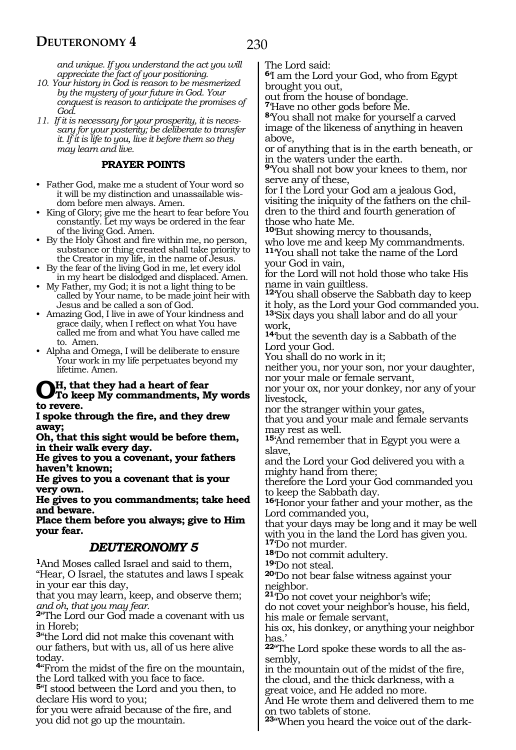*and unique. If you understand the act you will appreciate the fact of your positioning.*

- *10. Your history in God is reason to be mesmerized by the mystery of your future in God. Your conquest is reason to anticipate the promises of God.*
- *11. If it is necessary for your prosperity, it is necessary for your posterity; be deliberate to transfer it. If it is life to you, live it before them so they may learn and live.*

#### **PRAYER POINTS**

- Father God, make me a student of Your word so it will be my distinction and unassailable wisdom before men always. Amen.
- King of Glory; give me the heart to fear before You constantly. Let my ways be ordered in the fear of the living God. Amen.
- By the Holy Ghost and fire within me, no person, substance or thing created shall take priority to the Creator in my life, in the name of Jesus.
- By the fear of the living God in me, let every idol in my heart be dislodged and displaced. Amen.
- My Father, my God; it is not a light thing to be called by Your name, to be made joint heir with Jesus and be called a son of God.
- Amazing God, I live in awe of Your kindness and grace daily, when I reflect on what You have called me from and what You have called me to. Amen.
- Alpha and Omega, I will be deliberate to ensure Your work in my life perpetuates beyond my lifetime. Amen.

# **Oh, that they had a heart of fear To keep My commandments, My words to revere.**

**I spoke through the fire, and they drew away;**

**Oh, that this sight would be before them, in their walk every day.**

**He gives to you a covenant, your fathers haven't known;**

**He gives to you a covenant that is your very own.**

**He gives to you commandments; take heed and beware.**

**Place them before you always; give to Him your fear.**

### *DEUTERONOMY 5*

**<sup>1</sup>**And Moses called Israel and said to them, "Hear, O Israel, the statutes and laws I speak in your ear this day,

that you may learn, keep, and observe them; *and oh, that you may fear.*

**<sup>2</sup>**"The Lord our God made a covenant with us in Horeb;

**<sup>3</sup>**"the Lord did not make this covenant with our fathers, but with us, all of us here alive today.

**<sup>4</sup>**"From the midst of the fire on the mountain, the Lord talked with you face to face.

**<sup>5</sup>**"I stood between the Lord and you then, to declare His word to you;

for you were afraid because of the fire, and you did not go up the mountain.

The Lord said:

**<sup>6</sup>**'I am the Lord your God, who from Egypt brought you out,

out from the house of bondage.

**<sup>7</sup>**'Have no other gods before Me.

**<sup>8</sup>**'You shall not make for yourself a carved image of the likeness of anything in heaven above,

or of anything that is in the earth beneath, or in the waters under the earth.

**<sup>9</sup>**'You shall not bow your knees to them, nor serve any of these,

for I the Lord your God am a jealous God, visiting the iniquity of the fathers on the children to the third and fourth generation of those who hate Me.

**<sup>10</sup>**'But showing mercy to thousands, who love me and keep My commandments. **<sup>11</sup>**'You shall not take the name of the Lord your God in vain,

for the Lord will not hold those who take His name in vain guiltless.

**<sup>12</sup>**'You shall observe the Sabbath day to keep it holy, as the Lord your God commanded you. **<sup>13</sup>**'Six days you shall labor and do all your work,

**<sup>14</sup>**'but the seventh day is a Sabbath of the Lord your God.

You shall do no work in it;

neither you, nor your son, nor your daughter, nor your male or female servant,

nor your ox, nor your donkey, nor any of your livestock,

nor the stranger within your gates,

that you and your male and female servants may rest as well.

**<sup>15</sup>**'And remember that in Egypt you were a slave,

and the Lord your God delivered you with a mighty hand from there;

therefore the Lord your God commanded you to keep the Sabbath day.

**<sup>16</sup>**'Honor your father and your mother, as the Lord commanded you,

that your days may be long and it may be well with you in the land the Lord has given you. **<sup>17</sup>**'Do not murder.

**<sup>18</sup>**'Do not commit adultery. **<sup>19</sup>**'Do not steal.

**<sup>20</sup>**'Do not bear false witness against your neighbor.

**<sup>21</sup>**'Do not covet your neighbor's wife;

do not covet your neighbor's house, his field, his male or female servant,

his ox, his donkey, or anything your neighbor has.'

**22**"The Lord spoke these words to all the assembly,

in the mountain out of the midst of the fire, the cloud, and the thick darkness, with a great voice, and He added no more.

And He wrote them and delivered them to me on two tablets of stone.

**23**"When you heard the voice out of the dark-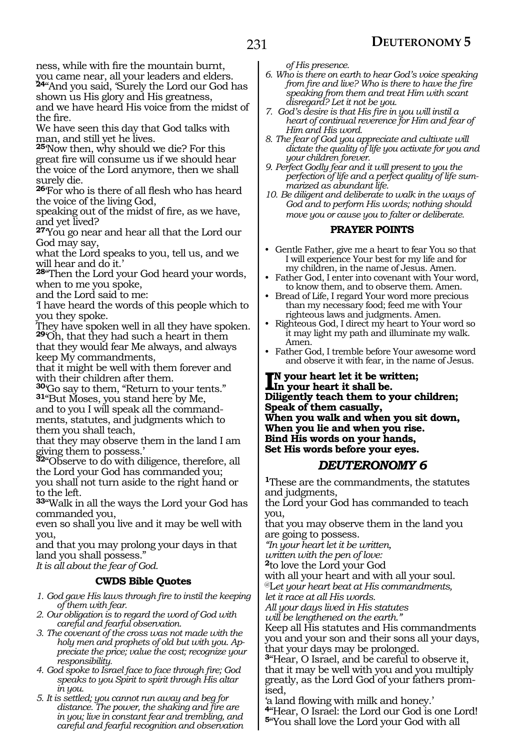ness, while with fire the mountain burnt, you came near, all your leaders and elders.

**<sup>24</sup>**"And you said, 'Surely the Lord our God has shown us His glory and His greatness,

and we have heard His voice from the midst of the fire.

We have seen this day that God talks with man, and still yet he lives.

**<sup>25</sup>**'Now then, why should we die? For this great fire will consume us if we should hear the voice of the Lord anymore, then we shall surely die.

**<sup>26</sup>**'For who is there of all flesh who has heard the voice of the living God,

speaking out of the midst of fire, as we have, and yet lived?

**<sup>27</sup>**'You go near and hear all that the Lord our God may say,

what the Lord speaks to you, tell us, and we will hear and do it.'

**<sup>28</sup>**"Then the Lord your God heard your words, when to me you spoke,

and the Lord said to me:

'I have heard the words of this people which to you they spoke.

They have spoken well in all they have spoken. **<sup>29</sup>**'Oh, that they had such a heart in them

that they would fear Me always, and always keep My commandments,

that it might be well with them forever and with their children after them.

**<sup>30</sup>**'Go say to them, "Return to your tents." **31**"But Moses, you stand here by Me,

and to you I will speak all the command- ments, statutes, and judgments which to them you shall teach,

that they may observe them in the land I am giving them to possess.'

**<sup>32</sup>**"Observe to do with diligence, therefore, all the Lord your God has commanded you;

you shall not turn aside to the right hand or to the left.

**<sup>33</sup>**"Walk in all the ways the Lord your God has commanded you,

even so shall you live and it may be well with you,

and that you may prolong your days in that land you shall possess."

*It is all about the fear of God.*

#### **CWDS Bible Quotes**

- *1. God gave His laws through fire to instil the keeping of them with fear.*
- *2. Our obligation is to regard the word of God with careful and fearful observation.*
- *3. The covenant of the cross was not made with the holy men and prophets of old but with you. Appreciate the price; value the cost; recognize your responsibility.*
- *4. God spoke to Israel face to face through fire; God speaks to you Spirit to spirit through His altar in you.*
- *5. It is settled; you cannot run away and beg for distance. The power, the shaking and fire are in you; live in constant fear and trembling, and careful and fearful recognition and observation*

*of His presence.*

- *6. Who is there on earth to hear God's voice speaking from fire and live? Who is there to have the fire speaking from them and treat Him with scant disregard? Let it not be you.*
- *7. God's desire is that His fire in you will instil a heart of continual reverence for Him and fear of Him and His word.*
- *8. The fear of God you appreciate and cultivate will dictate the quality of life you activate for you and your children forever.*
- *9. Perfect Godly fear and it will present to you the perfection of life and a perfect quality of life summarized as abundant life.*
- *10. Be diligent and deliberate to walk in the ways of God and to perform His words; nothing should move you or cause you to falter or deliberate.*

#### **PRAYER POINTS**

- Gentle Father, give me a heart to fear You so that I will experience Your best for my life and for my children, in the name of Jesus. Amen.
- Father God, I enter into covenant with Your word, to know them, and to observe them. Amen.
- Bread of Life, I regard Your word more precious than my necessary food; feed me with Your righteous laws and judgments. Amen.
- Righteous God, I direct my heart to Your word so it may light my path and illuminate my walk. Amen.
- Father God, I tremble before Your awesome word and observe it with fear, in the name of Jesus.

#### **I**N your heart let it be written by the state of the property of the property of the property of the property of the property of the property of  $\sim$ **n your heart let it be written; Diligently teach them to your children; Speak of them casually, When you walk and when you sit down, When you lie and when you rise. Bind His words on your hands, Set His words before your eyes.**

### *DEUTERONOMY 6*

**<sup>1</sup>**These are the commandments, the statutes and judgments,

the Lord your God has commanded to teach you,

that you may observe them in the land you are going to possess.

*"In your heart let it be written,*

*written with the pen of love:*

**<sup>2</sup>**to love the Lord your God

with all your heart and with all your soul. @L*et your heart beat at His commandments,*

*let it race at all His words.*

*All your days lived in His statutes*

*will be lengthened on the earth."*

Keep all His statutes and His commandments you and your son and their sons all your days, that your days may be prolonged.

**<sup>3</sup>**"Hear, O Israel, and be careful to observe it, that it may be well with you and you multiply greatly, as the Lord God of your fathers prom- ised,

'a land flowing with milk and honey.' **<sup>4</sup>**"Hear, O Israel: the Lord our God is one Lord! **<sup>5</sup>**"You shall love the Lord your God with all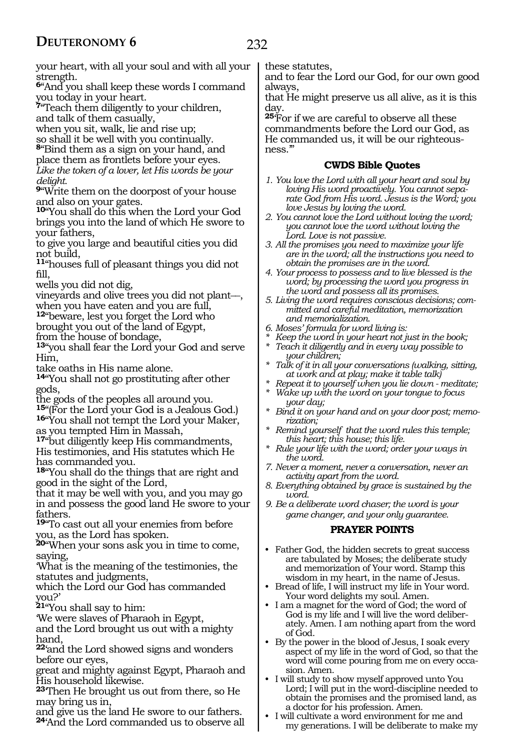your heart, with all your soul and with all your strength.

**<sup>6</sup>**"And you shall keep these words I command you today in your heart.

**<sup>7</sup>**"Teach them diligently to your children, and talk of them casually,

when you sit, walk, lie and rise up;

so shall it be well with you continually.

**<sup>8</sup>**"Bind them as a sign on your hand, and

place them as frontlets before your eyes. *Like the token of a lover, let His words be your delight.*

**<sup>9</sup>**"Write them on the doorpost of your house and also on your gates.

**<sup>10</sup>**"You shall do this when the Lord your God brings you into the land of which He swore to your fathers,

to give you large and beautiful cities you did not build,

**<sup>11</sup>**"houses full of pleasant things you did not fill,

wells you did not dig,

- vineyards and olive trees you did not plant\_\_, when you have eaten and you are full,
- **<sup>12</sup>**"beware, lest you forget the Lord who brought you out of the land of Egypt,

from the house of bondage,

**<sup>13</sup>**"you shall fear the Lord your God and serve Him,

take oaths in His name alone.

**<sup>14</sup>**"You shall not go prostituting after other gods,

the gods of the peoples all around you.<br><sup>15</sup>"(For the Lord your God is a Jealous God.)

16"You shall not tempt the Lord your Maker, as you tempted Him in Massah,

**<sup>17</sup>**"but diligently keep His commandments, His testimonies, and His statutes which He has commanded you.

**<sup>18</sup>**"You shall do the things that are right and good in the sight of the Lord,

that it may be well with you, and you may go in and possess the good land He swore to your fathers.

**<sup>19</sup>**"To cast out all your enemies from before you, as the Lord has spoken.

**<sup>20</sup>**"When your sons ask you in time to come, saying,

'What is the meaning of the testimonies, the statutes and judgments,

which the Lord our God has commanded you?'

**<sup>21</sup>**"You shall say to him:

'We were slaves of Pharaoh in Egypt,

and the Lord brought us out with a mighty hand,

**<sup>22</sup>**'and the Lord showed signs and wonders before our eyes,

great and mighty against Egypt, Pharaoh and His household likewise.

**<sup>23</sup>**'Then He brought us out from there, so He may bring us in,

and give us the land He swore to our fathers. **<sup>24</sup>**'And the Lord commanded us to observe all these statutes,

and to fear the Lord our God, for our own good always,

that He might preserve us all alive, as it is this day.

**<sup>25</sup>**'For if we are careful to observe all these commandments before the Lord our God, as He commanded us, it will be our righteousness.'"

#### **CWDS Bible Quotes**

- *1. You love the Lord with all your heart and soul by loving His word proactively. You cannot separate God from His word. Jesus is the Word; you love Jesus by loving the word.*
- *2. You cannot love the Lord without loving the word; you cannot love the word without loving the Lord. Love is not passive.*
- *3. All the promises you need to maximize your life are in the word; all the instructions you need to obtain the promises are in the word.*
- *4. Your process to possess and to live blessed is the word; by processing the word you progress in the word and possess all its promises.*
- *5. Living the word requires conscious decisions; committed and careful meditation, memorization and memorialization.*
- *6. Moses' formula for word living is:*
- *\* Keep the word in your heart not just in the book;*
- *\* Teach it diligently and in every way possible to your children;*
- *\* Talk of it in all your conversations (walking, sitting, at work and at play; make it table talk)*
- *\* Repeat it to yourself when you lie down meditate;*
- *\* Wake up with the word on your tongue to focus your day;*
- *\* Bind it on your hand and on your door post; memorization;*
- *\* Remind yourself that the word rules this temple; this heart; this house; this life.*
- *\* Rule your life with the word; order your ways in the word.*
- *7. Never a moment, never a conversation, never an activity apart from the word.*
- *8. Everything obtained by grace is sustained by the word.*
- *9. Be a deliberate word chaser; the word is your game changer, and your only guarantee.*

#### **PRAYER POINTS**

- Father God, the hidden secrets to great success are tabulated by Moses; the deliberate study and memorization of Your word. Stamp this wisdom in my heart, in the name of Jesus.
- Bread of life, I will instruct my life in Your word. Your word delights my soul. Amen.
- I am a magnet for the word of God; the word of God is my life and I will live the word deliberately. Amen. I am nothing apart from the word of God.
- By the power in the blood of Jesus, I soak every aspect of my life in the word of God, so that the word will come pouring from me on every occasion. Amen.
- I will study to show myself approved unto You Lord; I will put in the word-discipline needed to obtain the promises and the promised land, as a doctor for his profession. Amen.
- I will cultivate a word environment for me and my generations. I will be deliberate to make my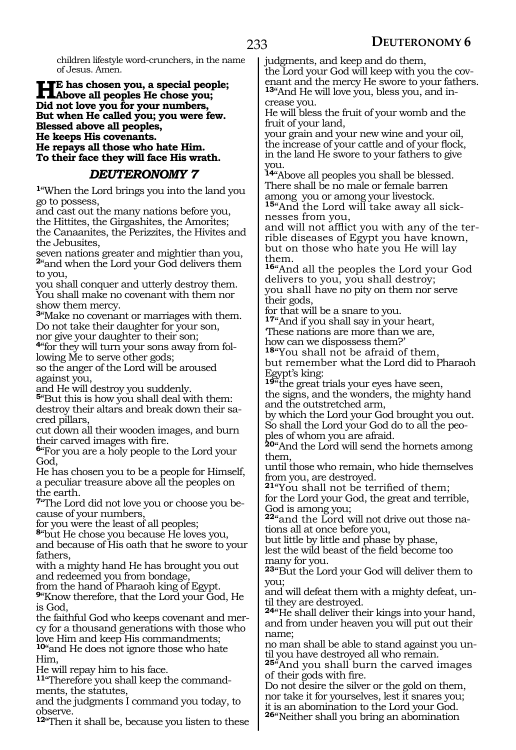children lifestyle word-crunchers, in the name of Jesus. Amen.

#### **He has chosen you, a special people; Above all peoples He chose you; Did not love you for your numbers, But when He called you; you were few. Blessed above all peoples, He keeps His covenants. He repays all those who hate Him.**

**To their face they will face His wrath.**

# *DEUTERONOMY 7*

**<sup>1</sup>**"When the Lord brings you into the land you go to possess,

and cast out the many nations before you, the Hittites, the Girgashites, the Amorites; the Canaanites, the Perizzites, the Hivites and the Jebusites,

seven nations greater and mightier than you, **<sup>2</sup>**"and when the Lord your God delivers them to you,

you shall conquer and utterly destroy them. You shall make no covenant with them nor show them mercy.

**<sup>3</sup>**"Make no covenant or marriages with them. Do not take their daughter for your son, nor give your daughter to their son;

**4**"for they will turn your sons away from following Me to serve other gods;

so the anger of the Lord will be aroused against you,

and He will destroy you suddenly.

**<sup>5</sup>**"But this is how you shall deal with them: destroy their altars and break down their sacred pillars,

cut down all their wooden images, and burn their carved images with fire.

**<sup>6</sup>**"For you are a holy people to the Lord your God,

He has chosen you to be a people for Himself, a peculiar treasure above all the peoples on the earth.

**7**"The Lord did not love you or choose you because of your numbers,

for you were the least of all peoples;

**<sup>8</sup>**"but He chose you because He loves you,

and because of His oath that he swore to your fathers,

with a mighty hand He has brought you out and redeemed you from bondage,

from the hand of Pharaoh king of Egypt.

**<sup>9</sup>**"Know therefore, that the Lord your God, He is God,

the faithful God who keeps covenant and mercy for a thousand generations with those who love Him and keep His commandments;

**<sup>10</sup>**"and He does not ignore those who hate Him,

He will repay him to his face.

**11**"Therefore you shall keep the commandments, the statutes,

and the judgments I command you today, to observe.

**<sup>12</sup>**"Then it shall be, because you listen to these

judgments, and keep and do them, the Lord your God will keep with you the covenant and the mercy He swore to your fathers. **13**"And He will love you, bless you, and increase you.

He will bless the fruit of your womb and the fruit of your land,

your grain and your new wine and your oil, the increase of your cattle and of your flock, in the land He swore to your fathers to give you.

**<sup>14</sup>**"Above all peoples you shall be blessed. There shall be no male or female barren among you or among your livestock. **<sup>15</sup>**"And the Lord will take away all sick- nesses from you,

and will not afflict you with any of the terrible diseases of Egypt you have known, but on those who hate you He will lay them.

**<sup>16</sup>**"And all the peoples the Lord your God delivers to you, you shall destroy; you shall have no pity on them nor serve their gods,

for that will be a snare to you.

**<sup>17</sup>**"And if you shall say in your heart, 'These nations are more than we are, how can we dispossess them?'

**<sup>18</sup>**"You shall not be afraid of them, but remember what the Lord did to Pharaoh Egypt's king:

**<sup>19</sup>**"the great trials your eyes have seen, the signs, and the wonders, the mighty hand and the outstretched arm,

by which the Lord your God brought you out. So shall the Lord your God do to all the peoples of whom you are afraid.

**<sup>20</sup>**"And the Lord will send the hornets among them,

until those who remain, who hide themselves from you, are destroyed.

**<sup>21</sup>**"You shall not be terrified of them; for the Lord your God, the great and terrible, God is among you;

**22**"and the Lord will not drive out those nations all at once before you,

but little by little and phase by phase,

lest the wild beast of the field become too many for you.

**<sup>23</sup>**"But the Lord your God will deliver them to you;

and will defeat them with a mighty defeat, until they are destroyed.

**<sup>24</sup>**"He shall deliver their kings into your hand, and from under heaven you will put out their name;

no man shall be able to stand against you until you have destroyed all who remain.

**<sup>25</sup>**"And you shall burn the carved images of their gods with fire.

Do not desire the silver or the gold on them, nor take it for yourselves, lest it snares you; it is an abomination to the Lord your God.

**<sup>26</sup>**"Neither shall you bring an abomination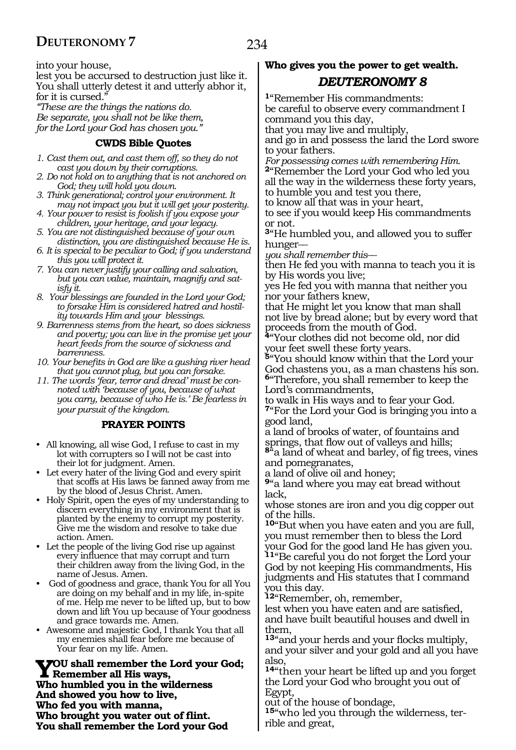234

into your house,

lest you be accursed to destruction just like it. You shall utterly detest it and utterly abhor it, for it is cursed."

*"These are the things the nations do. Be separate, you shall not be like them, for the Lord your God has chosen you."*

#### **CWDS Bible Quotes**

- *1. Cast them out, and cast them off, so they do not cast you down by their corruptions.*
- *2. Do not hold on to anything that is not anchored on God; they will hold you down.*
- *3. Think generational; control your environment. It may not impact you but it will get your posterity.*
- *4. Your power to resist is foolish if you expose your children, your heritage, and your legacy.*
- *5. You are not distinguished because of your own distinction, you are distinguished because He is.*
- *6. It is special to be peculiar to God; if you understand this you will protect it.*
- *7. You can never justify your calling and salvation, but you can value, maintain, magnify and satisfy it.*
- *8. Your blessings are founded in the Lord your God; to forsake Him is considered hatred and hostility towards Him and your blessings.*
- *9. Barrenness stems from the heart, so does sickness and poverty; you can live in the promise yet your heart feeds from the source of sickness and barrenness.*
- *10. Your benefits in God are like a gushing river head that you cannot plug, but you can forsake.*
- *11. The words 'fear, terror and dread' must be connoted with 'because of you, because of what you carry, because of who He is.' Be fearless in your pursuit of the kingdom.*

#### **PRAYER POINTS**

- All knowing, all wise God, I refuse to cast in my lot with corrupters so I will not be cast into their lot for judgment. Amen.
- Let every hater of the living God and every spirit that scoffs at His laws be fanned away from me by the blood of Jesus Christ. Amen.
- Holy Spirit, open the eyes of my understanding to discern everything in my environment that is planted by the enemy to corrupt my posterity. Give me the wisdom and resolve to take due action. Amen.
- Let the people of the living God rise up against every influence that may corrupt and turn their children away from the living God, in the name of Jesus. Amen.
- God of goodness and grace, thank You for all You are doing on my behalf and in my life, in-spite of me. Help me never to be lifted up, but to bow down and lift You up because of Your goodness and grace towards me. Amen.
- Awesome and majestic God, I thank You that all my enemies shall fear before me because of Your fear on my life. Amen.

**You shall remember the Lord your God; Remember all His ways, Who humbled you in the wilderness And showed you how to live, Who fed you with manna, Who brought you water out of flint. You shall remember the Lord your God** 

# **Who gives you the power to get wealth.**  *DEUTERONOMY 8*

**<sup>1</sup>**"Remember His commandments: be careful to observe every commandment I command you this day,

that you may live and multiply,

and go in and possess the land the Lord swore to your fathers.

*For possessing comes with remembering Him.*  **<sup>2</sup>**"Remember the Lord your God who led you

all the way in the wilderness these forty years, to humble you and test you there,

to know all that was in your heart,

to see if you would keep His commandments or not.

**<sup>3</sup>**"He humbled you, and allowed you to suffer hunger<sub>-</sub>

*you shall remember this*\_\_

then He fed you with manna to teach you it is by His words you live;

yes He fed you with manna that neither you nor your fathers knew,

that He might let you know that man shall not live by bread alone; but by every word that proceeds from the mouth of God.

**<sup>4</sup>**"Your clothes did not become old, nor did your feet swell these forty years.

**<sup>5</sup>**"You should know within that the Lord your God chastens you, as a man chastens his son. **<sup>6</sup>**"Therefore, you shall remember to keep the Lord's commandments,

to walk in His ways and to fear your God. **<sup>7</sup>**"For the Lord your God is bringing you into a good land,

a land of brooks of water, of fountains and springs, that flow out of valleys and hills;

**<sup>8</sup>**"a land of wheat and barley, of fig trees, vines and pomegranates,

a land of olive oil and honey;

**<sup>9</sup>**"a land where you may eat bread without lack,

whose stones are iron and you dig copper out of the hills.

**<sup>10</sup>**"But when you have eaten and you are full, you must remember then to bless the Lord your God for the good land He has given you.

**<sup>11</sup>**"Be careful you do not forget the Lord your God by not keeping His commandments, His judgments and His statutes that I command you this day.

**<sup>12</sup>**"Remember, oh, remember,

lest when you have eaten and are satisfied, and have built beautiful houses and dwell in them,

**<sup>13</sup>**"and your herds and your flocks multiply, and your silver and your gold and all you have also,

**<sup>14</sup>**"then your heart be lifted up and you forget the Lord your God who brought you out of Egypt,

out of the house of bondage,

**15**"who led you through the wilderness, terrible and great,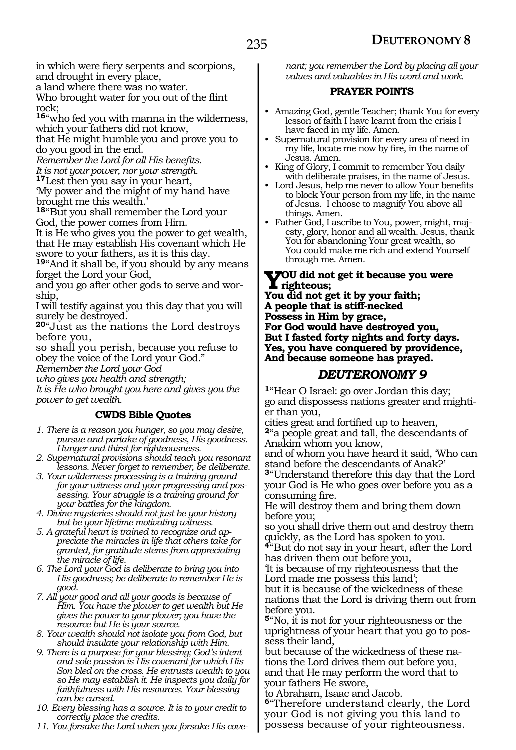in which were fiery serpents and scorpions, and drought in every place,

a land where there was no water.

Who brought water for you out of the flint rock;

**<sup>16</sup>**"who fed you with manna in the wilderness, which your fathers did not know,

that He might humble you and prove you to do you good in the end.

*Remember the Lord for all His benefits.* 

*It is not your power, nor your strength.*  **<sup>17</sup>**Lest then you say in your heart,

'My power and the might of my hand have brought me this wealth.'

**<sup>18</sup>**"But you shall remember the Lord your God, the power comes from Him.

It is He who gives you the power to get wealth, that He may establish His covenant which He swore to your fathers, as it is this day.

**<sup>19</sup>**"And it shall be, if you should by any means forget the Lord your God,

and you go after other gods to serve and worship,

I will testify against you this day that you will surely be destroyed.

**<sup>20</sup>**"Just as the nations the Lord destroys before you,

so shall you perish, because you refuse to obey the voice of the Lord your God."

*Remember the Lord your God* 

*who gives you health and strength;* 

*It is He who brought you here and gives you the power to get wealth.* 

#### **CWDS Bible Quotes**

*1. There is a reason you hunger, so you may desire, pursue and partake of goodness, His goodness. Hunger and thirst for righteousness.*

*2. Supernatural provisions should teach you resonant lessons. Never forget to remember, be deliberate.*

*3. Your wilderness processing is a training ground for your witness and your progressing and possessing. Your struggle is a training ground for your battles for the kingdom.*

*4. Divine mysteries should not just be your history but be your lifetime motivating witness.*

*5. A grateful heart is trained to recognize and appreciate the miracles in life that others take for granted, for gratitude stems from appreciating the miracle of life.*

*6. The Lord your God is deliberate to bring you into His goodness; be deliberate to remember He is good.*

*7. All your good and all your goods is because of Him. You have the plower to get wealth but He gives the power to your plower; you have the resource but He is your source.*

*8. Your wealth should not isolate you from God, but should insulate your relationship with Him.*

*9. There is a purpose for your blessing; God's intent and sole passion is His covenant for which His Son bled on the cross. He entrusts wealth to you so He may establish it. He inspects you daily for faithfulness with His resources. Your blessing can be cursed.*

*10. Every blessing has a source. It is to your credit to correctly place the credits.*

*11. You forsake the Lord when you forsake His cove-*

*nant; you remember the Lord by placing all your values and valuables in His word and work.*

#### **PRAYER POINTS**

- Amazing God, gentle Teacher; thank You for every lesson of faith I have learnt from the crisis I have faced in my life. Amen.
- Supernatural provision for every area of need in my life, locate me now by fire, in the name of Jesus. Amen.
- King of Glory, I commit to remember You daily with deliberate praises, in the name of Jesus.
- Lord Jesus, help me never to allow Your benefits to block Your person from my life, in the name of Jesus. I choose to magnify You above all things. Amen.
- Father God, I ascribe to You, power, might, majesty, glory, honor and all wealth. Jesus, thank You for abandoning Your great wealth, so You could make me rich and extend Yourself through me. Amen.

**Y**OU did not get it because you were<br>
You did not get it has recursfield.

**You did not get it by your faith; A people that is stiff-necked Possess in Him by grace, For God would have destroyed you, But I fasted forty nights and forty days. Yes, you have conquered by providence, And because someone has prayed.**

### *DEUTERONOMY 9*

**<sup>1</sup>**"Hear O Israel: go over Jordan this day; go and dispossess nations greater and mightier than you,

cities great and fortified up to heaven, **<sup>2</sup>**"a people great and tall, the descendants of Anakim whom you know,

and of whom you have heard it said, 'Who can stand before the descendants of Anak?'

**<sup>3</sup>**"Understand therefore this day that the Lord your God is He who goes over before you as a consuming fire.

He will destroy them and bring them down before you;

so you shall drive them out and destroy them quickly, as the Lord has spoken to you.

**<sup>4</sup>**"But do not say in your heart, after the Lord has driven them out before you,

'It is because of my righteousness that the Lord made me possess this land';

but it is because of the wickedness of these nations that the Lord is driving them out from before you.

**<sup>5</sup>**"No, it is not for your righteousness or the uprightness of your heart that you go to possess their land,

but because of the wickedness of these nations the Lord drives them out before you, and that He may perform the word that to your fathers He swore,

to Abraham, Isaac and Jacob.

**<sup>6</sup>**"Therefore understand clearly, the Lord your God is not giving you this land to possess because of your righteousness.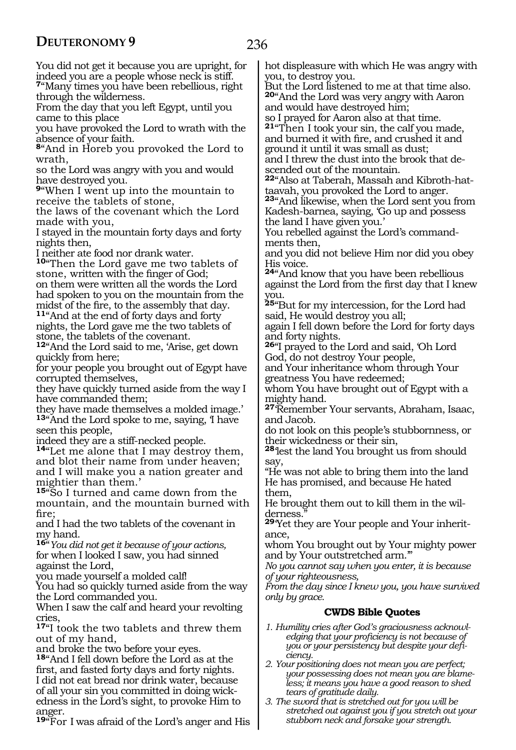You did not get it because you are upright, for indeed you are a people whose neck is stiff.

**<sup>7</sup>**"Many times you have been rebellious, right through the wilderness.

From the day that you left Egypt, until you came to this place

you have provoked the Lord to wrath with the absence of your faith.

**<sup>8</sup>**"And in Horeb you provoked the Lord to wrath,

so the Lord was angry with you and would have destroyed you.

**<sup>9</sup>**"When I went up into the mountain to receive the tablets of stone,

the laws of the covenant which the Lord made with you,

I stayed in the mountain forty days and forty nights then,

I neither ate food nor drank water.

**<sup>10</sup>**"Then the Lord gave me two tablets of stone, written with the finger of God; on them were written all the words the Lord had spoken to you on the mountain from the midst of the fire, to the assembly that day.

**<sup>11</sup>**"And at the end of forty days and forty nights, the Lord gave me the two tablets of stone, the tablets of the covenant.

**<sup>12</sup>**"And the Lord said to me, 'Arise, get down quickly from here;

for your people you brought out of Egypt have corrupted themselves,

they have quickly turned aside from the way I have commanded them;

they have made themselves a molded image.' 13<sup>"</sup>And the Lord spoke to me, saying, I have seen this people,

indeed they are a stiff-necked people.

**<sup>14</sup>**"Let me alone that I may destroy them, and blot their name from under heaven; and I will make you a nation greater and mightier than them.'

**<sup>15</sup>**"So I turned and came down from the mountain, and the mountain burned with fire;

and I had the two tablets of the covenant in my hand.

**<sup>16</sup>**"*You did not get it because of your actions,* for when I looked I saw, you had sinned against the Lord,

you made yourself a molded calf!

You had so quickly turned aside from the way the Lord commanded you.

When I saw the calf and heard your revolting cries,

**<sup>17</sup>**"I took the two tablets and threw them out of my hand,

and broke the two before your eyes.

**<sup>18</sup>**"And I fell down before the Lord as at the first, and fasted forty days and forty nights. I did not eat bread nor drink water, because of all your sin you committed in doing wickedness in the Lord's sight, to provoke Him to anger.

**<sup>19</sup>**"For I was afraid of the Lord's anger and His

hot displeasure with which He was angry with you, to destroy you.

But the Lord listened to me at that time also. **<sup>20</sup>**"And the Lord was very angry with Aaron and would have destroyed him;

so I prayed for Aaron also at that time.

**<sup>21</sup>**"Then I took your sin, the calf you made, and burned it with fire, and crushed it and ground it until it was small as dust; and I threw the dust into the brook that de-

scended out of the mountain.

**22**"Also at Taberah, Massah and Kibroth-hattaavah, you provoked the Lord to anger.

**<sup>23</sup>**"And likewise, when the Lord sent you from Kadesh-barnea, saying, 'Go up and possess the land I have given you.'

You rebelled against the Lord's command- ments then,

and you did not believe Him nor did you obey His voice.

**<sup>24</sup>**"And know that you have been rebellious against the Lord from the first day that I knew you.

**<sup>25</sup>**"But for my intercession, for the Lord had said, He would destroy you all;

again I fell down before the Lord for forty days and forty nights.

**<sup>26</sup>**"I prayed to the Lord and said, 'Oh Lord God, do not destroy Your people,

and Your inheritance whom through Your greatness You have redeemed;

whom You have brought out of Egypt with a mighty hand.

**<sup>27</sup>**'Remember Your servants, Abraham, Isaac, and Jacob.

do not look on this people's stubbornness, or their wickedness or their sin,

**<sup>28</sup>**'lest the land You brought us from should say,

"He was not able to bring them into the land He has promised, and because He hated them,

He brought them out to kill them in the wilderness.

**29**'Yet they are Your people and Your inheritance,

whom You brought out by Your mighty power and by Your outstretched arm.'"

*No you cannot say when you enter, it is because of your righteousness,*

*From the day since I knew you, you have survived only by grace.*

#### **CWDS Bible Quotes**

*1. Humility cries after God's graciousness acknowledging that your proficiency is not because of you or your persistency but despite your deficiency.*

*2. Your positioning does not mean you are perfect; your possessing does not mean you are blameless; it means you have a good reason to shed tears of gratitude daily.*

*3. The sword that is stretched out for you will be stretched out against you if you stretch out your stubborn neck and forsake your strength.*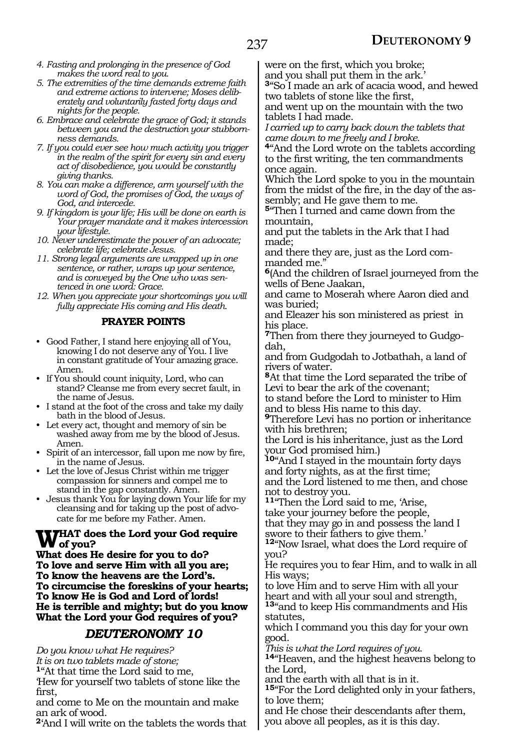- *4. Fasting and prolonging in the presence of God makes the word real to you.*
- *5. The extremities of the time demands extreme faith and extreme actions to intervene; Moses deliberately and voluntarily fasted forty days and nights for the people.*
- *6. Embrace and celebrate the grace of God; it stands between you and the destruction your stubbornness demands.*
- *7. If you could ever see how much activity you trigger in the realm of the spirit for every sin and every act of disobedience, you would be constantly giving thanks.*
- *8. You can make a difference, arm yourself with the word of God, the promises of God, the ways of God, and intercede.*
- *9. If kingdom is your life; His will be done on earth is Your prayer mandate and it makes intercession your lifestyle.*
- *10. Never underestimate the power of an advocate; celebrate life; celebrate Jesus.*
- *11. Strong legal arguments are wrapped up in one sentence, or rather, wraps up your sentence, and is conveyed by the One who was sentenced in one word: Grace.*
- *12. When you appreciate your shortcomings you will fully appreciate His coming and His death.*

#### **PRAYER POINTS**

- Good Father, I stand here enjoying all of You, knowing I do not deserve any of You. I live in constant gratitude of Your amazing grace. Amen.
- If You should count iniquity, Lord, who can stand? Cleanse me from every secret fault, in the name of Jesus.
- I stand at the foot of the cross and take my daily bath in the blood of Jesus.
- Let every act, thought and memory of sin be washed away from me by the blood of Jesus. Amen.
- Spirit of an intercessor, fall upon me now by fire, in the name of Jesus.
- Let the love of Jesus Christ within me trigger compassion for sinners and compel me to stand in the gap constantly. Amen.
- Jesus thank You for laying down Your life for my cleansing and for taking up the post of advocate for me before my Father. Amen.

# **WHAT does the Lord your God require**<br>What does He doeing for you to do?

**What does He desire for you to do? To love and serve Him with all you are; To know the heavens are the Lord's. To circumcise the foreskins of your hearts; To know He is God and Lord of lords! He is terrible and mighty; but do you know What the Lord your God requires of you?**

#### *DEUTERONOMY 10*

*Do you know what He requires?*

*It is on two tablets made of stone;*

**<sup>1</sup>**"At that time the Lord said to me,

'Hew for yourself two tablets of stone like the first,

and come to Me on the mountain and make an ark of wood.

**<sup>2</sup>**'And I will write on the tablets the words that

were on the first, which you broke; and you shall put them in the ark.

**<sup>3</sup>**"So I made an ark of acacia wood, and hewed two tablets of stone like the first,

and went up on the mountain with the two tablets I had made.

*I carried up to carry back down the tablets that came down to me freely and I broke.*

**<sup>4</sup>**"And the Lord wrote on the tablets according to the first writing, the ten commandments once again.

Which the Lord spoke to you in the mountain from the midst of the fire, in the day of the assembly; and He gave them to me.

**<sup>5</sup>**"Then I turned and came down from the mountain,

and put the tablets in the Ark that I had made;

and there they are, just as the Lord commanded me."

**<sup>6</sup>**(And the children of Israel journeyed from the wells of Bene Jaakan,

and came to Moserah where Aaron died and was buried;

and Eleazer his son ministered as priest in his place.

**7**Then from there they journeyed to Gudgodah,

and from Gudgodah to Jotbathah, a land of rivers of water.

**<sup>8</sup>**At that time the Lord separated the tribe of Levi to bear the ark of the covenant; to stand before the Lord to minister to Him

and to bless His name to this day.

**<sup>9</sup>**Therefore Levi has no portion or inheritance with his brethren;

the Lord is his inheritance, just as the Lord your God promised him.)

**<sup>10</sup>**"And I stayed in the mountain forty days and forty nights, as at the first time; and the Lord listened to me then, and chose not to destroy you.

**<sup>11</sup>**"Then the Lord said to me, 'Arise, take your journey before the people, that they may go in and possess the land I swore to their fathers to give them.'

**<sup>12</sup>**"Now Israel, what does the Lord require of you?

He requires you to fear Him, and to walk in all His ways;

to love Him and to serve Him with all your heart and with all your soul and strength,

**<sup>13</sup>**"and to keep His commandments and His statutes,

which I command you this day for your own good.

*This is what the Lord requires of you.*

**<sup>14</sup>**"Heaven, and the highest heavens belong to the Lord,

and the earth with all that is in it.

**<sup>15</sup>**"For the Lord delighted only in your fathers, to love them;

and He chose their descendants after them, you above all peoples, as it is this day.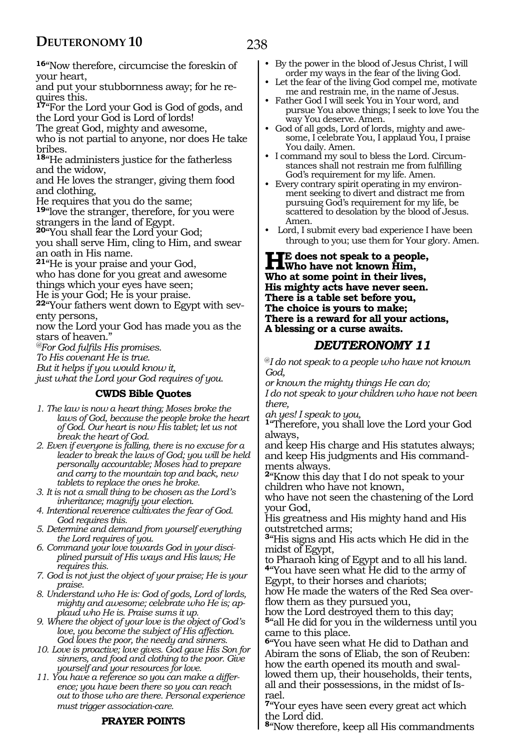# 238

**<sup>16</sup>**"Now therefore, circumcise the foreskin of your heart,

and put your stubbornness away; for he requires this.

**<sup>17</sup>**"For the Lord your God is God of gods, and the Lord your God is Lord of lords!

The great God, mighty and awesome,

who is not partial to anyone, nor does He take bribes.

**<sup>18</sup>**"He administers justice for the fatherless and the widow,

and He loves the stranger, giving them food and clothing,

He requires that you do the same;

**<sup>19</sup>**"love the stranger, therefore, for you were strangers in the land of Egypt.

**<sup>20</sup>**"You shall fear the Lord your God;

you shall serve Him, cling to Him, and swear an oath in His name.

**<sup>21</sup>**"He is your praise and your God, who has done for you great and awesome

things which your eyes have seen;

He is your God; He is your praise.

**<sup>22</sup>**"Your fathers went down to Egypt with sev- enty persons,

now the Lord your God has made you as the stars of heaven."

*@For God fulfils His promises.*

*To His covenant He is true.*

*But it helps if you would know it,*

*just what the Lord your God requires of you.*

#### **CWDS Bible Quotes**

- *1. The law is now a heart thing; Moses broke the laws of God, because the people broke the heart of God. Our heart is now His tablet; let us not break the heart of God.*
- *2. Even if everyone is falling, there is no excuse for a leader to break the laws of God; you will be held personally accountable; Moses had to prepare and carry to the mountain top and back, new tablets to replace the ones he broke.*
- *3. It is not a small thing to be chosen as the Lord's inheritance; magnify your election.*

*4. Intentional reverence cultivates the fear of God. God requires this.*

- *5. Determine and demand from yourself everything the Lord requires of you.*
- *6. Command your love towards God in your disciplined pursuit of His ways and His laws; He requires this.*
- *7. God is not just the object of your praise; He is your praise.*
- *8. Understand who He is: God of gods, Lord of lords, mighty and awesome; celebrate who He is; applaud who He is. Praise sums it up.*
- *9. Where the object of your love is the object of God's love, you become the subject of His affection. God loves the poor, the needy and sinners.*
- *10. Love is proactive; love gives. God gave His Son for sinners, and food and clothing to the poor. Give yourself and your resources for love.*
- *11. You have a reference so you can make a difference; you have been there so you can reach out to those who are there. Personal experience must trigger association-care.*

#### **PRAYER POINTS**

- By the power in the blood of Jesus Christ, I will order my ways in the fear of the living God.
- Let the fear of the living God compel me, motivate me and restrain me, in the name of Jesus.
- Father God I will seek You in Your word, and pursue You above things; I seek to love You the way You deserve. Amen.
- God of all gods, Lord of lords, mighty and awesome, I celebrate You, I applaud You, I praise You daily. Amen.
- I command my soul to bless the Lord. Circumstances shall not restrain me from fulfilling God's requirement for my life. Amen.
- Every contrary spirit operating in my environment seeking to divert and distract me from pursuing God's requirement for my life, be scattered to desolation by the blood of Jesus. Amen.
- Lord, I submit every bad experience I have been through to you; use them for Your glory. Amen.

#### **He does not speak to a people, Who have not known Him, Who at some point in their lives, His mighty acts have never seen. There is a table set before you, The choice is yours to make; There is a reward for all your actions, A blessing or a curse awaits.**

#### *DEUTERONOMY 11*

@*I do not speak to a people who have not known God,*

*or known the mighty things He can do; I do not speak to your children who have not been there,*

*ah yes! I speak to you,*

**<sup>1</sup>**"Therefore, you shall love the Lord your God always,

and keep His charge and His statutes always; and keep His judgments and His command- ments always.

**<sup>2</sup>**"Know this day that I do not speak to your children who have not known,

who have not seen the chastening of the Lord your God,

His greatness and His mighty hand and His outstretched arms;

**<sup>3</sup>**"His signs and His acts which He did in the midst of Egypt,

to Pharaoh king of Egypt and to all his land. **<sup>4</sup>**"You have seen what He did to the army of Egypt, to their horses and chariots;

how He made the waters of the Red Sea overflow them as they pursued you,

how the Lord destroyed them to this day; **<sup>5</sup>**"all He did for you in the wilderness until you came to this place.

**<sup>6</sup>**"You have seen what He did to Dathan and Abiram the sons of Eliab, the son of Reuben: how the earth opened its mouth and swallowed them up, their households, their tents, all and their possessions, in the midst of Israel.

**<sup>7</sup>**"Your eyes have seen every great act which the Lord did.

**<sup>8</sup>**"Now therefore, keep all His commandments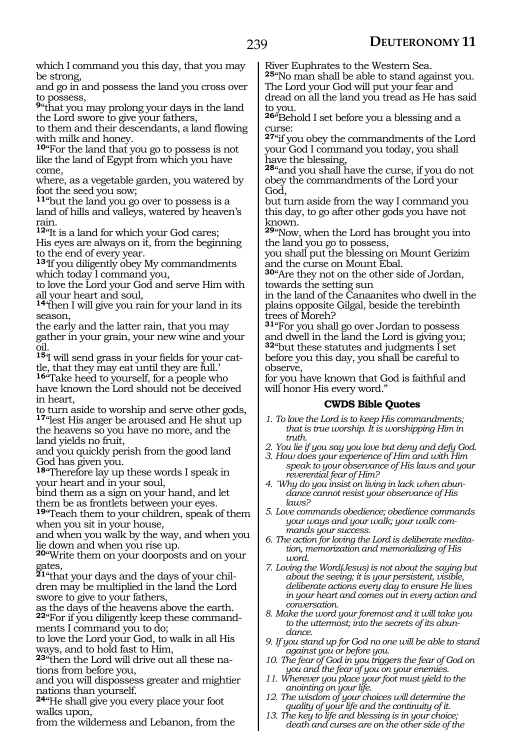which I command you this day, that you may be strong,

and go in and possess the land you cross over to possess,

**<sup>9</sup>**"that you may prolong your days in the land the Lord swore to give your fathers,

to them and their descendants, a land flowing with milk and honey.

**<sup>10</sup>**"For the land that you go to possess is not like the land of Egypt from which you have come,

where, as a vegetable garden, you watered by foot the seed you sow;

**<sup>11</sup>**"but the land you go over to possess is a land of hills and valleys, watered by heaven's rain.

**<sup>12</sup>**"It is a land for which your God cares;

His eyes are always on it, from the beginning to the end of every year.

**<sup>13</sup>**'If you diligently obey My commandments which today I command you,

to love the Lord your God and serve Him with all your heart and soul,

**<sup>14</sup>**'then I will give you rain for your land in its season,

the early and the latter rain, that you may gather in your grain, your new wine and your oil.

**15**'I will send grass in your fields for your cattle, that they may eat until they are full.'

**<sup>16</sup>**"Take heed to yourself, for a people who have known the Lord should not be deceived in heart,

to turn aside to worship and serve other gods, **<sup>17</sup>**"lest His anger be aroused and He shut up

the heavens so you have no more, and the land yields no fruit,

and you quickly perish from the good land God has given you.

**<sup>18</sup>**"Therefore lay up these words I speak in your heart and in your soul,

bind them as a sign on your hand, and let them be as frontlets between your eyes.

**<sup>19</sup>**"Teach them to your children, speak of them when you sit in your house,

and when you walk by the way, and when you lie down and when you rise up.

**<sup>20</sup>**"Write them on your doorposts and on your gates,

**21**"that your days and the days of your children may be multiplied in the land the Lord swore to give to your fathers,

as the days of the heavens above the earth. **22**"For if you diligently keep these commandments I command you to do;

to love the Lord your God, to walk in all His ways, and to hold fast to Him,

**23**"then the Lord will drive out all these nations from before you,

and you will dispossess greater and mightier nations than yourself.

**<sup>24</sup>**"He shall give you every place your foot walks upon,

from the wilderness and Lebanon, from the

River Euphrates to the Western Sea.

**<sup>25</sup>**"No man shall be able to stand against you. The Lord your God will put your fear and dread on all the land you tread as He has said to you.

**<sup>26</sup>**"Behold I set before you a blessing and a curse:

**<sup>27</sup>**"if you obey the commandments of the Lord your God I command you today, you shall have the blessing,

**<sup>28</sup>**"and you shall have the curse, if you do not obey the commandments of the Lord your God,

but turn aside from the way I command you this day, to go after other gods you have not known.

**<sup>29</sup>**"Now, when the Lord has brought you into the land you go to possess,

you shall put the blessing on Mount Gerizim and the curse on Mount Ebal.

**<sup>30</sup>**"Are they not on the other side of Jordan, towards the setting sun

in the land of the Canaanites who dwell in the plains opposite Gilgal, beside the terebinth trees of Moreh?

**<sup>31</sup>**"For you shall go over Jordan to possess and dwell in the land the Lord is giving you; **<sup>32</sup>**"but these statutes and judgments I set before you this day, you shall be careful to observe,

for you have known that God is faithful and will honor His every word."

#### **CWDS Bible Quotes**

- *1. To love the Lord is to keep His commandments; that is true worship. It is worshipping Him in truth.*
- *2. You lie if you say you love but deny and defy God.*
- *3. How does your experience of Him and with Him speak to your observance of His laws and your reverential fear of Him?*
- *4. `Why do you insist on living in lack when abundance cannot resist your observance of His laws?*
- *5. Love commands obedience; obedience commands your ways and your walk; your walk commands your success.*
- *6. The action for loving the Lord is deliberate meditation, memorization and memorializing of His word.*
- *7. Loving the Word(Jesus) is not about the saying but about the seeing; it is your persistent, visible, deliberate actions every day to ensure He lives in your heart and comes out in every action and conversation.*
- *8. Make the word your foremost and it will take you to the uttermost; into the secrets of its abundance.*
- *9. If you stand up for God no one will be able to stand against you or before you.*
- *10. The fear of God in you triggers the fear of God on you and the fear of you on your enemies.*
- *11. Wherever you place your foot must yield to the anointing on your life.*
- *12. The wisdom of your choices will determine the quality of your life and the continuity of it.*
- *13. The key to life and blessing is in your choice; death and curses are on the other side of the*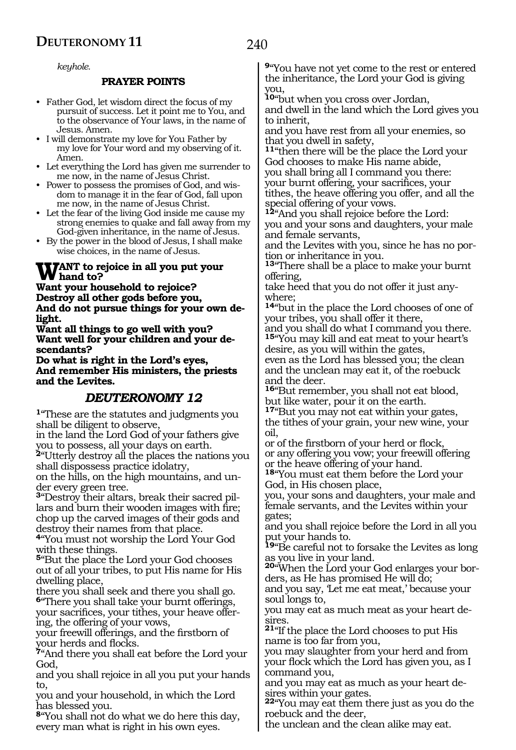#### *keyhole.*

#### **PRAYER POINTS**

- Father God, let wisdom direct the focus of my pursuit of success. Let it point me to You, and to the observance of Your laws, in the name of Jesus. Amen.
- I will demonstrate my love for You Father by my love for Your word and my observing of it. Amen.
- Let everything the Lord has given me surrender to me now, in the name of Jesus Christ.
- Power to possess the promises of God, and wisdom to manage it in the fear of God, fall upon me now, in the name of Jesus Christ.
- Let the fear of the living God inside me cause my strong enemies to quake and fall away from my God-given inheritance, in the name of Jesus.
- By the power in the blood of Jesus, I shall make wise choices, in the name of Jesus.

# **WANT** to rejoice in all you put your<br>Want your hausehold to rejoice?

**Want your household to rejoice? Destroy all other gods before you, And do not pursue things for your own delight.**

**Want all things to go well with you? Want well for your children and your descendants?**

**Do what is right in the Lord's eyes, And remember His ministers, the priests and the Levites.**

### *DEUTERONOMY 12*

**<sup>1</sup>**"These are the statutes and judgments you shall be diligent to observe,

in the land the Lord God of your fathers give you to possess, all your days on earth.

**<sup>2</sup>**"Utterly destroy all the places the nations you shall dispossess practice idolatry,

on the hills, on the high mountains, and under every green tree.

**3**"Destroy their altars, break their sacred pillars and burn their wooden images with fire; chop up the carved images of their gods and destroy their names from that place.

**<sup>4</sup>**"You must not worship the Lord Your God with these things.

**<sup>5</sup>**"But the place the Lord your God chooses out of all your tribes, to put His name for His dwelling place,

there you shall seek and there you shall go. **<sup>6</sup>**"There you shall take your burnt offerings,

your sacrifices, your tithes, your heave offering, the offering of your vows,

your freewill offerings, and the firstborn of your herds and flocks.

**<sup>7</sup>**"And there you shall eat before the Lord your God,

and you shall rejoice in all you put your hands to,

you and your household, in which the Lord has blessed you.

**<sup>8</sup>**"You shall not do what we do here this day, every man what is right in his own eyes.

**<sup>9</sup>**"You have not yet come to the rest or entered the inheritance, the Lord your God is giving you,

**<sup>10</sup>**"but when you cross over Jordan, and dwell in the land which the Lord gives you to inherit,

and you have rest from all your enemies, so that you dwell in safety,

**<sup>11</sup>**"then there will be the place the Lord your God chooses to make His name abide, you shall bring all I command you there: your burnt offering, your sacrifices, your tithes, the heave offering you offer, and all the special offering of your vows.

**<sup>12</sup>**"And you shall rejoice before the Lord: you and your sons and daughters, your male and female servants,

and the Levites with you, since he has no portion or inheritance in you.

**<sup>13</sup>**"There shall be a place to make your burnt offering,

take heed that you do not offer it just anywhere;

**<sup>14</sup>**"but in the place the Lord chooses of one of your tribes, you shall offer it there,

and you shall do what I command you there. **<sup>15</sup>**"You may kill and eat meat to your heart's desire, as you will within the gates,

even as the Lord has blessed you; the clean and the unclean may eat it, of the roebuck and the deer.

**<sup>16</sup>**"But remember, you shall not eat blood, but like water, pour it on the earth.

**<sup>17</sup>**"But you may not eat within your gates, the tithes of your grain, your new wine, your oil,

or of the firstborn of your herd or flock, or any offering you vow; your freewill offering or the heave offering of your hand.

**<sup>18</sup>**"You must eat them before the Lord your God, in His chosen place,

you, your sons and daughters, your male and female servants, and the Levites within your gates;

and you shall rejoice before the Lord in all you put your hands to.

**<sup>19</sup>**"Be careful not to forsake the Levites as long as you live in your land.

**<sup>20</sup>**"When the Lord your God enlarges your bor- ders, as He has promised He will do;

and you say, 'Let me eat meat,' because your soul longs to,

you may eat as much meat as your heart desires.

**<sup>21</sup>**"If the place the Lord chooses to put His name is too far from you,

you may slaughter from your herd and from your flock which the Lord has given you, as I command you,

and you may eat as much as your heart de- sires within your gates.

**<sup>22</sup>**"You may eat them there just as you do the roebuck and the deer,

the unclean and the clean alike may eat.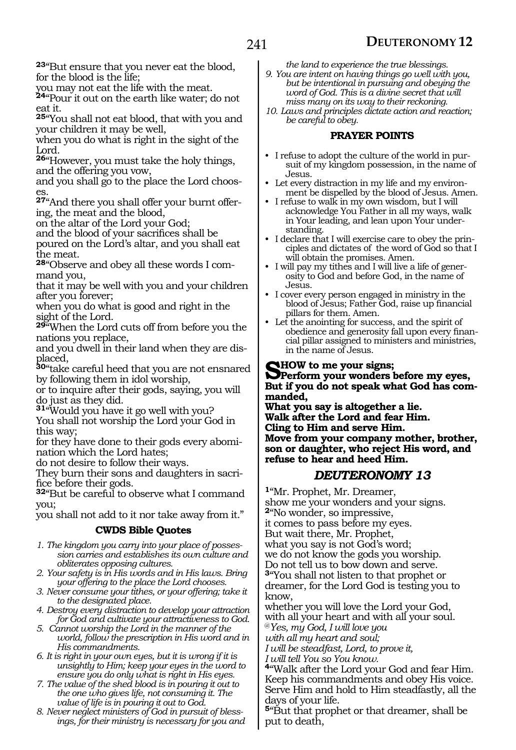**<sup>23</sup>**"But ensure that you never eat the blood, for the blood is the life;

you may not eat the life with the meat.

**<sup>24</sup>**"Pour it out on the earth like water; do not eat it.

**<sup>25</sup>**"You shall not eat blood, that with you and your children it may be well,

when you do what is right in the sight of the Lord.

**<sup>26</sup>**"However, you must take the holy things, and the offering you vow,

and you shall go to the place the Lord chooses.

**27**"And there you shall offer your burnt offering, the meat and the blood,

on the altar of the Lord your God;

and the blood of your sacrifices shall be poured on the Lord's altar, and you shall eat the meat.

**28**"Observe and obey all these words I command you,

that it may be well with you and your children after you forever;

when you do what is good and right in the sight of the Lord.

**<sup>29</sup>**"When the Lord cuts off from before you the nations you replace,

and you dwell in their land when they are displaced,

**<sup>30</sup>**"take careful heed that you are not ensnared by following them in idol worship,

or to inquire after their gods, saying, you will do just as they did.

**<sup>31</sup>**"Would you have it go well with you? You shall not worship the Lord your God in this way;

for they have done to their gods every abomination which the Lord hates;

do not desire to follow their ways.

They burn their sons and daughters in sacrifice before their gods.

**<sup>32</sup>**"But be careful to observe what I command you;

you shall not add to it nor take away from it."

#### **CWDS Bible Quotes**

- *1. The kingdom you carry into your place of possession carries and establishes its own culture and obliterates opposing cultures.*
- *2. Your safety is in His words and in His laws. Bring your offering to the place the Lord chooses.*
- *3. Never consume your tithes, or your offering; take it to the designated place.*

*4. Destroy every distraction to develop your attraction for God and cultivate your attractiveness to God.*

*5. Cannot worship the Lord in the manner of the world, follow the prescription in His word and in His commandments.*

*6. It is right in your own eyes, but it is wrong if it is unsightly to Him; keep your eyes in the word to ensure you do only what is right in His eyes.*

*7. The value of the shed blood is in pouring it out to the one who gives life, not consuming it. The value of life is in pouring it out to God.*

*8. Never neglect ministers of God in pursuit of blessings, for their ministry is necessary for you and* 

*the land to experience the true blessings. 9. You are intent on having things go well with you, but be intentional in pursuing and obeying the* 

*word of God. This is a divine secret that will miss many on its way to their reckoning.*

*10. Laws and principles dictate action and reaction; be careful to obey.*

#### **PRAYER POINTS**

- I refuse to adopt the culture of the world in pursuit of my kingdom possession, in the name of Jesus.
- Let every distraction in my life and my environment be dispelled by the blood of Jesus. Amen.
- I refuse to walk in my own wisdom, but I will acknowledge You Father in all my ways, walk in Your leading, and lean upon Your understanding.
- I declare that I will exercise care to obey the principles and dictates of the word of God so that I will obtain the promises. Amen.
- I will pay my tithes and I will live a life of generosity to God and before God, in the name of Jesus.
- I cover every person engaged in ministry in the blood of Jesus; Father God, raise up financial pillars for them. Amen.
- Let the anointing for success, and the spirit of obedience and generosity fall upon every financial pillar assigned to ministers and ministries, in the name of Jesus.

**SHOW to me your signs;<br>
Perform your wonders before my eyes,**<br>
Rut if you do not good, what God because **But if you do not speak what God has commanded,**

**What you say is altogether a lie. Walk after the Lord and fear Him. Cling to Him and serve Him. Move from your company mother, brother, son or daughter, who reject His word, and refuse to hear and heed Him.**

#### *DEUTERONOMY 13*

**<sup>1</sup>**"Mr. Prophet, Mr. Dreamer, show me your wonders and your signs. **<sup>2</sup>**"No wonder, so impressive, it comes to pass before my eyes. But wait there, Mr. Prophet, what you say is not God's word; we do not know the gods you worship. Do not tell us to bow down and serve. **<sup>3</sup>**"You shall not listen to that prophet or dreamer, for the Lord God is testing you to know, whether you will love the Lord your God,

with all your heart and with all your soul.

@*Yes, my God, I will love you with all my heart and soul;* 

*I will be steadfast, Lord, to prove it,* 

*I will tell You so You know.*

**<sup>4</sup>**"Walk after the Lord your God and fear Him. Keep his commandments and obey His voice. Serve Him and hold to Him steadfastly, all the days of your life.

**<sup>5</sup>**"But that prophet or that dreamer, shall be put to death,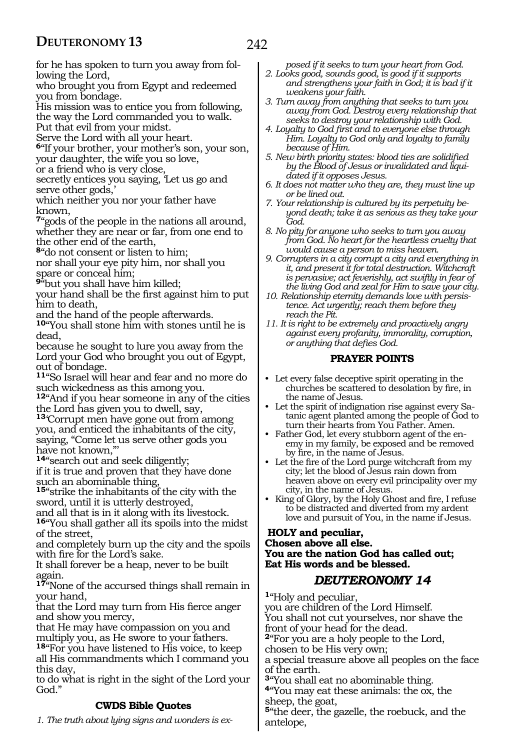for he has spoken to turn you away from following the Lord,

who brought you from Egypt and redeemed you from bondage.

His mission was to entice you from following, the way the Lord commanded you to walk.

Put that evil from your midst.

Serve the Lord with all your heart.

**<sup>6</sup>**"If your brother, your mother's son, your son, your daughter, the wife you so love,

or a friend who is very close,

secretly entices you saying, 'Let us go and serve other gods,'

which neither you nor your father have known,

**<sup>7</sup>**"gods of the people in the nations all around, whether they are near or far, from one end to the other end of the earth,

**<sup>8</sup>**"do not consent or listen to him;

nor shall your eye pity him, nor shall you spare or conceal him;

**<sup>9</sup>**"but you shall have him killed;

your hand shall be the first against him to put him to death,

and the hand of the people afterwards.

**<sup>10</sup>**"You shall stone him with stones until he is dead,

because he sought to lure you away from the Lord your God who brought you out of Egypt, out of bondage.

**<sup>11</sup>**"So Israel will hear and fear and no more do such wickedness as this among you.

**<sup>12</sup>**"And if you hear someone in any of the cities the Lord has given you to dwell, say,

**<sup>13</sup>**'Corrupt men have gone out from among you, and enticed the inhabitants of the city, saying, "Come let us serve other gods you have not known,"'

**<sup>14</sup>**"search out and seek diligently;

if it is true and proven that they have done such an abominable thing,

**<sup>15</sup>**"strike the inhabitants of the city with the sword, until it is utterly destroyed,

and all that is in it along with its livestock.

**<sup>16</sup>**"You shall gather all its spoils into the midst of the street,

and completely burn up the city and the spoils with fire for the Lord's sake.

It shall forever be a heap, never to be built again.

**<sup>17</sup>**"None of the accursed things shall remain in your hand,

that the Lord may turn from His fierce anger and show you mercy,

that He may have compassion on you and multiply you, as He swore to your fathers.

**<sup>18</sup>**"For you have listened to His voice, to keep all His commandments which I command you this day,

to do what is right in the sight of the Lord your God."

#### **CWDS Bible Quotes**

*1. The truth about lying signs and wonders is ex-*

*posed if it seeks to turn your heart from God.*

- *2. Looks good, sounds good, is good if it supports and strengthens your faith in God; it is bad if it weakens your faith.*
- *3. Turn away from anything that seeks to turn you away from God. Destroy every relationship that seeks to destroy your relationship with God.*
- *4. Loyalty to God first and to everyone else through Him. Loyalty to God only and loyalty to family because of Him.*
- *5. New birth priority states: blood ties are solidified by the Blood of Jesus or invalidated and liquidated if it opposes Jesus.*
- *6. It does not matter who they are, they must line up or be lined out.*
- *7. Your relationship is cultured by its perpetuity beyond death; take it as serious as they take your God.*
- *8. No pity for anyone who seeks to turn you away from God. No heart for the heartless cruelty that would cause a person to miss heaven.*
- *9. Corrupters in a city corrupt a city and everything in it, and present it for total destruction. Witchcraft is pervasive; act feverishly, act swiftly in fear of the living God and zeal for Him to save your city.*
- *10. Relationship eternity demands love with persistence. Act urgently; reach them before they reach the Pit.*

*11. It is right to be extremely and proactively angry against every profanity, immorality, corruption, or anything that defies God.*

#### **PRAYER POINTS**

- Let every false deceptive spirit operating in the churches be scattered to desolation by fire, in the name of Jesus.
- Let the spirit of indignation rise against every Satanic agent planted among the people of God to turn their hearts from You Father. Amen.
- Father God, let every stubborn agent of the enemy in my family, be exposed and be removed by fire, in the name of Jesus.
- Let the fire of the Lord purge witchcraft from my city; let the blood of Jesus rain down from heaven above on every evil principality over my city, in the name of Jesus.
- King of Glory, by the Holy Ghost and fire, I refuse to be distracted and diverted from my ardent love and pursuit of You, in the name if Jesus.

#### **Holy and peculiar, Chosen above all else. You are the nation God has called out; Eat His words and be blessed.**

### *DEUTERONOMY 14*

**<sup>1</sup>**"Holy and peculiar,

you are children of the Lord Himself. You shall not cut yourselves, nor shave the

front of your head for the dead. **<sup>2</sup>**"For you are a holy people to the Lord,

chosen to be His very own;

a special treasure above all peoples on the face of the earth.

**<sup>3</sup>**"You shall eat no abominable thing. **<sup>4</sup>**"You may eat these animals: the ox, the sheep, the goat,

**<sup>5</sup>**"the deer, the gazelle, the roebuck, and the antelope,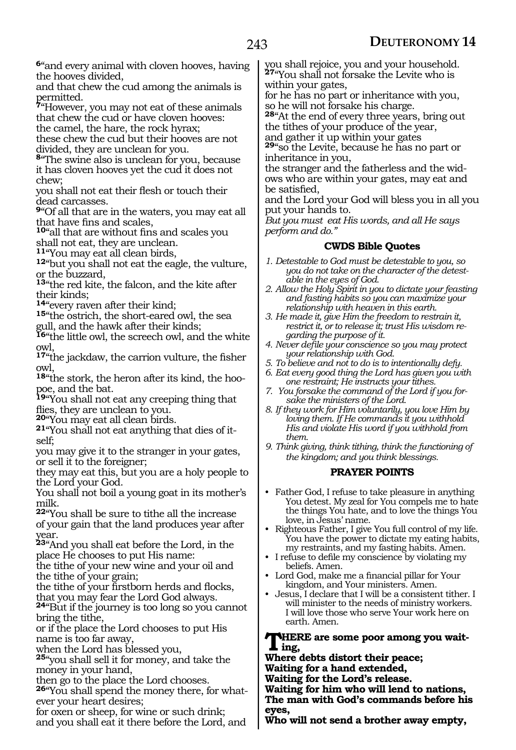**<sup>6</sup>**"and every animal with cloven hooves, having the hooves divided,

and that chew the cud among the animals is permitted.

**<sup>7</sup>**"However, you may not eat of these animals that chew the cud or have cloven hooves:

the camel, the hare, the rock hyrax;

these chew the cud but their hooves are not divided, they are unclean for you.

**<sup>8</sup>**"The swine also is unclean for you, because it has cloven hooves yet the cud it does not chew;

you shall not eat their flesh or touch their dead carcasses.

**<sup>9</sup>**"Of all that are in the waters, you may eat all that have fins and scales,

**<sup>10</sup>**"all that are without fins and scales you shall not eat, they are unclean.<br><sup>11</sup> You may eat all clean birds,

12<sup>"</sup>but you shall not eat the eagle, the vulture, or the buzzard,

**<sup>13</sup>**"the red kite, the falcon, and the kite after

their kinds;<br><sup>14</sup>"every raven after their kind;

15"the ostrich, the short-eared owl, the sea gull, and the hawk after their kinds;

**<sup>16</sup>**"the little owl, the screech owl, and the white owl,

**<sup>17</sup>**"the jackdaw, the carrion vulture, the fisher

owl,<br><sup>18</sup> the stork, the heron after its kind, the hoo-**18**"the stork, the heron after its kind, the hoo-<br>poe, and the bat.

**<sup>19</sup>**"You shall not eat any creeping thing that flies, they are unclean to you.<br><sup>20</sup> You may eat all clean birds.

**21**"You shall not eat anything that dies of it-self:

you may give it to the stranger in your gates, or sell it to the foreigner;

they may eat this, but you are a holy people to the Lord your God.

You shall not boil a young goat in its mother's milk.

**<sup>22</sup>**"You shall be sure to tithe all the increase of your gain that the land produces year after year.

**<sup>23</sup>**"And you shall eat before the Lord, in the place He chooses to put His name:

the tithe of your new wine and your oil and the tithe of your grain;

the tithe of your firstborn herds and flocks, that you may fear the Lord God always.

**<sup>24</sup>**"But if the journey is too long so you cannot bring the tithe,

or if the place the Lord chooses to put His name is too far away,

when the Lord has blessed you,

**<sup>25</sup>**"you shall sell it for money, and take the money in your hand,

then go to the place the Lord chooses.

**26**"You shall spend the money there, for whatever your heart desires;

for oxen or sheep, for wine or such drink; and you shall eat it there before the Lord, and you shall rejoice, you and your household. **<sup>27</sup>**"You shall not forsake the Levite who is within your gates,

for he has no part or inheritance with you, so he will not forsake his charge.

**<sup>28</sup>**"At the end of every three years, bring out the tithes of your produce of the year,

and gather it up within your gates **<sup>29</sup>**"so the Levite, because he has no part or

inheritance in you,

the stranger and the fatherless and the widows who are within your gates, may eat and be satisfied,

and the Lord your God will bless you in all you put your hands to.

*But you must eat His words, and all He says perform and do."*

#### **CWDS Bible Quotes**

- *1. Detestable to God must be detestable to you, so you do not take on the character of the detestable in the eyes of God.*
- *2. Allow the Holy Spirit in you to dictate your feasting and fasting habits so you can maximize your relationship with heaven in this earth.*
- *3. He made it, give Him the freedom to restrain it, restrict it, or to release it; trust His wisdom regarding the purpose of it.*
- *4. Never defile your conscience so you may protect your relationship with God.*
- *5. To believe and not to do is to intentionally defy.*
- *6. Eat every good thing the Lord has given you with one restraint; He instructs your tithes.*
- *7. You forsake the command of the Lord if you forsake the ministers of the Lord.*
- *8. If they work for Him voluntarily, you love Him by loving them. If He commands it you withhold His and violate His word if you withhold from them.*
- *9. Think giving, think tithing, think the functioning of the kingdom; and you think blessings.*

#### **PRAYER POINTS**

- Father God, I refuse to take pleasure in anything You detest. My zeal for You compels me to hate the things You hate, and to love the things You love, in Jesus' name.
- Righteous Father, I give You full control of my life. You have the power to dictate my eating habits, my restraints, and my fasting habits. Amen.
- I refuse to defile my conscience by violating my beliefs. Amen.
- Lord God, make me a financial pillar for Your kingdom, and Your ministers. Amen.
- Jesus, I declare that I will be a consistent tither. I will minister to the needs of ministry workers. I will love those who serve Your work here on earth. Amen.

#### **THERE** are some poor among you wait**ing,**

**Where debts distort their peace;** 

**Waiting for a hand extended,** 

**Waiting for the Lord's release.** 

**Waiting for him who will lend to nations, The man with God's commands before his eyes,** 

**Who will not send a brother away empty,**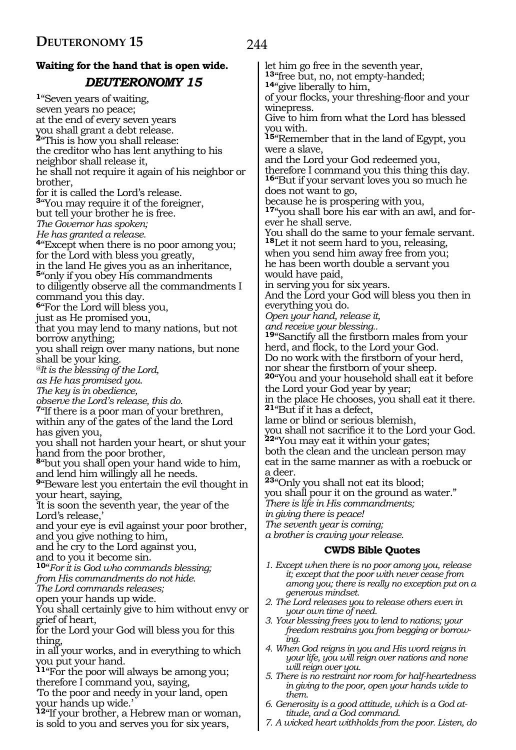# **Waiting for the hand that is open wide.**  *DEUTERONOMY 15* **<sup>1</sup>**"Seven years of waiting,

seven years no peace; at the end of every seven years you shall grant a debt release. **<sup>2</sup>**"This is how you shall release: the creditor who has lent anything to his neighbor shall release it, he shall not require it again of his neighbor or brother, for it is called the Lord's release. **<sup>3</sup>**"You may require it of the foreigner, but tell your brother he is free. *The Governor has spoken; He has granted a release.* **<sup>4</sup>**"Except when there is no poor among you; for the Lord with bless you greatly, in the land He gives you as an inheritance, **<sup>5</sup>**"only if you obey His commandments to diligently observe all the commandments I command you this day. **<sup>6</sup>**"For the Lord will bless you, just as He promised you, that you may lend to many nations, but not borrow anything; you shall reign over many nations, but none shall be your king. *@It is the blessing of the Lord, as He has promised you. The key is in obedience, observe the Lord's release, this do.*  <sup>7</sup>"If there is a poor man of your brethren, within any of the gates of the land the Lord has given you, you shall not harden your heart, or shut your hand from the poor brother, **<sup>8</sup>**"but you shall open your hand wide to him, and lend him willingly all he needs. **<sup>9</sup>**"Beware lest you entertain the evil thought in your heart, saying, 'It is soon the seventh year, the year of the Lord's release,' and your eye is evil against your poor brother, and you give nothing to him, and he cry to the Lord against you, and to you it become sin. **<sup>10</sup>**"*For it is God who commands blessing; from His commandments do not hide. The Lord commands releases;*  open your hands up wide. You shall certainly give to him without envy or grief of heart, for the Lord your God will bless you for this thing, in all your works, and in everything to which you put your hand. **<sup>11</sup>**"For the poor will always be among you; therefore I command you, saying, 'To the poor and needy in your land, open your hands up wide.' **<sup>12</sup>**"If your brother, a Hebrew man or woman,

is sold to you and serves you for six years,

let him go free in the seventh year, **<sup>13</sup>**"free but, no, not empty-handed; **14**"give liberally to him, of your flocks, your threshing-floor and your winepress. Give to him from what the Lord has blessed you with. **<sup>15</sup>**"Remember that in the land of Egypt, you were a slave, and the Lord your God redeemed you, therefore I command you this thing this day. **<sup>16</sup>**"But if your servant loves you so much he does not want to go, because he is prospering with you, **17**"you shall bore his ear with an awl, and forever he shall serve. You shall do the same to your female servant. **<sup>18</sup>**Let it not seem hard to you, releasing, when you send him away free from you; he has been worth double a servant you would have paid, in serving you for six years. And the Lord your God will bless you then in everything you do. *Open your hand, release it, and receive your blessing..*  **<sup>19</sup>**"Sanctify all the firstborn males from your herd, and flock, to the Lord your God. Do no work with the firstborn of your herd, nor shear the firstborn of your sheep. **<sup>20</sup>**"You and your household shall eat it before the Lord your God year by year; in the place He chooses, you shall eat it there. **<sup>21</sup>**"But if it has a defect, lame or blind or serious blemish, you shall not sacrifice it to the Lord your God. **<sup>22</sup>**"You may eat it within your gates; both the clean and the unclean person may eat in the same manner as with a roebuck or a deer. **<sup>23</sup>**"Only you shall not eat its blood; you shall pour it on the ground as water." *There is life in His commandments; in giving there is peace! The seventh year is coming; a brother is craving your release.* **CWDS Bible Quotes** *1. Except when there is no poor among you, release it; except that the poor with never cease from among you; there is really no exception put on a generous mindset. 2. The Lord releases you to release others even in your own time of need. 3. Your blessing frees you to lend to nations; your freedom restrains you from begging or borrow-*

- *ing. 4. When God reigns in you and His word reigns in your life, you will reign over nations and none will reign over you.*
- *5. There is no restraint nor room for half-heartedness in giving to the poor, open your hands wide to them.*
- *6. Generosity is a good attitude, which is a God attitude, and a God command.*
- *7. A wicked heart withholds from the poor. Listen, do*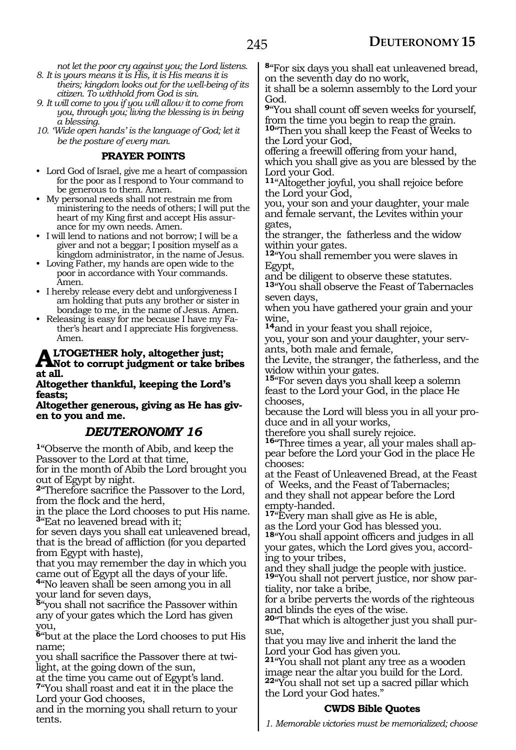*not let the poor cry against you; the Lord listens. 8. It is yours means it is His, it is His means it is* 

- *theirs; kingdom looks out for the well-being of its citizen. To withhold from God is sin.*
- *9. It will come to you if you will allow it to come from you, through you; living the blessing is in being a blessing.*
- *10. 'Wide open hands' is the language of God; let it be the posture of every man.*

#### **PRAYER POINTS**

- Lord God of Israel, give me a heart of compassion for the poor as I respond to Your command to be generous to them. Amen.
- My personal needs shall not restrain me from ministering to the needs of others; I will put the heart of my King first and accept His assurance for my own needs. Amen.
- I will lend to nations and not borrow; I will be a giver and not a beggar; I position myself as a kingdom administrator, in the name of Jesus.
- Loving Father, my hands are open wide to the poor in accordance with Your commands. Amen.
- I hereby release every debt and unforgiveness I am holding that puts any brother or sister in bondage to me, in the name of Jesus. Amen.
- Releasing is easy for me because I have my Father's heart and I appreciate His forgiveness. Amen.

# **ALTOGETHER holy, altogether just;**<br>Not to corrupt judgment or take bribes **at all.**

#### **Altogether thankful, keeping the Lord's feasts;**

**Altogether generous, giving as He has given to you and me.**

# *DEUTERONOMY 16*

**<sup>1</sup>**"Observe the month of Abib, and keep the Passover to the Lord at that time, for in the month of Abib the Lord brought you out of Egypt by night.

**<sup>2</sup>**"Therefore sacrifice the Passover to the Lord, from the flock and the herd,

in the place the Lord chooses to put His name. **<sup>3</sup>**"Eat no leavened bread with it;

for seven days you shall eat unleavened bread, that is the bread of affliction (for you departed from Egypt with haste),

that you may remember the day in which you came out of Egypt all the days of your life.

**<sup>4</sup>**"No leaven shall be seen among you in all your land for seven days,

**<sup>5</sup>**"you shall not sacrifice the Passover within any of your gates which the Lord has given you,

**<sup>6</sup>**"but at the place the Lord chooses to put His name;

you shall sacrifice the Passover there at twilight, at the going down of the sun,

at the time you came out of Egypt's land. **<sup>7</sup>**"You shall roast and eat it in the place the Lord your God chooses,

and in the morning you shall return to your tents.

**<sup>8</sup>**"For six days you shall eat unleavened bread, on the seventh day do no work,

it shall be a solemn assembly to the Lord your God.

**<sup>9</sup>**"You shall count off seven weeks for yourself, from the time you begin to reap the grain.

**<sup>10</sup>**"Then you shall keep the Feast of Weeks to the Lord your God,

offering a freewill offering from your hand, which you shall give as you are blessed by the Lord your God.

**<sup>11</sup>**"Altogether joyful, you shall rejoice before the Lord your God,

you, your son and your daughter, your male and female servant, the Levites within your gates,

the stranger, the fatherless and the widow within your gates.

**<sup>12</sup>**"You shall remember you were slaves in Egypt,

and be diligent to observe these statutes.

**<sup>13</sup>**"You shall observe the Feast of Tabernacles seven days,

when you have gathered your grain and your wine,

**<sup>14</sup>**and in your feast you shall rejoice, you, your son and your daughter, your serv-

ants, both male and female, the Levite, the stranger, the fatherless, and the widow within your gates.

**<sup>15</sup>**"For seven days you shall keep a solemn feast to the Lord your God, in the place He chooses,

because the Lord will bless you in all your pro- duce and in all your works,

therefore you shall surely rejoice.

**16**"Three times a year, all your males shall appear before the Lord your God in the place He chooses:

at the Feast of Unleavened Bread, at the Feast of Weeks, and the Feast of Tabernacles; and they shall not appear before the Lord empty-handed.

**<sup>17</sup>**"Every man shall give as He is able,

as the Lord your God has blessed you. **<sup>18</sup>**"You shall appoint officers and judges in all your gates, which the Lord gives you, accord- ing to your tribes,

and they shall judge the people with justice. **<sup>19</sup>**"You shall not pervert justice, nor show par- tiality, nor take a bribe,

for a bribe perverts the words of the righteous and blinds the eyes of the wise.

**20**"That which is altogether just you shall pursue,

that you may live and inherit the land the Lord your God has given you.

**<sup>21</sup>**"You shall not plant any tree as a wooden image near the altar you build for the Lord. **<sup>22</sup>**"You shall not set up a sacred pillar which the Lord your God hates."

#### **CWDS Bible Quotes**

*1. Memorable victories must be memorialized; choose*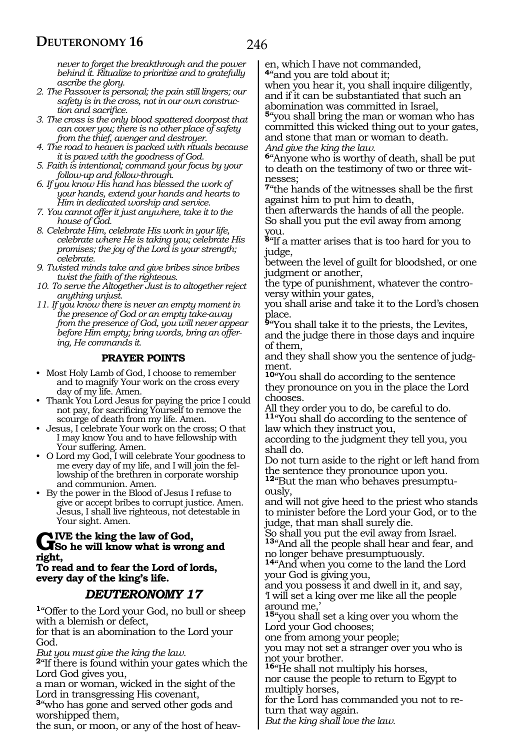*never to forget the breakthrough and the power behind it. Ritualize to prioritize and to gratefully ascribe the glory.*

- *2. The Passover is personal; the pain still lingers; our safety is in the cross, not in our own construction and sacrifice.*
- *3. The cross is the only blood spattered doorpost that can cover you; there is no other place of safety from the thief, avenger and destroyer.*
- *4. The road to heaven is packed with rituals because it is paved with the goodness of God.*
- *5. Faith is intentional; command your focus by your follow-up and follow-through.*
- *6. If you know His hand has blessed the work of your hands, extend your hands and hearts to Him in dedicated worship and service.*
- *7. You cannot offer it just anywhere, take it to the house of God.*
- *8. Celebrate Him, celebrate His work in your life, celebrate where He is taking you; celebrate His promises; the joy of the Lord is your strength; celebrate.*
- *9. Twisted minds take and give bribes since bribes twist the faith of the righteous.*
- *10. To serve the Altogether Just is to altogether reject anything unjust.*
- *11. If you know there is never an empty moment in the presence of God or an empty take-away from the presence of God, you will never appear before Him empty; bring words, bring an offering, He commands it.*

#### **PRAYER POINTS**

- Most Holy Lamb of God, I choose to remember and to magnify Your work on the cross every day of my life. Amen.
- Thank You Lord Jesus for paying the price I could not pay, for sacrificing Yourself to remove the scourge of death from my life. Amen.
- Jesus, I celebrate Your work on the cross; O that I may know You and to have fellowship with Your suffering. Amen.
- O Lord my God, I will celebrate Your goodness to me every day of my life, and I will join the fellowship of the brethren in corporate worship and communion. Amen.
- By the power in the Blood of Jesus I refuse to give or accept bribes to corrupt justice. Amen. Jesus, I shall live righteous, not detestable in Your sight. Amen.

# **GIVE** the king the law of God,<br>
So he will know what is wrong and **right,**

#### **To read and to fear the Lord of lords, every day of the king's life.**

# *DEUTERONOMY 17*

**<sup>1</sup>**"Offer to the Lord your God, no bull or sheep with a blemish or defect,

for that is an abomination to the Lord your God.

*But you must give the king the law.*

**<sup>2</sup>**"If there is found within your gates which the Lord God gives you,

a man or woman, wicked in the sight of the Lord in transgressing His covenant,

**<sup>3</sup>**"who has gone and served other gods and worshipped them,

the sun, or moon, or any of the host of heav-

en, which I have not commanded, **<sup>4</sup>**"and you are told about it; when you hear it, you shall inquire diligently,

and if it can be substantiated that such an abomination was committed in Israel,

**<sup>5</sup>**"you shall bring the man or woman who has committed this wicked thing out to your gates, and stone that man or woman to death. *And give the king the law.*

**<sup>6</sup>**"Anyone who is worthy of death, shall be put to death on the testimony of two or three witnesses;

**<sup>7</sup>**"the hands of the witnesses shall be the first against him to put him to death,

then afterwards the hands of all the people. So shall you put the evil away from among you.

**<sup>8</sup>**"If a matter arises that is too hard for you to judge,

between the level of guilt for bloodshed, or one judgment or another,

the type of punishment, whatever the controversy within your gates,

you shall arise and take it to the Lord's chosen place.

**<sup>9</sup>**"You shall take it to the priests, the Levites, and the judge there in those days and inquire of them,

and they shall show you the sentence of judgment.

**<sup>10</sup>**"You shall do according to the sentence they pronounce on you in the place the Lord chooses.

All they order you to do, be careful to do. **<sup>11</sup>**"You shall do according to the sentence of law which they instruct you,

according to the judgment they tell you, you shall do.

Do not turn aside to the right or left hand from the sentence they pronounce upon you.

**12**"But the man who behaves presumptuously,

and will not give heed to the priest who stands to minister before the Lord your God, or to the judge, that man shall surely die.

So shall you put the evil away from Israel. **<sup>13</sup>**"And all the people shall hear and fear, and no longer behave presumptuously.

**<sup>14</sup>**"And when you come to the land the Lord your God is giving you,

and you possess it and dwell in it, and say, 'I will set a king over me like all the people around me,'

**<sup>15</sup>**"you shall set a king over you whom the Lord your God chooses;

one from among your people;

you may not set a stranger over you who is not your brother.

**<sup>16</sup>**"He shall not multiply his horses,

nor cause the people to return to Egypt to multiply horses,

for the Lord has commanded you not to return that way again.

*But the king shall love the law.*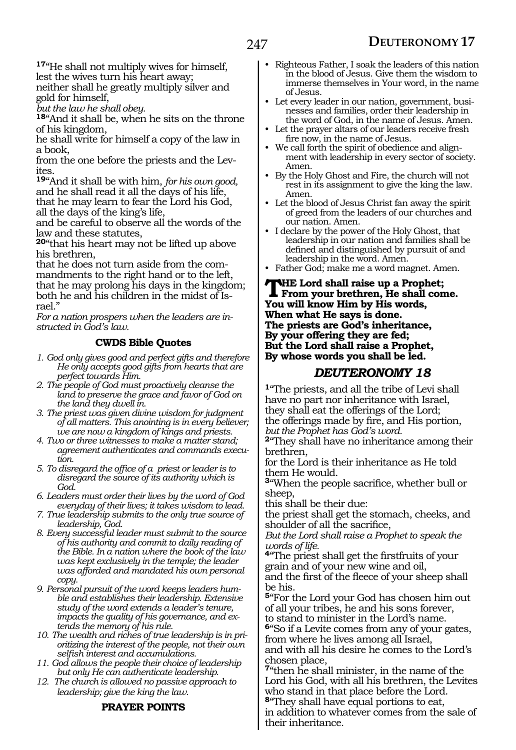**<sup>17</sup>**"He shall not multiply wives for himself, lest the wives turn his heart away;

neither shall he greatly multiply silver and gold for himself,

*but the law he shall obey.*

**<sup>18</sup>**"And it shall be, when he sits on the throne of his kingdom,

he shall write for himself a copy of the law in a book,

from the one before the priests and the Levites.

**<sup>19</sup>**"And it shall be with him, *for his own good,* and he shall read it all the days of his life, that he may learn to fear the Lord his God, all the days of the king's life,

and be careful to observe all the words of the law and these statutes,

**<sup>20</sup>**"that his heart may not be lifted up above his brethren,<br>that he does not turn aside from the com-

mandments to the right hand or to the left, that he may prolong his days in the kingdom; both he and his children in the midst of Is- rael."

*For a nation prospers when the leaders are instructed in God's law.* 

#### **CWDS Bible Quotes**

- *1. God only gives good and perfect gifts and therefore He only accepts good gifts from hearts that are perfect towards Him.*
- *2. The people of God must proactively cleanse the land to preserve the grace and favor of God on the land they dwell in.*
- *3. The priest was given divine wisdom for judgment of all matters. This anointing is in every believer; we are now a kingdom of kings and priests.*
- *4. Two or three witnesses to make a matter stand; agreement authenticates and commands execution.*
- *5. To disregard the office of a priest or leader is to disregard the source of its authority which is God.*
- *6. Leaders must order their lives by the word of God everyday of their lives; it takes wisdom to lead.*
- *7. True leadership submits to the only true source of leadership, God.*
- *8. Every successful leader must submit to the source of his authority and commit to daily reading of the Bible. In a nation where the book of the law was kept exclusively in the temple; the leader was afforded and mandated his own personal copy.*
- *9. Personal pursuit of the word keeps leaders humble and establishes their leadership. Extensive study of the word extends a leader's tenure, impacts the quality of his governance, and extends the memory of his rule.*
- *10. The wealth and riches of true leadership is in prioritizing the interest of the people, not their own selfish interest and accumulations.*
- *11. God allows the people their choice of leadership but only He can authenticate leadership.*
- *12. The church is allowed no passive approach to leadership; give the king the law.*

#### **PRAYER POINTS**

- Righteous Father, I soak the leaders of this nation in the blood of Jesus. Give them the wisdom to immerse themselves in Your word, in the name of Jesus.
- Let every leader in our nation, government, businesses and families, order their leadership in the word of God, in the name of Jesus. Amen.
- Let the prayer altars of our leaders receive fresh fire now, in the name of Jesus.
- We call forth the spirit of obedience and alignment with leadership in every sector of society. Amen.
- By the Holy Ghost and Fire, the church will not rest in its assignment to give the king the law. Amen.
- Let the blood of Jesus Christ fan away the spirit of greed from the leaders of our churches and our nation. Amen.
- I declare by the power of the Holy Ghost, that leadership in our nation and families shall be defined and distinguished by pursuit of and leadership in the word. Amen.
- Father God; make me a word magnet. Amen.

#### **THE Lord shall raise up a Prophet;**<br>
From your brethren, He shall come.<br>
You will know Him by His words **You will know Him by His words, When what He says is done. The priests are God's inheritance, By your offering they are fed; But the Lord shall raise a Prophet, By whose words you shall be led.**

### *DEUTERONOMY 18*

**<sup>1</sup>**"The priests, and all the tribe of Levi shall have no part nor inheritance with Israel, they shall eat the offerings of the Lord; the offerings made by fire, and His portion, *but the Prophet has God's word.* 

**<sup>2</sup>**"They shall have no inheritance among their brethren,

for the Lord is their inheritance as He told them He would.

**<sup>3</sup>**"When the people sacrifice, whether bull or sheep,

this shall be their due:

the priest shall get the stomach, cheeks, and shoulder of all the sacrifice,

*But the Lord shall raise a Prophet to speak the words of life.* 

**<sup>4</sup>**"The priest shall get the firstfruits of your grain and of your new wine and oil,

and the first of the fleece of your sheep shall be his.

**<sup>5</sup>**"For the Lord your God has chosen him out of all your tribes, he and his sons forever,

to stand to minister in the Lord's name. **<sup>6</sup>**"So if a Levite comes from any of your gates, from where he lives among all Israel, and with all his desire he comes to the Lord's

chosen place, **<sup>7</sup>**"then he shall minister, in the name of the

Lord his God, with all his brethren, the Levites who stand in that place before the Lord. **<sup>8</sup>**"They shall have equal portions to eat,

in addition to whatever comes from the sale of their inheritance.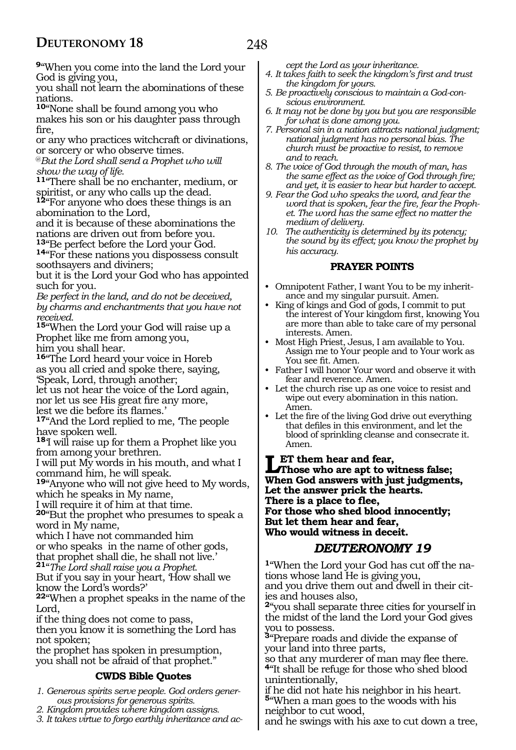**<sup>9</sup>**"When you come into the land the Lord your God is giving you,

you shall not learn the abominations of these nations.

**<sup>10</sup>**"None shall be found among you who makes his son or his daughter pass through fire,

or any who practices witchcraft or divinations, or sorcery or who observe times.

@*But the Lord shall send a Prophet who will show the way of life.* 

**<sup>11</sup>**"There shall be no enchanter, medium, or spiritist, or any who calls up the dead.

**<sup>12</sup>**"For anyone who does these things is an abomination to the Lord,

and it is because of these abominations the nations are driven out from before you.<br><sup>13</sup> Be perfect before the Lord your God.

14"For these nations you dispossess consult soothsayers and diviners;

but it is the Lord your God who has appointed such for you.

*Be perfect in the land, and do not be deceived, by charms and enchantments that you have not received.* 

**<sup>15</sup>**"When the Lord your God will raise up a Prophet like me from among you, him you shall hear.

**<sup>16</sup>**"The Lord heard your voice in Horeb as you all cried and spoke there, saying, 'Speak, Lord, through another;

let us not hear the voice of the Lord again, nor let us see His great fire any more, lest we die before its flames.'

**<sup>17</sup>**"And the Lord replied to me, 'The people have spoken well.

**<sup>18</sup>**'I will raise up for them a Prophet like you from among your brethren.

I will put My words in his mouth, and what I command him, he will speak.

**<sup>19</sup>**"Anyone who will not give heed to My words, which he speaks in My name,

I will require it of him at that time.

**<sup>20</sup>**"But the prophet who presumes to speak a word in My name,

which I have not commanded him or who speaks in the name of other gods, that prophet shall die, he shall not live.'

**<sup>21</sup>**"*The Lord shall raise you a Prophet.* 

But if you say in your heart, 'How shall we know the Lord's words?'

**<sup>22</sup>**"When a prophet speaks in the name of the Lord,

if the thing does not come to pass,

then you know it is something the Lord has not spoken;

the prophet has spoken in presumption, you shall not be afraid of that prophet."

#### **CWDS Bible Quotes**

*1. Generous spirits serve people. God orders generous provisions for generous spirits.*

*2. Kingdom provides where kingdom assigns.*

*3. It takes virtue to forgo earthly inheritance and ac-*

*cept the Lord as your inheritance.*

- *4. It takes faith to seek the kingdom's first and trust the kingdom for yours.*
- *5. Be proactively conscious to maintain a God-conscious environment.*
- *6. It may not be done by you but you are responsible for what is done among you.*
- *7. Personal sin in a nation attracts national judgment; national judgment has no personal bias. The church must be proactive to resist, to remove and to reach.*
- *8. The voice of God through the mouth of man, has the same effect as the voice of God through fire; and yet, it is easier to hear but harder to accept.*
- *9. Fear the God who speaks the word, and fear the word that is spoken, fear the fire, fear the Prophet. The word has the same effect no matter the medium of delivery.*
- *10. The authenticity is determined by its potency; the sound by its effect; you know the prophet by his accuracy.*

#### **PRAYER POINTS**

- Omnipotent Father, I want You to be my inheritance and my singular pursuit. Amen.
- King of kings and God of gods, I commit to put the interest of Your kingdom first, knowing You are more than able to take care of my personal interests. Amen.
- Most High Priest, Jesus, I am available to You. Assign me to Your people and to Your work as You see fit. Amen.
- Father I will honor Your word and observe it with fear and reverence. Amen.
- Let the church rise up as one voice to resist and wipe out every abomination in this nation. Amen.
- Let the fire of the living God drive out everything that defiles in this environment, and let the blood of sprinkling cleanse and consecrate it. Amen.

**Let them hear and fear, Those who are apt to witness false; When God answers with just judgments, Let the answer prick the hearts. There is a place to flee, For those who shed blood innocently; But let them hear and fear, Who would witness in deceit.**

#### *DEUTERONOMY 19*

**1**"When the Lord your God has cut off the nations whose land He is giving you, and you drive them out and dwell in their cities and houses also,

**<sup>2</sup>**"you shall separate three cities for yourself in the midst of the land the Lord your God gives you to possess.

**<sup>3</sup>**"Prepare roads and divide the expanse of your land into three parts,

so that any murderer of man may flee there. **<sup>4</sup>**"It shall be refuge for those who shed blood unintentionally,

if he did not hate his neighbor in his heart. **<sup>5</sup>**"When a man goes to the woods with his neighbor to cut wood,

and he swings with his axe to cut down a tree,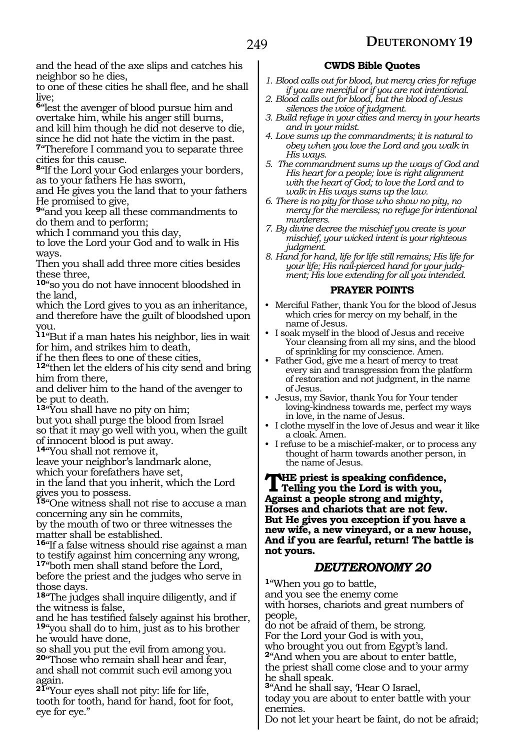and the head of the axe slips and catches his neighbor so he dies,

to one of these cities he shall flee, and he shall live;

**<sup>6</sup>**"lest the avenger of blood pursue him and overtake him, while his anger still burns, and kill him though he did not deserve to die, since he did not hate the victim in the past.

**<sup>7</sup>**"Therefore I command you to separate three cities for this cause.

**<sup>8</sup>**"If the Lord your God enlarges your borders, as to your fathers He has sworn,

and He gives you the land that to your fathers He promised to give,

**<sup>9</sup>**"and you keep all these commandments to do them and to perform;

which I command you this day,

to love the Lord your God and to walk in His ways.

Then you shall add three more cities besides these three,

**<sup>10</sup>**"so you do not have innocent bloodshed in the land,

which the Lord gives to you as an inheritance, and therefore have the guilt of bloodshed upon you.

**<sup>11</sup>**"But if a man hates his neighbor, lies in wait for him, and strikes him to death,

if he then flees to one of these cities,

**<sup>12</sup>**"then let the elders of his city send and bring him from there,

and deliver him to the hand of the avenger to be put to death.

**<sup>13</sup>**"You shall have no pity on him;

but you shall purge the blood from Israel

so that it may go well with you, when the guilt of innocent blood is put away.

**<sup>14</sup>**"You shall not remove it,

leave your neighbor's landmark alone,

which your forefathers have set,

in the land that you inherit, which the Lord gives you to possess.

**<sup>15</sup>**"One witness shall not rise to accuse a man concerning any sin he commits,

by the mouth of two or three witnesses the matter shall be established.

**<sup>16</sup>**"If a false witness should rise against a man to testify against him concerning any wrong,

**<sup>17</sup>**"both men shall stand before the Lord, before the priest and the judges who serve in those days.

**<sup>18</sup>**"The judges shall inquire diligently, and if the witness is false,

and he has testified falsely against his brother, **<sup>19</sup>**"you shall do to him, just as to his brother he would have done,

so shall you put the evil from among you. **<sup>20</sup>**"Those who remain shall hear and fear, and shall not commit such evil among you again.

**<sup>21</sup>**"Your eyes shall not pity: life for life, tooth for tooth, hand for hand, foot for foot, eye for eye."

#### **CWDS Bible Quotes**

- *1. Blood calls out for blood, but mercy cries for refuge if you are merciful or if you are not intentional.*
- *2. Blood calls out for blood, but the blood of Jesus silences the voice of judgment.*
- *3. Build refuge in your cities and mercy in your hearts and in your midst.*

*4. Love sums up the commandments; it is natural to obey when you love the Lord and you walk in His ways.*

*5. The commandment sums up the ways of God and His heart for a people; love is right alignment with the heart of God; to love the Lord and to walk in His ways sums up the law.*

*6. There is no pity for those who show no pity, no mercy for the merciless; no refuge for intentional murderers.*

*7. By divine decree the mischief you create is your mischief, your wicked intent is your righteous judgment.*

*8. Hand for hand, life for life still remains; His life for your life; His nail-pierced hand for your judgment; His love extending for all you intended.*

#### **PRAYER POINTS**

• Merciful Father, thank You for the blood of Jesus which cries for mercy on my behalf, in the name of Jesus.

• I soak myself in the blood of Jesus and receive Your cleansing from all my sins, and the blood of sprinkling for my conscience. Amen.

• Father God, give me a heart of mercy to treat every sin and transgression from the platform of restoration and not judgment, in the name of Jesus.

• Jesus, my Savior, thank You for Your tender loving-kindness towards me, perfect my ways in love, in the name of Jesus.

• I clothe myself in the love of Jesus and wear it like a cloak. Amen.

• I refuse to be a mischief-maker, or to process any thought of harm towards another person, in the name of Jesus.

**THE** priest is speaking confidence,<br> **Telling you the Lord is with you, Against a people strong and mighty, Horses and chariots that are not few. But He gives you exception if you have a new wife, a new vineyard, or a new house, And if you are fearful, return! The battle is not yours.**

### *DEUTERONOMY 20*

**<sup>1</sup>**"When you go to battle, and you see the enemy come with horses, chariots and great numbers of people,

do not be afraid of them, be strong.

For the Lord your God is with you,

who brought you out from Egypt's land.

**<sup>2</sup>**"And when you are about to enter battle, the priest shall come close and to your army he shall speak.

**<sup>3</sup>**"And he shall say, 'Hear O Israel,

today you are about to enter battle with your enemies.

Do not let your heart be faint, do not be afraid;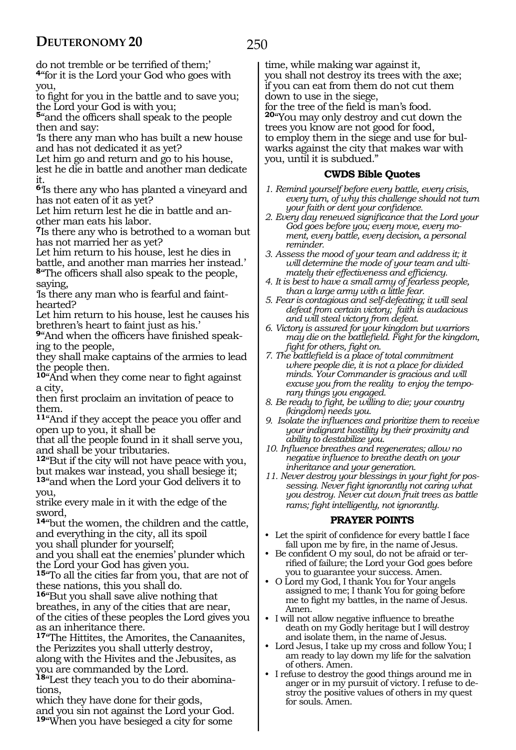250

do not tremble or be terrified of them;' **<sup>4</sup>**"for it is the Lord your God who goes with you,

to fight for you in the battle and to save you; the Lord your God is with you;

**<sup>5</sup>**"and the officers shall speak to the people then and say:

'Is there any man who has built a new house and has not dedicated it as yet?

Let him go and return and go to his house,

lest he die in battle and another man dedicate it.

**<sup>6</sup>**'Is there any who has planted a vineyard and has not eaten of it as yet?

Let him return lest he die in battle and another man eats his labor.

**<sup>7</sup>**Is there any who is betrothed to a woman but has not married her as yet?

Let him return to his house, lest he dies in battle, and another man marries her instead.'

**<sup>8</sup>**"The officers shall also speak to the people, saying,

'Is there any man who is fearful and fainthearted?

Let him return to his house, lest he causes his brethren's heart to faint just as his.'

**9**"And when the officers have finished speaking to the people,

they shall make captains of the armies to lead the people then.

**<sup>10</sup>**"And when they come near to fight against a city,

then first proclaim an invitation of peace to them.

**<sup>11</sup>**"And if they accept the peace you offer and open up to you, it shall be

that all the people found in it shall serve you, and shall be your tributaries.

**<sup>12</sup>**"But if the city will not have peace with you, but makes war instead, you shall besiege it; **<sup>13</sup>**"and when the Lord your God delivers it to

you,

strike every male in it with the edge of the sword,

**<sup>14</sup>**"but the women, the children and the cattle, and everything in the city, all its spoil you shall plunder for yourself;

and you shall eat the enemies' plunder which the Lord your God has given you.

**<sup>15</sup>**"To all the cities far from you, that are not of these nations, this you shall do.

**<sup>16</sup>**"But you shall save alive nothing that breathes, in any of the cities that are near, of the cities of these peoples the Lord gives you as an inheritance there.

**<sup>17</sup>**"The Hittites, the Amorites, the Canaanites, the Perizzites you shall utterly destroy, along with the Hivites and the Jebusites, as you are commanded by the Lord.

**18**"Lest they teach you to do their abominations,

which they have done for their gods, and you sin not against the Lord your God. **<sup>19</sup>**"When you have besieged a city for some

time, while making war against it, you shall not destroy its trees with the axe; if you can eat from them do not cut them down to use in the siege, for the tree of the field is man's food. **<sup>20</sup>**"You may only destroy and cut down the trees you know are not good for food, to employ them in the siege and use for bulwarks against the city that makes war with you, until it is subdued."

#### **CWDS Bible Quotes**

- *1. Remind yourself before every battle, every crisis, every turn, of why this challenge should not turn your faith or dent your confidence.*
- *2. Every day renewed significance that the Lord your God goes before you; every move, every moment, every battle, every decision, a personal reminder.*
- *3. Assess the mood of your team and address it; it will determine the mode of your team and ultimately their effectiveness and efficiency.*
- *4. It is best to have a small army of fearless people, than a large army with a little fear.*
- *5. Fear is contagious and self-defeating; it will seal defeat from certain victory; faith is audacious and will steal victory from defeat.*
- *6. Victory is assured for your kingdom but warriors may die on the battlefield. Fight for the kingdom, fight for others, fight on.*
- *7. The battlefield is a place of total commitment where people die, it is not a place for divided minds. Your Commander is gracious and will excuse you from the reality to enjoy the temporary things you engaged.*
- *8. Be ready to fight, be willing to die; your country (kingdom) needs you.*
- *9. Isolate the influences and prioritize them to receive your indignant hostility by their proximity and ability to destabilize you.*
- *10. Influence breathes and regenerates; allow no negative influence to breathe death on your inheritance and your generation.*
- *11. Never destroy your blessings in your fight for possessing. Never fight ignorantly not caring what you destroy. Never cut down fruit trees as battle rams; fight intelligently, not ignorantly.*

#### **PRAYER POINTS**

- Let the spirit of confidence for every battle I face fall upon me by fire, in the name of Jesus.
- Be confident O my soul, do not be afraid or terrified of failure; the Lord your God goes before you to guarantee your success. Amen.
- O Lord my God, I thank You for Your angels assigned to me; I thank You for going before me to fight my battles, in the name of Jesus. Amen.
- I will not allow negative influence to breathe death on my Godly heritage but I will destroy and isolate them, in the name of Jesus.
- Lord Jesus, I take up my cross and follow You; I am ready to lay down my life for the salvation of others. Amen.
- I refuse to destroy the good things around me in anger or in my pursuit of victory. I refuse to destroy the positive values of others in my quest for souls. Amen.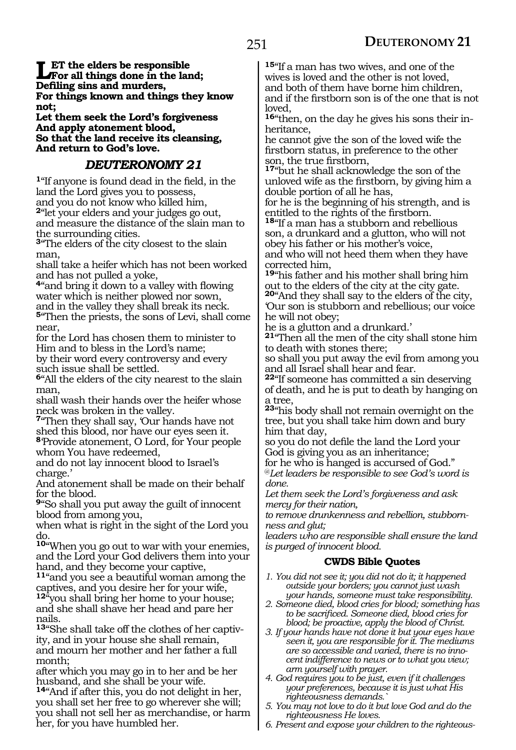**Let the elders be responsible**<br>For all things done in the land;<br>Defiling sins and murders **Defiling sins and murders, For things known and things they know not;**

**Let them seek the Lord's forgiveness And apply atonement blood, So that the land receive its cleansing, And return to God's love.**

#### *DEUTERONOMY 21*

**<sup>1</sup>**"If anyone is found dead in the field, in the land the Lord gives you to possess, and you do not know who killed him, **<sup>2</sup>**"let your elders and your judges go out, and measure the distance of the slain man to the surrounding cities.

**<sup>3</sup>**"The elders of the city closest to the slain man,

shall take a heifer which has not been worked and has not pulled a yoke,

**<sup>4</sup>**"and bring it down to a valley with flowing water which is neither plowed nor sown, and in the valley they shall break its neck. **<sup>5</sup>**"Then the priests, the sons of Levi, shall come near,

for the Lord has chosen them to minister to Him and to bless in the Lord's name; by their word every controversy and every such issue shall be settled.

**<sup>6</sup>**"All the elders of the city nearest to the slain man,

shall wash their hands over the heifer whose neck was broken in the valley.

**<sup>7</sup>**"Then they shall say, 'Our hands have not shed this blood, nor have our eyes seen it. **<sup>8</sup>**'Provide atonement, O Lord, for Your people whom You have redeemed,

and do not lay innocent blood to Israel's charge.'

And atonement shall be made on their behalf for the blood.

**<sup>9</sup>**"So shall you put away the guilt of innocent blood from among you,

when what is right in the sight of the Lord you do.

**<sup>10</sup>**"When you go out to war with your enemies, and the Lord your God delivers them into your hand, and they become your captive,

**<sup>11</sup>**"and you see a beautiful woman among the captives, and you desire her for your wife, **<sup>12</sup>**"you shall bring her home to your house; and she shall shave her head and pare her nails.

**13**"She shall take off the clothes of her captivity, and in your house she shall remain, and mourn her mother and her father a full month;

after which you may go in to her and be her husband, and she shall be your wife.

**<sup>14</sup>**"And if after this, you do not delight in her, you shall set her free to go wherever she will; you shall not sell her as merchandise, or harm her, for you have humbled her.

**<sup>15</sup>**"If a man has two wives, and one of the wives is loved and the other is not loved, and both of them have borne him children, and if the firstborn son is of the one that is not loved,

**16**"then, on the day he gives his sons their inheritance,

he cannot give the son of the loved wife the firstborn status, in preference to the other son, the true firstborn,

**<sup>17</sup>**"but he shall acknowledge the son of the unloved wife as the firstborn, by giving him a double portion of all he has,

for he is the beginning of his strength, and is entitled to the rights of the firstborn.

**<sup>18</sup>**"If a man has a stubborn and rebellious son, a drunkard and a glutton, who will not obey his father or his mother's voice, and who will not heed them when they have corrected him,

**<sup>19</sup>**"his father and his mother shall bring him out to the elders of the city at the city gate.

**<sup>20</sup>**"And they shall say to the elders of the city, 'Our son is stubborn and rebellious; our voice he will not obey;

he is a glutton and a drunkard.'

**<sup>21</sup>**"Then all the men of the city shall stone him to death with stones there;

so shall you put away the evil from among you and all Israel shall hear and fear.

**<sup>22</sup>**"If someone has committed a sin deserving of death, and he is put to death by hanging on a tree,

**<sup>23</sup>**"his body shall not remain overnight on the tree, but you shall take him down and bury him that day,

so you do not defile the land the Lord your God is giving you as an inheritance;

for he who is hanged is accursed of God." @*Let leaders be responsible to see God's word is done.*

*Let them seek the Lord's forgiveness and ask mercy for their nation,* 

*to remove drunkenness and rebellion, stubbornness and glut;*

*leaders who are responsible shall ensure the land is purged of innocent blood.*

#### **CWDS Bible Quotes**

- *1. You did not see it; you did not do it; it happened outside your borders; you cannot just wash your hands, someone must take responsibility.*
- *2. Someone died, blood cries for blood; something has to be sacrificed. Someone died, blood cries for blood; be proactive, apply the blood of Christ.*
- *3. If your hands have not done it but your eyes have seen it, you are responsible for it. The mediums are so accessible and varied, there is no innocent indifference to news or to what you view; arm yourself with prayer.*
- *4. God requires you to be just, even if it challenges your preferences, because it is just what His righteousness demands.`*
- *5. You may not love to do it but love God and do the righteousness He loves.*
- *6. Present and expose your children to the righteous-*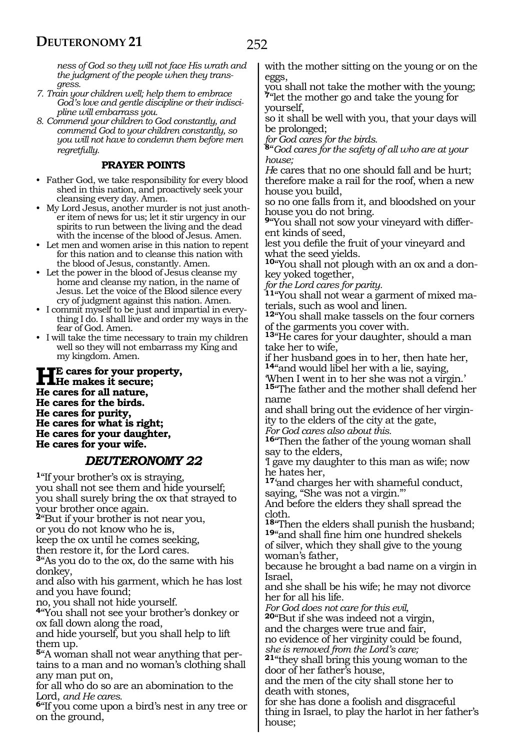*ness of God so they will not face His wrath and the judgment of the people when they transgress.*

- *7. Train your children well; help them to embrace God's love and gentle discipline or their indiscipline will embarrass you.*
- *8. Commend your children to God constantly, and commend God to your children constantly, so you will not have to condemn them before men regretfully.*

#### **PRAYER POINTS**

- Father God, we take responsibility for every blood shed in this nation, and proactively seek your cleansing every day. Amen.
- My Lord Jesus, another murder is not just another item of news for us; let it stir urgency in our spirits to run between the living and the dead with the incense of the blood of Jesus. Amen.
- Let men and women arise in this nation to repent for this nation and to cleanse this nation with the blood of Jesus, constantly. Amen.
- Let the power in the blood of Jesus cleanse my home and cleanse my nation, in the name of Jesus. Let the voice of the Blood silence every cry of judgment against this nation. Amen.
- I commit myself to be just and impartial in everything I do. I shall live and order my ways in the fear of God. Amen.
- I will take the time necessary to train my children well so they will not embarrass my King and my kingdom. Amen.

**He cares for your property, He makes it secure; He cares for all nature, He cares for the birds. He cares for purity, He cares for what is right; He cares for your daughter, He cares for your wife.**

### *DEUTERONOMY 22*

**<sup>1</sup>**"If your brother's ox is straying, you shall not see them and hide yourself; you shall surely bring the ox that strayed to your brother once again. **<sup>2</sup>**"But if your brother is not near you, or you do not know who he is, keep the ox until he comes seeking, then restore it, for the Lord cares. **<sup>3</sup>**"As you do to the ox, do the same with his donkey, and also with his garment, which he has lost and you have found; no, you shall not hide yourself. **<sup>4</sup>**"You shall not see your brother's donkey or ox fall down along the road, and hide yourself, but you shall help to lift them up. **5**"A woman shall not wear anything that pertains to a man and no woman's clothing shall any man put on, for all who do so are an abomination to the Lord, *and He cares.*

**<sup>6</sup>**"If you come upon a bird's nest in any tree or on the ground,

you shall not take the mother with the young; **<sup>7</sup>**"let the mother go and take the young for yourself,

so it shall be well with you, that your days will be prolonged;

*for God cares for the birds.*

**<sup>8</sup>**"*God cares for the safety of all who are at your house;*

*H*e cares that no one should fall and be hurt; therefore make a rail for the roof, when a new house you build,

so no one falls from it, and bloodshed on your house you do not bring.

**9**"You shall not sow your vineyard with different kinds of seed,

lest you defile the fruit of your vineyard and what the seed yields.

**10**"You shall not plough with an ox and a donkey yoked together,

*for the Lord cares for parity.*

**11**"You shall not wear a garment of mixed materials, such as wool and linen.

**<sup>12</sup>**"You shall make tassels on the four corners of the garments you cover with.

**<sup>13</sup>**"He cares for your daughter, should a man take her to wife,

if her husband goes in to her, then hate her, **<sup>14</sup>**"and would libel her with a lie, saying,

'When I went in to her she was not a virgin.'

**<sup>15</sup>**"The father and the mother shall defend her name

and shall bring out the evidence of her virgin- ity to the elders of the city at the gate,

*For God cares also about this.*

**<sup>16</sup>**"Then the father of the young woman shall say to the elders,

'I gave my daughter to this man as wife; now he hates her,

**<sup>17</sup>**'and charges her with shameful conduct, saying, "She was not a virgin."'

And before the elders they shall spread the cloth.

**<sup>18</sup>**"Then the elders shall punish the husband; **<sup>19</sup>**"and shall fine him one hundred shekels of silver, which they shall give to the young woman's father,

because he brought a bad name on a virgin in Israel,

and she shall be his wife; he may not divorce her for all his life.

*For God does not care for this evil,*

**<sup>20</sup>**"But if she was indeed not a virgin,

and the charges were true and fair, no evidence of her virginity could be found,

*she is removed from the Lord's care;*

**<sup>21</sup>**"they shall bring this young woman to the door of her father's house,

and the men of the city shall stone her to death with stones,

for she has done a foolish and disgraceful thing in Israel, to play the harlot in her father's house;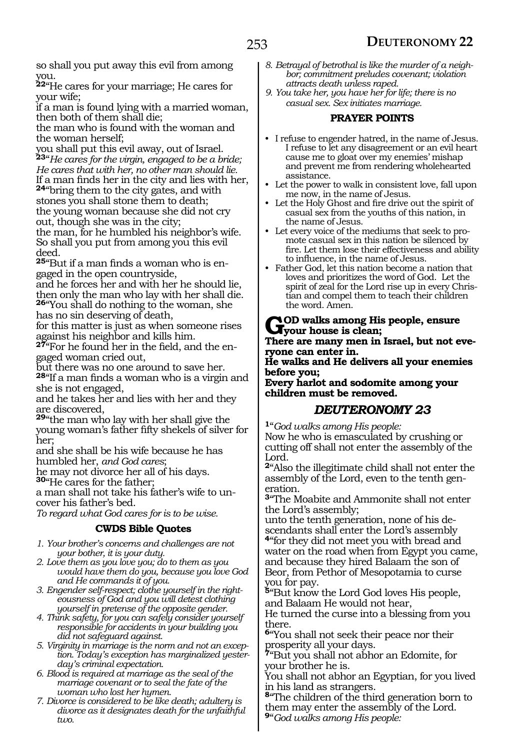so shall you put away this evil from among you.

**<sup>22</sup>**"He cares for your marriage; He cares for your wife;

if a man is found lying with a married woman, then both of them shall die;

the man who is found with the woman and the woman herself;

you shall put this evil away, out of Israel. **<sup>23</sup>**"*He cares for the virgin, engaged to be a bride; He cares that with her, no other man should lie.*

If a man finds her in the city and lies with her, **<sup>24</sup>**"bring them to the city gates, and with stones you shall stone them to death; the young woman because she did not cry out, though she was in the city;

the man, for he humbled his neighbor's wife. So shall you put from among you this evil deed.

**25**"But if a man finds a woman who is engaged in the open countryside,

and he forces her and with her he should lie, then only the man who lay with her shall die. **<sup>26</sup>**"You shall do nothing to the woman, she has no sin deserving of death,

for this matter is just as when someone rises against his neighbor and kills him.

**27**"For he found her in the field, and the engaged woman cried out,

but there was no one around to save her. **<sup>28</sup>**"If a man finds a woman who is a virgin and she is not engaged,

and he takes her and lies with her and they are discovered,

**<sup>29</sup>**"the man who lay with her shall give the young woman's father fifty shekels of silver for her;

and she shall be his wife because he has humbled her, *and God cares*;

he may not divorce her all of his days.

**<sup>30</sup>**"He cares for the father;

a man shall not take his father's wife to uncover his father's bed.

*To regard what God cares for is to be wise.*

#### **CWDS Bible Quotes**

- *1. Your brother's concerns and challenges are not your bother, it is your duty.*
- *2. Love them as you love you; do to them as you would have them do you, because you love God and He commands it of you.*
- *3. Engender self-respect; clothe yourself in the righteousness of God and you will detest clothing yourself in pretense of the opposite gender.*
- *4. Think safety, for you can safely consider yourself responsible for accidents in your building you did not safeguard against.*
- *5. Virginity in marriage is the norm and not an exception. Today's exception has marginalized yesterday's criminal expectation.*
- *6. Blood is required at marriage as the seal of the marriage covenant or to seal the fate of the woman who lost her hymen.*
- *7. Divorce is considered to be like death; adultery is divorce as it designates death for the unfaithful two.*
- *8. Betrayal of betrothal is like the murder of a neighbor; commitment preludes covenant; violation attracts death unless raped.*
- *9. You take her, you have her for life; there is no casual sex. Sex initiates marriage.*

#### **PRAYER POINTS**

- I refuse to engender hatred, in the name of Jesus. I refuse to let any disagreement or an evil heart cause me to gloat over my enemies' mishap and prevent me from rendering wholehearted assistance.
- Let the power to walk in consistent love, fall upon me now, in the name of Jesus.
- Let the Holy Ghost and fire drive out the spirit of casual sex from the youths of this nation, in the name of Jesus.
- Let every voice of the mediums that seek to promote casual sex in this nation be silenced by fire. Let them lose their effectiveness and ability to influence, in the name of Jesus.
- Father God, let this nation become a nation that loves and prioritizes the word of God. Let the spirit of zeal for the Lord rise up in every Christian and compel them to teach their children the word. Amen.

#### **God walks among His people, ensure your house is clean;**

**There are many men in Israel, but not everyone can enter in.**

**He walks and He delivers all your enemies before you;**

**Every harlot and sodomite among your children must be removed.**

#### *DEUTERONOMY 23*

**<sup>1</sup>**"*God walks among His people:*

Now he who is emasculated by crushing or cutting off shall not enter the assembly of the Lord.

**<sup>2</sup>**"Also the illegitimate child shall not enter the assembly of the Lord, even to the tenth generation.

**<sup>3</sup>**"The Moabite and Ammonite shall not enter the Lord's assembly;

unto the tenth generation, none of his descendants shall enter the Lord's assembly **<sup>4</sup>**"for they did not meet you with bread and water on the road when from Egypt you came, and because they hired Balaam the son of Beor, from Pethor of Mesopotamia to curse you for pay.

**<sup>5</sup>**"But know the Lord God loves His people, and Balaam He would not hear,

He turned the curse into a blessing from you there.

**<sup>6</sup>**"You shall not seek their peace nor their prosperity all your days.

**<sup>7</sup>**"But you shall not abhor an Edomite, for your brother he is.

You shall not abhor an Egyptian, for you lived in his land as strangers.

**<sup>8</sup>**"The children of the third generation born to them may enter the assembly of the Lord. **<sup>9</sup>**"*God walks among His people:*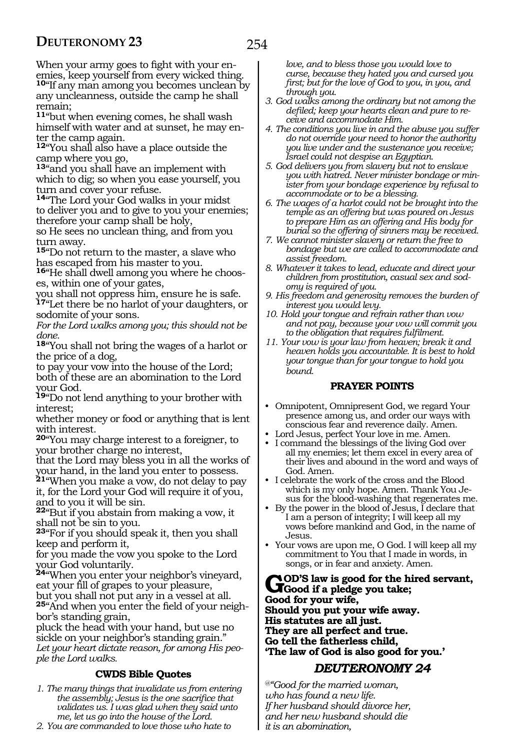When your army goes to fight with your enemies, keep yourself from every wicked thing. **<sup>10</sup>**"If any man among you becomes unclean by any uncleanness, outside the camp he shall remain;

**<sup>11</sup>**"but when evening comes, he shall wash himself with water and at sunset, he may enter the camp again.

**<sup>12</sup>**"You shall also have a place outside the camp where you go,

**<sup>13</sup>**"and you shall have an implement with which to dig; so when you ease yourself, you turn and cover your refuse.

**<sup>14</sup>**"The Lord your God walks in your midst to deliver you and to give to you your enemies; therefore your camp shall be holy,

so He sees no unclean thing, and from you turn away.

**<sup>15</sup>**"Do not return to the master, a slave who has escaped from his master to you.

**16**"He shall dwell among you where he chooses, within one of your gates,

you shall not oppress him, ensure he is safe.

**<sup>17</sup>**"Let there be no harlot of your daughters, or sodomite of your sons.

*For the Lord walks among you; this should not be done.*

**<sup>18</sup>**"You shall not bring the wages of a harlot or the price of a dog,

to pay your vow into the house of the Lord; both of these are an abomination to the Lord your God.

**<sup>19</sup>**"Do not lend anything to your brother with interest;

whether money or food or anything that is lent with interest.

**<sup>20</sup>**"You may charge interest to a foreigner, to your brother charge no interest,

that the Lord may bless you in all the works of your hand, in the land you enter to possess.

**<sup>21</sup>**"When you make a vow, do not delay to pay it, for the Lord your God will require it of you, and to you it will be sin.

**<sup>22</sup>**"But if you abstain from making a vow, it shall not be sin to you.

**<sup>23</sup>**"For if you should speak it, then you shall keep and perform it,

for you made the vow you spoke to the Lord your God voluntarily.

**<sup>24</sup>**"When you enter your neighbor's vineyard, eat your fill of grapes to your pleasure, but you shall not put any in a vessel at all. **25**"And when you enter the field of your neighbor's standing grain,

pluck the head with your hand, but use no sickle on your neighbor's standing grain." *Let your heart dictate reason, for among His people the Lord walks.*

#### **CWDS Bible Quotes**

*1. The many things that invalidate us from entering the assembly; Jesus is the one sacrifice that validates us. I was glad when they said unto me, let us go into the house of the Lord.*

*2. You are commanded to love those who hate to* 

*love, and to bless those you would love to curse, because they hated you and cursed you first; but for the love of God to you, in you, and through you.*

- *3. God walks among the ordinary but not among the defiled; keep your hearts clean and pure to receive and accommodate Him.*
- *4. The conditions you live in and the abuse you suffer do not override your need to honor the authority you live under and the sustenance you receive; Israel could not despise an Egyptian.*
- *5. God delivers you from slavery but not to enslave you with hatred. Never minister bondage or minister from your bondage experience by refusal to accommodate or to be a blessing.*
- *6. The wages of a harlot could not be brought into the temple as an offering but was poured on Jesus to prepare Him as an offering and His body for burial so the offering of sinners may be received.*
- *7. We cannot minister slavery or return the free to bondage but we are called to accommodate and assist freedom.*
- *8. Whatever it takes to lead, educate and direct your children from prostitution, casual sex and sodomy is required of you.*
- *9. His freedom and generosity removes the burden of interest you would levy.*
- *10. Hold your tongue and refrain rather than vow and not pay, because your vow will commit you to the obligation that requires fulfilment.*
- *11. Your vow is your law from heaven; break it and heaven holds you accountable. It is best to hold your tongue than for your tongue to hold you bound.*

#### **PRAYER POINTS**

- Omnipotent, Omnipresent God, we regard Your presence among us, and order our ways with conscious fear and reverence daily. Amen.
- Lord Jesus, perfect Your love in me. Amen.
- I command the blessings of the living God over all my enemies; let them excel in every area of their lives and abound in the word and ways of God. Amen.
- I celebrate the work of the cross and the Blood which is my only hope. Amen. Thank You Jesus for the blood-washing that regenerates me.
- By the power in the blood of Jesus, I declare that I am a person of integrity; I will keep all my vows before mankind and God, in the name of Jesus.
- Your vows are upon me, O God. I will keep all my commitment to You that I made in words, in songs, or in fear and anxiety. Amen.

GOD'S law is good for the hired servant,<br>
Good if a pledge you take;<br>
Good for many wife **Good for your wife, Should you put your wife away. His statutes are all just. They are all perfect and true. Go tell the fatherless child, 'The law of God is also good for you.'**

#### *DEUTERONOMY 24*

*@"Good for the married woman, who has found a new life. If her husband should divorce her, and her new husband should die it is an abomination,*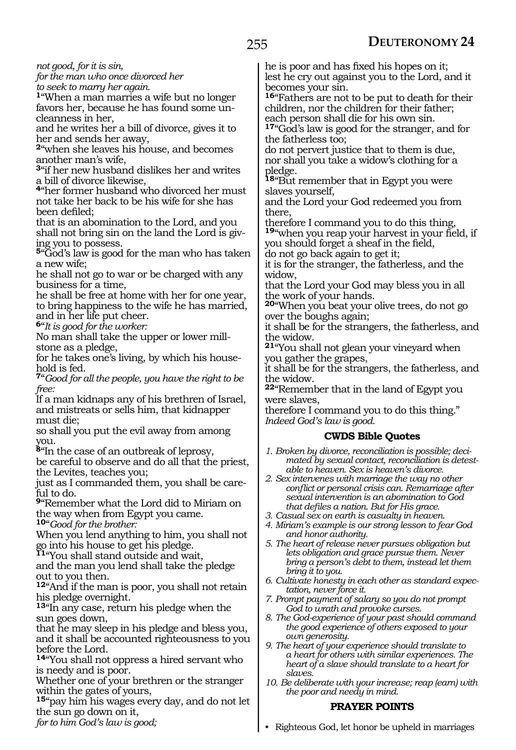*not good, for it is sin,*

*for the man who once divorced her to seek to marry her again.*

**<sup>1</sup>**"When a man marries a wife but no longer favors her, because he has found some un- cleanness in her,

and he writes her a bill of divorce, gives it to her and sends her away,

**<sup>2</sup>**"when she leaves his house, and becomes another man's wife,

**<sup>3</sup>**"if her new husband dislikes her and writes a bill of divorce likewise,

**<sup>4</sup>**"her former husband who divorced her must not take her back to be his wife for she has been defiled;

that is an abomination to the Lord, and you shall not bring sin on the land the Lord is giv- ing you to possess.

**<sup>5</sup>**"God's law is good for the man who has taken a new wife;

he shall not go to war or be charged with any business for a time,

he shall be free at home with her for one year, to bring happiness to the wife he has married, and in her life put cheer.

**<sup>6</sup>**"*It is good for the worker:*

No man shall take the upper or lower mill- stone as a pledge,

for he takes one's living, by which his house- hold is fed.

**<sup>7</sup>**"*Good for all the people, you have the right to be free:*

If a man kidnaps any of his brethren of Israel, and mistreats or sells him, that kidnapper must die;

so shall you put the evil away from among you.

**<sup>8</sup>**"In the case of an outbreak of leprosy,

be careful to observe and do all that the priest, the Levites, teaches you;

just as I commanded them, you shall be care- ful to do.

**<sup>9</sup>**"Remember what the Lord did to Miriam on the way when from Egypt you came.

**<sup>10</sup>**"*Good for the brother:*

When you lend anything to him, you shall not go into his house to get his pledge.

**<sup>11</sup>**"You shall stand outside and wait,

and the man you lend shall take the pledge out to you then.

**<sup>12</sup>**"And if the man is poor, you shall not retain his pledge overnight.

**<sup>13</sup>**"In any case, return his pledge when the sun goes down,

that he may sleep in his pledge and bless you, and it shall be accounted righteousness to you before the Lord.

**<sup>14</sup>**"You shall not oppress a hired servant who is needy and is poor.

Whether one of your brethren or the stranger within the gates of yours,

**<sup>15</sup>**"pay him his wages every day, and do not let the sun go down on it,

*for to him God's law is good;*

he is poor and has fixed his hopes on it; lest he cry out against you to the Lord, and it becomes your sin.

**<sup>16</sup>**"Fathers are not to be put to death for their children, nor the children for their father; each person shall die for his own sin.

**<sup>17</sup>**"God's law is good for the stranger, and for the fatherless too;

do not pervert justice that to them is due, nor shall you take a widow's clothing for a pledge.

**<sup>18</sup>**"But remember that in Egypt you were slaves yourself,

and the Lord your God redeemed you from there,

therefore I command you to do this thing, **<sup>19</sup>**"when you reap your harvest in your field, if you should forget a sheaf in the field,

do not go back again to get it;

it is for the stranger, the fatherless, and the widow,

that the Lord your God may bless you in all the work of your hands.

**<sup>20</sup>**"When you beat your olive trees, do not go over the boughs again;

it shall be for the strangers, the fatherless, and the widow.

**<sup>21</sup>**"You shall not glean your vineyard when you gather the grapes,

it shall be for the strangers, the fatherless, and the widow.

**<sup>22</sup>**"Remember that in the land of Egypt you were slaves,

therefore I command you to do this thing." *Indeed God's law is good.*

#### **CWDS Bible Quotes**

- *1. Broken by divorce, reconciliation is possible; decimated by sexual contact, reconciliation is detestable to heaven. Sex is heaven's divorce.*
- *2. Sex intervenes with marriage the way no other conflict or personal crisis can. Remarriage after sexual intervention is an abomination to God that defiles a nation. But for His grace.*
- *3. Casual sex on earth is casualty in heaven.*
- *4. Miriam's example is our strong lesson to fear God and honor authority.*
- *5. The heart of release never pursues obligation but lets obligation and grace pursue them. Never bring a person's debt to them, instead let them bring it to you.*
- *6. Cultivate honesty in each other as standard expectation, never force it.*
- *7. Prompt payment of salary so you do not prompt God to wrath and provoke curses.*
- *8. The God-experience of your past should command the good experience of others exposed to your own generosity.*
- *9. The heart of your experience should translate to a heart for others with similar experiences. The heart of a slave should translate to a heart for slaves.*
- *10. Be deliberate with your increase; reap (earn) with the poor and needy in mind.*

#### **PRAYER POINTS**

• Righteous God, let honor be upheld in marriages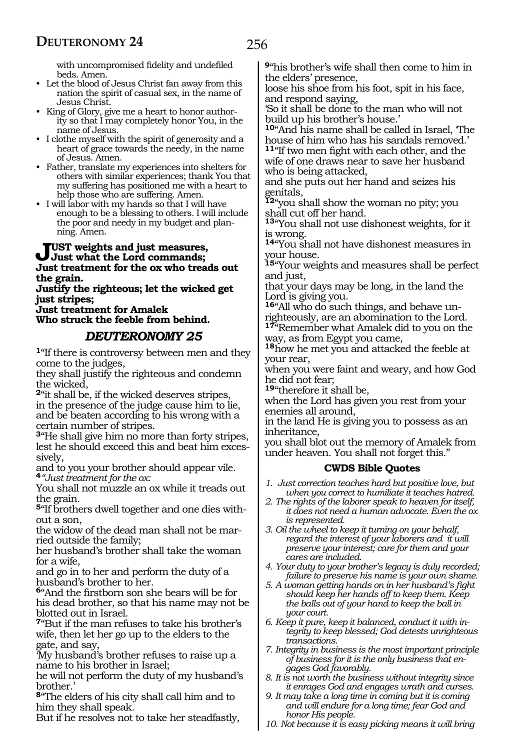with uncompromised fidelity and undefiled beds. Amen.

- Let the blood of Jesus Christ fan away from this nation the spirit of casual sex, in the name of Jesus Christ.
- King of Glory, give me a heart to honor authority so that I may completely honor You, in the name of Jesus.
- I clothe myself with the spirit of generosity and a heart of grace towards the needy, in the name of Jesus. Amen.
- Father, translate my experiences into shelters for others with similar experiences; thank You that my suffering has positioned me with a heart to help those who are suffering. Amen.
- I will labor with my hands so that I will have enough to be a blessing to others. I will include the poor and needy in my budget and planning. Amen.

#### **Just weights and just measures, Just what the Lord commands; Just treatment for the ox who treads out the grain.**

**Justify the righteous; let the wicked get just stripes;**

**Just treatment for Amalek Who struck the feeble from behind.**

# *DEUTERONOMY 25*

**<sup>1</sup>**"If there is controversy between men and they come to the judges,

they shall justify the righteous and condemn the wicked,

**<sup>2</sup>**"it shall be, if the wicked deserves stripes, in the presence of the judge cause him to lie, and be beaten according to his wrong with a certain number of stripes.

**<sup>3</sup>**"He shall give him no more than forty stripes, lest he should exceed this and beat him exces- sively,

and to you your brother should appear vile. **<sup>4</sup>***"Just treatment for the ox:* 

You shall not muzzle an ox while it treads out the grain.

**5**"If brothers dwell together and one dies without a son,

the widow of the dead man shall not be married outside the family;

her husband's brother shall take the woman for a wife,

and go in to her and perform the duty of a husband's brother to her.

**<sup>6</sup>**"And the firstborn son she bears will be for his dead brother, so that his name may not be blotted out in Israel.

**<sup>7</sup>**"But if the man refuses to take his brother's wife, then let her go up to the elders to the gate, and say,

'My husband's brother refuses to raise up a name to his brother in Israel;

he will not perform the duty of my husband's brother.'

**<sup>8</sup>**"The elders of his city shall call him and to him they shall speak.

But if he resolves not to take her steadfastly,

**<sup>9</sup>**"his brother's wife shall then come to him in the elders' presence,

loose his shoe from his foot, spit in his face, and respond saying,

'So it shall be done to the man who will not build up his brother's house.'

**<sup>10</sup>**"And his name shall be called in Israel, 'The house of him who has his sandals removed.'

**<sup>11</sup>**"If two men fight with each other, and the wife of one draws near to save her husband who is being attacked,

and she puts out her hand and seizes his genitals,

**<sup>12</sup>**"you shall show the woman no pity; you shall cut off her hand.

**<sup>13</sup>**"You shall not use dishonest weights, for it is wrong.

**<sup>14</sup>**"You shall not have dishonest measures in your house.

**<sup>15</sup>**"Your weights and measures shall be perfect and just,

that your days may be long, in the land the Lord is giving you.

**16**"All who do such things, and behave unrighteously, are an abomination to the Lord.

**<sup>17</sup>**"Remember what Amalek did to you on the way, as from Egypt you came,

**<sup>18</sup>**how he met you and attacked the feeble at your rear,

when you were faint and weary, and how God he did not fear;

**<sup>19</sup>**"therefore it shall be,

when the Lord has given you rest from your enemies all around,

in the land He is giving you to possess as an inheritance,

you shall blot out the memory of Amalek from under heaven. You shall not forget this."

#### **CWDS Bible Quotes**

*1. Just correction teaches hard but positive love, but when you correct to humiliate it teaches hatred.*

*2. The rights of the laborer speak to heaven for itself, it does not need a human advocate. Even the ox is represented.*

*3. Oil the wheel to keep it turning on your behalf, regard the interest of your laborers and it will preserve your interest; care for them and your cares are included.*

*4. Your duty to your brother's legacy is duly recorded; failure to preserve his name is your own shame.*

- *5. A woman getting hands on in her husband's fight should keep her hands off to keep them. Keep the balls out of your hand to keep the ball in your court.*
- *6. Keep it pure, keep it balanced, conduct it with integrity to keep blessed; God detests unrighteous transactions.*
- *7. Integrity in business is the most important principle of business for it is the only business that engages God favorably.*
- *8. It is not worth the business without integrity since it enrages God and engages wrath and curses.*
- *9. It may take a long time in coming but it is coming and will endure for a long time; fear God and honor His people.*
- *10. Not because it is easy picking means it will bring*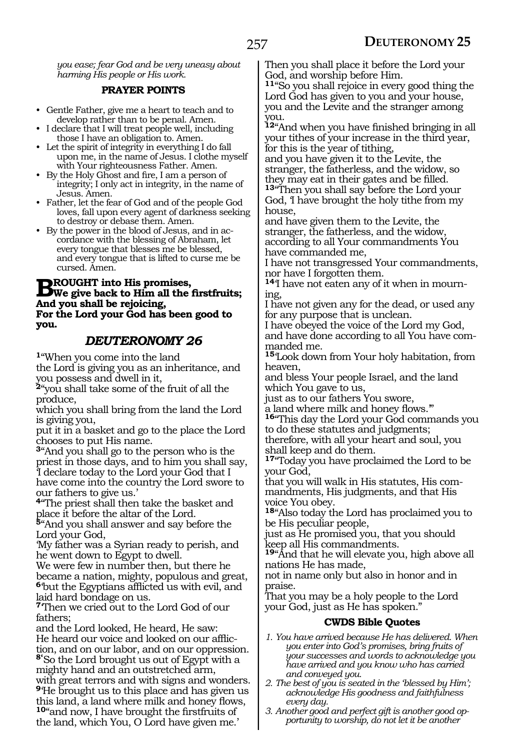*you ease; fear God and be very uneasy about harming His people or His work.*

#### **PRAYER POINTS**

- Gentle Father, give me a heart to teach and to develop rather than to be penal. Amen.
- I declare that I will treat people well, including those I have an obligation to. Amen.
- Let the spirit of integrity in everything I do fall upon me, in the name of Jesus. I clothe myself with Your righteousness Father. Amen.
- By the Holy Ghost and fire, I am a person of integrity; I only act in integrity, in the name of Jesus. Amen.
- Father, let the fear of God and of the people God loves, fall upon every agent of darkness seeking to destroy or debase them. Amen.
- By the power in the blood of Jesus, and in accordance with the blessing of Abraham, let every tongue that blesses me be blessed, and every tongue that is lifted to curse me be cursed. Amen.

#### **BROUGHT into His promises,<br>
We give back to Him all the firstfruits; And you shall be rejoicing, For the Lord your God has been good to you.**

# *DEUTERONOMY 26*

**<sup>1</sup>**"When you come into the land the Lord is giving you as an inheritance, and

you possess and dwell in it,

**<sup>2</sup>**"you shall take some of the fruit of all the produce,

which you shall bring from the land the Lord is giving you,

put it in a basket and go to the place the Lord chooses to put His name.

**<sup>3</sup>**"And you shall go to the person who is the priest in those days, and to him you shall say, 'I declare today to the Lord your God that I have come into the country the Lord swore to our fathers to give us.'

**<sup>4</sup>**"The priest shall then take the basket and place it before the altar of the Lord.

**<sup>5</sup>**"And you shall answer and say before the Lord your God,

'My father was a Syrian ready to perish, and he went down to Egypt to dwell.

We were few in number then, but there he became a nation, mighty, populous and great, **<sup>6</sup>**'but the Egyptians afflicted us with evil, and laid hard bondage on us.

**<sup>7</sup>**'Then we cried out to the Lord God of our fathers;

and the Lord looked, He heard, He saw: He heard our voice and looked on our affliction, and on our labor, and on our oppression. **8'**So the Lord brought us out of Egypt with a mighty hand and an outstretched arm, with great terrors and with signs and wonders. **<sup>9</sup>**'He brought us to this place and has given us this land, a land where milk and honey flows, **<sup>10</sup>**"and now, I have brought the firstfruits of the land, which You, O Lord have given me.'

Then you shall place it before the Lord your God, and worship before Him.

**<sup>11</sup>**"So you shall rejoice in every good thing the Lord God has given to you and your house, you and the Levite and the stranger among you.

**<sup>12</sup>**"And when you have finished bringing in all your tithes of your increase in the third year, for this is the year of tithing,

and you have given it to the Levite, the stranger, the fatherless, and the widow, so they may eat in their gates and be filled.

**<sup>13</sup>**"Then you shall say before the Lord your God, 'I have brought the holy tithe from my house,

and have given them to the Levite, the stranger, the fatherless, and the widow, according to all Your commandments You have commanded me,

I have not transgressed Your commandments, nor have I forgotten them.

**14**'I have not eaten any of it when in mourning,

I have not given any for the dead, or used any for any purpose that is unclean.

I have obeyed the voice of the Lord my God, and have done according to all You have commanded me.

**<sup>15</sup>**'Look down from Your holy habitation, from heaven,

and bless Your people Israel, and the land which You gave to us,

just as to our fathers You swore,

a land where milk and honey flows.'" **<sup>16</sup>**"This day the Lord your God commands you

to do these statutes and judgments;

therefore, with all your heart and soul, you shall keep and do them.

**<sup>17</sup>**"Today you have proclaimed the Lord to be your God,

that you will walk in His statutes, His com- mandments, His judgments, and that His voice You obey.

**<sup>18</sup>**"Also today the Lord has proclaimed you to be His peculiar people,

just as He promised you, that you should keep all His commandments.

**<sup>19</sup>**"And that he will elevate you, high above all nations He has made,

not in name only but also in honor and in praise.

That you may be a holy people to the Lord your God, just as He has spoken."

#### **CWDS Bible Quotes**

- *1. You have arrived because He has delivered. When you enter into God's promises, bring fruits of your successes and words to acknowledge you have arrived and you know who has carried and conveyed you.*
- *2. The best of you is seated in the 'blessed by Him'; acknowledge His goodness and faithfulness every day.*
- *3. Another good and perfect gift is another good opportunity to worship, do not let it be another*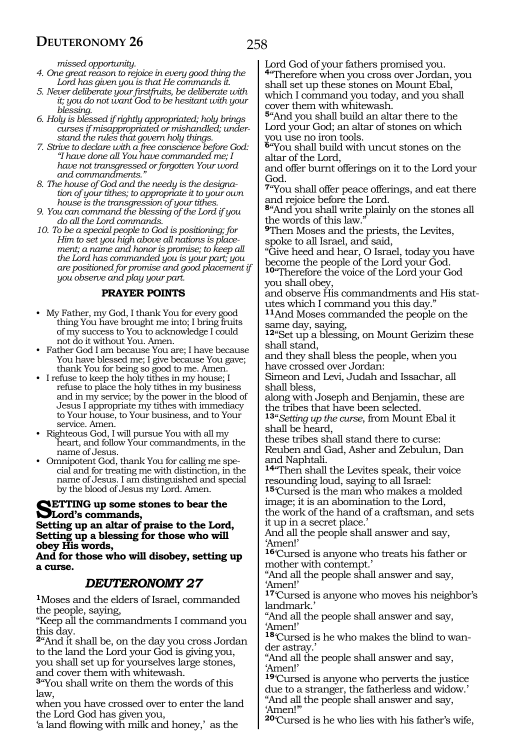*missed opportunity.*

- *4. One great reason to rejoice in every good thing the Lord has given you is that He commands it.*
- *5. Never deliberate your firstfruits, be deliberate with it; you do not want God to be hesitant with your blessing.*
- *6. Holy is blessed if rightly appropriated; holy brings curses if misappropriated or mishandled; understand the rules that govern holy things.*
- *7. Strive to declare with a free conscience before God: "I have done all You have commanded me; I have not transgressed or forgotten Your word and commandments."*
- *8. The house of God and the needy is the designation of your tithes; to appropriate it to your own house is the transgression of your tithes.*
- *9. You can command the blessing of the Lord if you do all the Lord commands.*
- *10. To be a special people to God is positioning; for Him to set you high above all nations is placement; a name and honor is promise; to keep all the Lord has commanded you is your part; you are positioned for promise and good placement if you observe and play your part.*

#### **PRAYER POINTS**

- My Father, my God, I thank You for every good thing You have brought me into; I bring fruits of my success to You to acknowledge I could not do it without You. Amen.
- Father God I am because You are; I have because You have blessed me; I give because You gave; thank You for being so good to me. Amen.
- I refuse to keep the holy tithes in my house; I refuse to place the holy tithes in my business and in my service; by the power in the blood of Jesus I appropriate my tithes with immediacy to Your house, to Your business, and to Your service. Amen.
- Righteous God, I will pursue You with all my heart, and follow Your commandments, in the name of Jesus.
- Omnipotent God, thank You for calling me special and for treating me with distinction, in the name of Jesus. I am distinguished and special by the blood of Jesus my Lord. Amen.

# **SETTING up some stones to bear the**<br> **Setting up an altan of projects the Lard**

**Setting up an altar of praise to the Lord, Setting up a blessing for those who will obey His words,**

**And for those who will disobey, setting up a curse.**

#### *DEUTERONOMY 27*

**<sup>1</sup>**Moses and the elders of Israel, commanded the people, saying,

"Keep all the commandments I command you this day.

**<sup>2</sup>**"And it shall be, on the day you cross Jordan to the land the Lord your God is giving you, you shall set up for yourselves large stones, and cover them with whitewash.

**<sup>3</sup>**"You shall write on them the words of this law,

when you have crossed over to enter the land the Lord God has given you,

'a land flowing with milk and honey,' as the

Lord God of your fathers promised you. **<sup>4</sup>**"Therefore when you cross over Jordan, you shall set up these stones on Mount Ebal, which I command you today, and you shall cover them with whitewash.

**<sup>5</sup>**"And you shall build an altar there to the Lord your God; an altar of stones on which you use no iron tools.

**<sup>6</sup>**"You shall build with uncut stones on the altar of the Lord,

and offer burnt offerings on it to the Lord your God.

**<sup>7</sup>**"You shall offer peace offerings, and eat there and rejoice before the Lord.

**<sup>8</sup>**"And you shall write plainly on the stones all the words of this law.

**<sup>9</sup>**Then Moses and the priests, the Levites, spoke to all Israel, and said,

"Give heed and hear, O Israel, today you have become the people of the Lord your God.

**<sup>10</sup>**"Therefore the voice of the Lord your God you shall obey,

and observe His commandments and His statutes which I command you this day."

**<sup>11</sup>**And Moses commanded the people on the same day, saying,

**<sup>12</sup>**"Set up a blessing, on Mount Gerizim these shall stand,

and they shall bless the people, when you have crossed over Jordan:

Simeon and Levi, Judah and Issachar, all shall bless,

along with Joseph and Benjamin, these are the tribes that have been selected.

**<sup>13</sup>**"*Setting up the curse*, from Mount Ebal it shall be heard,

these tribes shall stand there to curse: Reuben and Gad, Asher and Zebulun, Dan and Naphtali.

**<sup>14</sup>**"Then shall the Levites speak, their voice resounding loud, saying to all Israel:

**<sup>15</sup>**'Cursed is the man who makes a molded image; it is an abomination to the Lord, the work of the hand of a craftsman, and sets

it up in a secret place.'

And all the people shall answer and say, 'Amen!'

**<sup>16</sup>**'Cursed is anyone who treats his father or mother with contempt.'

"And all the people shall answer and say, 'Amen!'

**<sup>17</sup>**'Cursed is anyone who moves his neighbor's landmark.'

"And all the people shall answer and say, 'Amen!'

**18**'Cursed is he who makes the blind to wander astray.'

"And all the people shall answer and say, 'Amen!'

**<sup>19</sup>**'Cursed is anyone who perverts the justice due to a stranger, the fatherless and widow.' "And all the people shall answer and say, 'Amen!'"

**<sup>20</sup>**'Cursed is he who lies with his father's wife,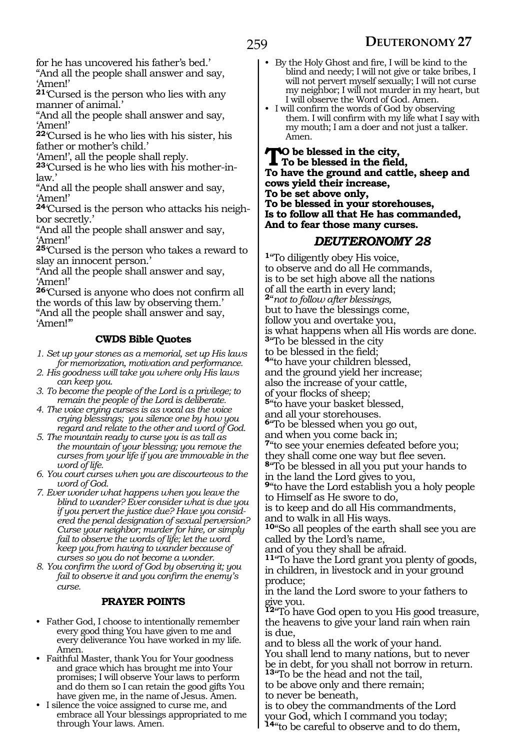for he has uncovered his father's bed.'

"And all the people shall answer and say, 'Amen!'

**<sup>21</sup>**'Cursed is the person who lies with any manner of animal.'

"And all the people shall answer and say, 'Amen!'

**<sup>22</sup>**'Cursed is he who lies with his sister, his father or mother's child.'

'Amen!', all the people shall reply.

**23**'Cursed is he who lies with his mother-inlaw.'

"And all the people shall answer and say, 'Amen!'

**<sup>24</sup>**'Cursed is the person who attacks his neigh- bor secretly.'

"And all the people shall answer and say, 'Amen!'

**<sup>25</sup>**'Cursed is the person who takes a reward to slay an innocent person.'

"And all the people shall answer and say, 'Amen!'

**<sup>26</sup>**'Cursed is anyone who does not confirm all the words of this law by observing them.' "And all the people shall answer and say, 'Amen!'"

#### **CWDS Bible Quotes**

*1. Set up your stones as a memorial, set up His laws for memorization, motivation and performance.*

*2. His goodness will take you where only His laws can keep you.*

*3. To become the people of the Lord is a privilege; to remain the people of the Lord is deliberate.*

- *4. The voice crying curses is as vocal as the voice crying blessings; you silence one by how you regard and relate to the other and word of God.*
- *5. The mountain ready to curse you is as tall as the mountain of your blessing; you remove the curses from your life if you are immovable in the word of life.*
- *6. You court curses when you are discourteous to the word of God.*
- *7. Ever wonder what happens when you leave the blind to wander? Ever consider what is due you if you pervert the justice due? Have you considered the penal designation of sexual perversion? Curse your neighbor; murder for hire, or simply fail to observe the words of life; let the word keep you from having to wander because of curses so you do not become a wonder.*
- *8. You confirm the word of God by observing it; you fail to observe it and you confirm the enemy's curse.*

#### **PRAYER POINTS**

- Father God, I choose to intentionally remember every good thing You have given to me and every deliverance You have worked in my life. Amen.
- Faithful Master, thank You for Your goodness and grace which has brought me into Your promises; I will observe Your laws to perform and do them so I can retain the good gifts You have given me, in the name of Jesus. Amen.
- I silence the voice assigned to curse me, and embrace all Your blessings appropriated to me through Your laws. Amen.
- By the Holy Ghost and fire, I will be kind to the blind and needy; I will not give or take bribes, I will not pervert myself sexually; I will not curse my neighbor; I will not murder in my heart, but I will observe the Word of God. Amen.
- I will confirm the words of God by observing them. I will confirm with my life what I say with my mouth; I am a doer and not just a talker. Amen.

**To be blessed in the city, To be blessed in the field, To have the ground and cattle, sheep and cows yield their increase, To be set above only, To be blessed in your storehouses, Is to follow all that He has commanded, And to fear those many curses.**

#### *DEUTERONOMY 28*

**<sup>1</sup>**"To diligently obey His voice, to observe and do all He commands, is to be set high above all the nations of all the earth in every land; **<sup>2</sup>**"*not to follow after blessings,* but to have the blessings come, follow you and overtake you, is what happens when all His words are done. **<sup>3</sup>**"To be blessed in the city to be blessed in the field; **<sup>4</sup>**"to have your children blessed, and the ground yield her increase; also the increase of your cattle, of your flocks of sheep; **<sup>5</sup>**"to have your basket blessed, and all your storehouses. **<sup>6</sup>**"To be blessed when you go out, and when you come back in; **<sup>7</sup>**"to see your enemies defeated before you; they shall come one way but flee seven. **<sup>8</sup>**"To be blessed in all you put your hands to in the land the Lord gives to you, **<sup>9</sup>**"to have the Lord establish you a holy people to Himself as He swore to do, is to keep and do all His commandments, and to walk in all His ways. **<sup>10</sup>**"So all peoples of the earth shall see you are called by the Lord's name, and of you they shall be afraid. **<sup>11</sup>**"To have the Lord grant you plenty of goods, in children, in livestock and in your ground produce; in the land the Lord swore to your fathers to give you. **<sup>12</sup>**"To have God open to you His good treasure, the heavens to give your land rain when rain is due, and to bless all the work of your hand. You shall lend to many nations, but to never

be in debt, for you shall not borrow in return. **<sup>13</sup>**"To be the head and not the tail,

to be above only and there remain;

to never be beneath,

is to obey the commandments of the Lord your God, which I command you today;

**<sup>14</sup>**"to be careful to observe and to do them,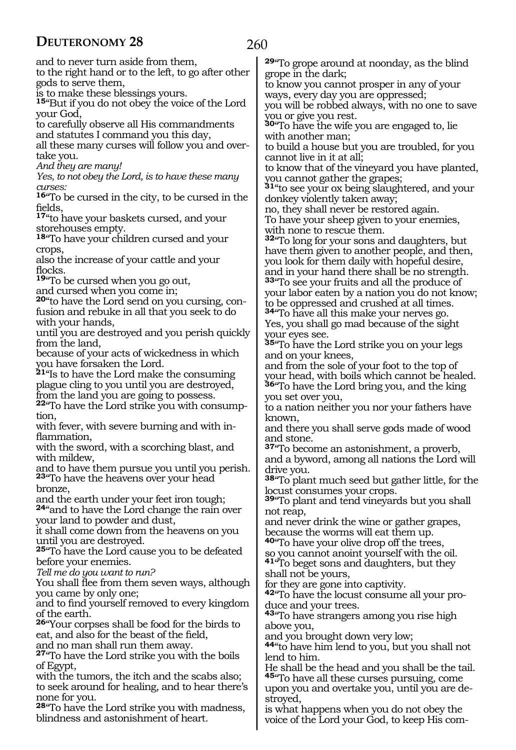# 260

and to never turn aside from them,

to the right hand or to the left, to go after other gods to serve them,

is to make these blessings yours.

**<sup>15</sup>**"But if you do not obey the voice of the Lord your God,

to carefully observe all His commandments and statutes I command you this day, all these many curses will follow you and over-

take you.

*And they are many!*

*Yes, to not obey the Lord, is to have these many curses:*

**<sup>16</sup>**"To be cursed in the city, to be cursed in the fields,

**<sup>17</sup>**"to have your baskets cursed, and your storehouses empty.

**<sup>18</sup>**"To have your children cursed and your crops,

also the increase of your cattle and your flocks.

**<sup>19</sup>**"To be cursed when you go out,

and cursed when you come in;

**20**"to have the Lord send on you cursing, confusion and rebuke in all that you seek to do with your hands,

until you are destroyed and you perish quickly from the land,

because of your acts of wickedness in which you have forsaken the Lord.

**<sup>21</sup>**"Is to have the Lord make the consuming plague cling to you until you are destroyed, from the land you are going to possess.

**22**"To have the Lord strike you with consumption,

with fever, with severe burning and with inflammation,

with the sword, with a scorching blast, and with mildew,

and to have them pursue you until you perish. **<sup>23</sup>**"To have the heavens over your head bronze,

and the earth under your feet iron tough; **<sup>24</sup>**"and to have the Lord change the rain over

your land to powder and dust,

it shall come down from the heavens on you until you are destroyed.

**<sup>25</sup>**"To have the Lord cause you to be defeated before your enemies.

*Tell me do you want to run?*

You shall flee from them seven ways, although you came by only one;

and to find yourself removed to every kingdom of the earth.

**<sup>26</sup>**"Your corpses shall be food for the birds to eat, and also for the beast of the field,

and no man shall run them away.

**<sup>27</sup>**"To have the Lord strike you with the boils of Egypt,

with the tumors, the itch and the scabs also; to seek around for healing, and to hear there's none for you.

**<sup>28</sup>**"To have the Lord strike you with madness, blindness and astonishment of heart.

**<sup>29</sup>**"To grope around at noonday, as the blind grope in the dark;

to know you cannot prosper in any of your ways, every day you are oppressed;

you will be robbed always, with no one to save you or give you rest.

**<sup>30</sup>**"To have the wife you are engaged to, lie with another man;

to build a house but you are troubled, for you cannot live in it at all;

to know that of the vineyard you have planted, you cannot gather the grapes;

**<sup>31</sup>**"to see your ox being slaughtered, and your donkey violently taken away;

no, they shall never be restored again. To have your sheep given to your enemies,

with none to rescue them. **<sup>32</sup>**"To long for your sons and daughters, but have them given to another people, and then, you look for them daily with hopeful desire,

and in your hand there shall be no strength. **<sup>33</sup>**"To see your fruits and all the produce of your labor eaten by a nation you do not know; to be oppressed and crushed at all times.

**<sup>34</sup>**"To have all this make your nerves go. Yes, you shall go mad because of the sight your eyes see.

**<sup>35</sup>**"To have the Lord strike you on your legs and on your knees,

and from the sole of your foot to the top of your head, with boils which cannot be healed. **<sup>36</sup>**"To have the Lord bring you, and the king you set over you,

to a nation neither you nor your fathers have known,

and there you shall serve gods made of wood and stone.

**<sup>37</sup>**"To become an astonishment, a proverb, and a byword, among all nations the Lord will drive you.

**<sup>38</sup>**"To plant much seed but gather little, for the locust consumes your crops.

**<sup>39</sup>**"To plant and tend vineyards but you shall not reap,

and never drink the wine or gather grapes, because the worms will eat them up.

**<sup>40</sup>**"To have your olive drop off the trees,

so you cannot anoint yourself with the oil. **<sup>41</sup>**"To beget sons and daughters, but they shall not be yours,

for they are gone into captivity.

**42**"To have the locust consume all your produce and your trees.

**<sup>43</sup>**"To have strangers among you rise high above you,

and you brought down very low;

**<sup>44</sup>**"to have him lend to you, but you shall not lend to him.

He shall be the head and you shall be the tail. **<sup>45</sup>**"To have all these curses pursuing, come upon you and overtake you, until you are destroyed,

is what happens when you do not obey the voice of the Lord your God, to keep His com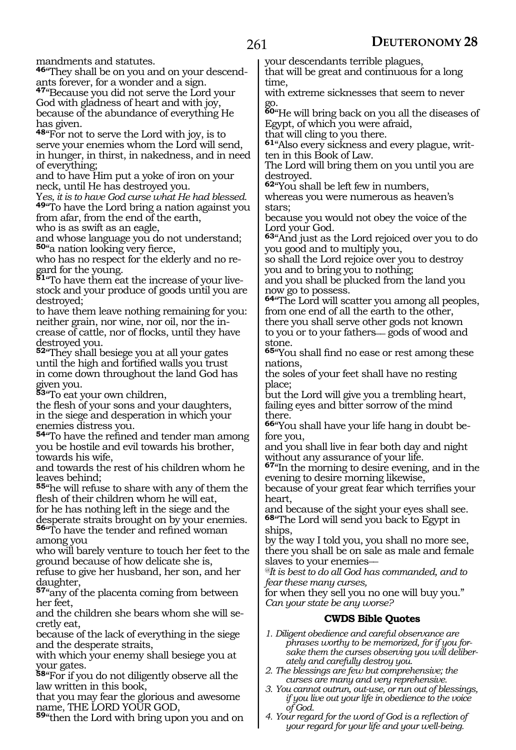mandments and statutes.

**<sup>46</sup>**"They shall be on you and on your descend- ants forever, for a wonder and a sign.

**<sup>47</sup>**"Because you did not serve the Lord your God with gladness of heart and with joy, because of the abundance of everything He has given.

**<sup>48</sup>**"For not to serve the Lord with joy, is to serve your enemies whom the Lord will send, in hunger, in thirst, in nakedness, and in need of everything;

and to have Him put a yoke of iron on your neck, until He has destroyed you.

Y*es, it is to have God curse what He had blessed.* **<sup>49</sup>**"To have the Lord bring a nation against you from afar, from the end of the earth,

who is as swift as an eagle,

and whose language you do not understand; **<sup>50</sup>**"a nation looking very fierce,

who has no respect for the elderly and no regard for the young.

**51**"To have them eat the increase of your livestock and your produce of goods until you are destroyed;

to have them leave nothing remaining for you: neither grain, nor wine, nor oil, nor the increase of cattle, nor of flocks, until they have destroyed you.

**<sup>52</sup>**"They shall besiege you at all your gates until the high and fortified walls you trust in come down throughout the land God has given you.

**<sup>53</sup>**"To eat your own children,

the flesh of your sons and your daughters, in the siege and desperation in which your enemies distress you.

**<sup>54</sup>**"To have the refined and tender man among you be hostile and evil towards his brother, towards his wife,

and towards the rest of his children whom he leaves behind;

**<sup>55</sup>**"he will refuse to share with any of them the flesh of their children whom he will eat,

for he has nothing left in the siege and the desperate straits brought on by your enemies.

**<sup>56</sup>**"To have the tender and refined woman among you

who will barely venture to touch her feet to the ground because of how delicate she is,

refuse to give her husband, her son, and her daughter,

**<sup>57</sup>**"any of the placenta coming from between her feet,

and the children she bears whom she will secretly eat,

because of the lack of everything in the siege and the desperate straits,

with which your enemy shall besiege you at your gates.

**<sup>58</sup>**"For if you do not diligently observe all the law written in this book,

that you may fear the glorious and awesome name, THE LORD YOUR GOD,

**<sup>59</sup>**"then the Lord with bring upon you and on

your descendants terrible plagues, that will be great and continuous for a long

time, with extreme sicknesses that seem to never go.

**<sup>60</sup>**"He will bring back on you all the diseases of Egypt, of which you were afraid,

that will cling to you there.

**61**"Also every sickness and every plague, written in this Book of Law.

The Lord will bring them on you until you are destroyed.

**<sup>62</sup>**"You shall be left few in numbers,

whereas you were numerous as heaven's stars;

because you would not obey the voice of the Lord your God.

**<sup>63</sup>**"And just as the Lord rejoiced over you to do you good and to multiply you,

so shall the Lord rejoice over you to destroy you and to bring you to nothing;

and you shall be plucked from the land you now go to possess.

**<sup>64</sup>**"The Lord will scatter you among all peoples, from one end of all the earth to the other, there you shall serve other gods not known to you or to your fathers\_\_ gods of wood and stone.

**<sup>65</sup>**"You shall find no ease or rest among these nations,

the soles of your feet shall have no resting place;

but the Lord will give you a trembling heart, failing eyes and bitter sorrow of the mind there.

**66**"You shall have your life hang in doubt before you,

and you shall live in fear both day and night without any assurance of your life.

**<sup>67</sup>**"In the morning to desire evening, and in the evening to desire morning likewise,

because of your great fear which terrifies your heart,

and because of the sight your eyes shall see. **<sup>68</sup>**"The Lord will send you back to Egypt in ships,

by the way I told you, you shall no more see, there you shall be on sale as male and female slaves to your enemies—

*@It is best to do all God has commanded, and to fear these many curses,*

for when they sell you no one will buy you." *Can your state be any worse?*

#### **CWDS Bible Quotes**

- *1. Diligent obedience and careful observance are phrases worthy to be memorized, for if you forsake them the curses observing you will deliberately and carefully destroy you.*
- *2. The blessings are few but comprehensive; the curses are many and very reprehensive.*
- *3. You cannot outrun, out-use, or run out of blessings, if you live out your life in obedience to the voice of God.*
- *4. Your regard for the word of God is a reflection of your regard for your life and your well-being.*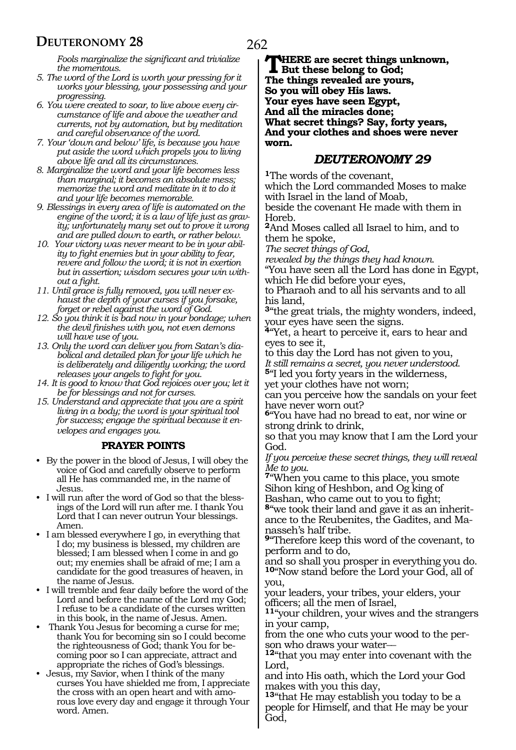*Fools marginalize the significant and trivialize the momentous.* 

- *5. The word of the Lord is worth your pressing for it works your blessing, your possessing and your progressing.*
- *6. You were created to soar, to live above every circumstance of life and above the weather and currents, not by automation, but by meditation and careful observance of the word.*
- *7. Your 'down and below' life, is because you have put aside the word which propels you to living above life and all its circumstances.*
- *8. Marginalize the word and your life becomes less than marginal; it becomes an absolute mess; memorize the word and meditate in it to do it and your life becomes memorable.*
- *9. Blessings in every area of life is automated on the engine of the word; it is a law of life just as gravity; unfortunately many set out to prove it wrong and are pulled down to earth, or rather below.*
- *10. Your victory was never meant to be in your ability to fight enemies but in your ability to fear, revere and follow the word; it is not in exertion but in assertion; wisdom secures your win without a fight.*
- *11. Until grace is fully removed, you will never exhaust the depth of your curses if you forsake, forget or rebel against the word of God.*
- *12. So you think it is bad now in your bondage; when the devil finishes with you, not even demons will have use of you.*
- *13. Only the word can deliver you from Satan's diabolical and detailed plan for your life which he is deliberately and diligently working; the word releases your angels to fight for you.*
- *14. It is good to know that God rejoices over you; let it be for blessings and not for curses.*
- *15. Understand and appreciate that you are a spirit living in a body; the word is your spiritual tool for success; engage the spiritual because it envelopes and engages you.*

#### **PRAYER POINTS**

- By the power in the blood of Jesus, I will obey the voice of God and carefully observe to perform all He has commanded me, in the name of Jesus.
- I will run after the word of God so that the blessings of the Lord will run after me. I thank You Lord that I can never outrun Your blessings. Amen.
- I am blessed everywhere I go, in everything that I do; my business is blessed, my children are blessed; I am blessed when I come in and go out; my enemies shall be afraid of me; I am a candidate for the good treasures of heaven, in the name of Jesus.
- I will tremble and fear daily before the word of the Lord and before the name of the Lord my God; I refuse to be a candidate of the curses written in this book, in the name of Jesus. Amen.
- Thank You Jesus for becoming a curse for me; thank You for becoming sin so I could become the righteousness of God; thank You for becoming poor so I can appreciate, attract and appropriate the riches of God's blessings.
- Jesus, my Savior, when I think of the many curses You have shielded me from, I appreciate the cross with an open heart and with amorous love every day and engage it through Your word. Amen.

#### *DEUTERONOMY 29*

**<sup>1</sup>**The words of the covenant, which the Lord commanded Moses to make with Israel in the land of Moab,

beside the covenant He made with them in Horeb.

**<sup>2</sup>**And Moses called all Israel to him, and to them he spoke,

*The secret things of God,*

*revealed by the things they had known.*

"You have seen all the Lord has done in Egypt, which He did before your eyes,

to Pharaoh and to all his servants and to all his land,

**<sup>3</sup>**"the great trials, the mighty wonders, indeed, your eyes have seen the signs.

**<sup>4</sup>**"Yet, a heart to perceive it, ears to hear and eyes to see it,

to this day the Lord has not given to you, *It still remains a secret, you never understood.* **<sup>5</sup>**"I led you forty years in the wilderness,

yet your clothes have not worn; can you perceive how the sandals on your feet

have never worn out? **<sup>6</sup>**"You have had no bread to eat, nor wine or strong drink to drink,

so that you may know that I am the Lord your God.

*If you perceive these secret things, they will reveal Me to you.*

**<sup>7</sup>**"When you came to this place, you smote Sihon king of Heshbon, and Og king of Bashan, who came out to you to fight;

**8**"we took their land and gave it as an inheritance to the Reubenites, the Gadites, and Manasseh's half tribe.

**<sup>9</sup>**"Therefore keep this word of the covenant, to perform and to do,

and so shall you prosper in everything you do. **<sup>10</sup>**"Now stand before the Lord your God, all of you,

your leaders, your tribes, your elders, your officers; all the men of Israel,

**<sup>11</sup>**"your children, your wives and the strangers in your camp,

from the one who cuts your wood to the person who draws your water—

**<sup>12</sup>**"that you may enter into covenant with the Lord,

and into His oath, which the Lord your God makes with you this day,

**<sup>13</sup>**"that He may establish you today to be a people for Himself, and that He may be your God,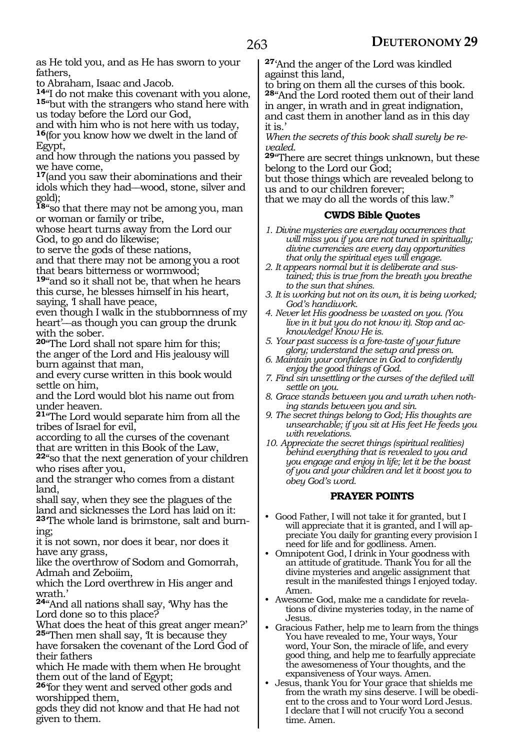as He told you, and as He has sworn to your fathers,

to Abraham, Isaac and Jacob.<br><sup>14</sup> do not make this covenant with you alone, 15<sup>"</sup>but with the strangers who stand here with us today before the Lord our God,

and with him who is not here with us today, **<sup>16</sup>**(for you know how we dwelt in the land of Egypt,

and how through the nations you passed by we have come,

**<sup>17</sup>**(and you saw their abominations and their idols which they had\_\_wood, stone, silver and gold);

**<sup>18</sup>**"so that there may not be among you, man or woman or family or tribe,

whose heart turns away from the Lord our God, to go and do likewise;

to serve the gods of these nations,

and that there may not be among you a root that bears bitterness or wormwood;

**<sup>19</sup>**"and so it shall not be, that when he hears this curse, he blesses himself in his heart, saying, I shall have peace,

even though I walk in the stubbornness of my heart'\_\_as though you can group the drunk with the sober.

**<sup>20</sup>**"The Lord shall not spare him for this; the anger of the Lord and His jealousy will burn against that man,

and every curse written in this book would settle on him,

and the Lord would blot his name out from under heaven.

**<sup>21</sup>**"The Lord would separate him from all the tribes of Israel for evil,

according to all the curses of the covenant that are written in this Book of the Law, **<sup>22</sup>**"so that the next generation of your children

who rises after you, and the stranger who comes from a distant

land, shall say, when they see the plagues of the land and sicknesses the Lord has laid on it: **23**'The whole land is brimstone, salt and burning;

it is not sown, nor does it bear, nor does it have any grass,

like the overthrow of Sodom and Gomorrah, Admah and Zeboiim,

which the Lord overthrew in His anger and wrath.'

**<sup>24</sup>**"And all nations shall say, 'Why has the Lord done so to this place?

What does the heat of this great anger mean?' **<sup>25</sup>**"Then men shall say, 'It is because they

have forsaken the covenant of the Lord God of their fathers

which He made with them when He brought them out of the land of Egypt;

**<sup>26</sup>**'for they went and served other gods and worshipped them,

gods they did not know and that He had not given to them.

**<sup>27</sup>**'And the anger of the Lord was kindled against this land,

to bring on them all the curses of this book. **<sup>28</sup>**"And the Lord rooted them out of their land in anger, in wrath and in great indignation, and cast them in another land as in this day it is.'

*When the secrets of this book shall surely be re-*

*vealed.* **<sup>29</sup>**"There are secret things unknown, but these belong to the Lord our God;

but those things which are revealed belong to us and to our children forever;

that we may do all the words of this law."

#### **CWDS Bible Quotes**

- *1. Divine mysteries are everyday occurrences that will miss you if you are not tuned in spiritually; divine currencies are every day opportunities that only the spiritual eyes will engage.*
- *2. It appears normal but it is deliberate and sustained; this is true from the breath you breathe to the sun that shines.*
- *3. It is working but not on its own, it is being worked; God's handiwork.*
- *4. Never let His goodness be wasted on you. (You live in it but you do not know it). Stop and acknowledge! Know He is.*
- *5. Your past success is a fore-taste of your future glory; understand the setup and press on.*
- *6. Maintain your confidence in God to confidently enjoy the good things of God.*
- *7. Find sin unsettling or the curses of the defiled will settle on you.*
- *8. Grace stands between you and wrath when nothing stands between you and sin.*
- *9. The secret things belong to God; His thoughts are unsearchable; if you sit at His feet He feeds you with revelations.*
- *10. Appreciate the secret things (spiritual realities) behind everything that is revealed to you and you engage and enjoy in life; let it be the boast of you and your children and let it boost you to obey God's word.*

#### **PRAYER POINTS**

- Good Father, I will not take it for granted, but I will appreciate that it is granted, and I will appreciate You daily for granting every provision I need for life and for godliness. Amen.
- Omnipotent God, I drink in Your goodness with an attitude of gratitude. Thank You for all the divine mysteries and angelic assignment that result in the manifested things I enjoyed today. Amen.
- Awesome God, make me a candidate for revelations of divine mysteries today, in the name of Jesus.
- Gracious Father, help me to learn from the things You have revealed to me, Your ways, Your word, Your Son, the miracle of life, and every good thing, and help me to fearfully appreciate the awesomeness of Your thoughts, and the expansiveness of Your ways. Amen.
- Jesus, thank You for Your grace that shields me from the wrath my sins deserve. I will be obedient to the cross and to Your word Lord Jesus. I declare that I will not crucify You a second time. Amen.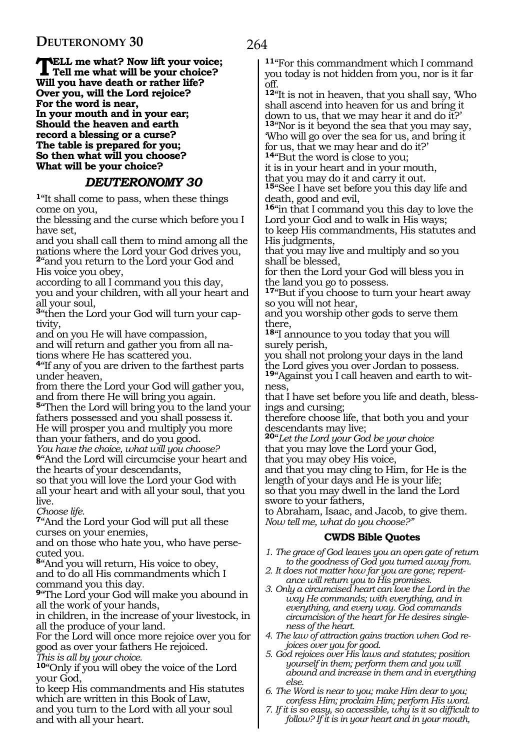**TELL me what? Now lift your voice;**<br>Tell me what will be your choice? **Will you have death or rather life? Over you, will the Lord rejoice? For the word is near, In your mouth and in your ear; Should the heaven and earth record a blessing or a curse? The table is prepared for you; So then what will you choose? What will be your choice?**

# *DEUTERONOMY 30*

**<sup>1</sup>**"It shall come to pass, when these things come on you,

the blessing and the curse which before you I have set,

and you shall call them to mind among all the nations where the Lord your God drives you, **<sup>2</sup>**"and you return to the Lord your God and His voice you obey,

according to all I command you this day, you and your children, with all your heart and all your soul,

**3**"then the Lord your God will turn your captivity,

and on you He will have compassion, and will return and gather you from all nations where He has scattered you.

**<sup>4</sup>**"If any of you are driven to the farthest parts under heaven,

from there the Lord your God will gather you, and from there He will bring you again.

**<sup>5</sup>**"Then the Lord will bring you to the land your fathers possessed and you shall possess it. He will prosper you and multiply you more than your fathers, and do you good.

*You have the choice, what will you choose?*

**<sup>6</sup>**"And the Lord will circumcise your heart and the hearts of your descendants,

so that you will love the Lord your God with all your heart and with all your soul, that you live.

*Choose life.*

**<sup>7</sup>**"And the Lord your God will put all these curses on your enemies,

and on those who hate you, who have persecuted you.

**<sup>8</sup>**"And you will return, His voice to obey, and to do all His commandments which I command you this day.

**<sup>9</sup>**"The Lord your God will make you abound in all the work of your hands,

in children, in the increase of your livestock, in all the produce of your land.

For the Lord will once more rejoice over you for good as over your fathers He rejoiced.

*This is all by your choice.*

**<sup>10</sup>**"Only if you will obey the voice of the Lord your God,

to keep His commandments and His statutes which are written in this Book of Law,

and you turn to the Lord with all your soul and with all your heart.

**<sup>11</sup>**"For this commandment which I command you today is not hidden from you, nor is it far off.

**<sup>12</sup>**"It is not in heaven, that you shall say, 'Who shall ascend into heaven for us and bring it down to us, that we may hear it and do it?' **<sup>13</sup>**"Nor is it beyond the sea that you may say, 'Who will go over the sea for us, and bring it for us, that we may hear and do it?' **<sup>14</sup>**"But the word is close to you;

it is in your heart and in your mouth,

that you may do it and carry it out.

**<sup>15</sup>**"See I have set before you this day life and death, good and evil,

**<sup>16</sup>**"in that I command you this day to love the Lord your God and to walk in His ways;

to keep His commandments, His statutes and His judgments,

that you may live and multiply and so you shall be blessed,

for then the Lord your God will bless you in the land you go to possess.

**<sup>17</sup>**"But if you choose to turn your heart away so you will not hear,

and you worship other gods to serve them there,

**<sup>18</sup>**"I announce to you today that you will surely perish,

you shall not prolong your days in the land the Lord gives you over Jordan to possess.

**19**"Against you I call heaven and earth to witness,

that I have set before you life and death, blessings and cursing;

therefore choose life, that both you and your descendants may live;

**<sup>20</sup>**"*Let the Lord your God be your choice* that you may love the Lord your God, that you may obey His voice,

and that you may cling to Him, for He is the length of your days and He is your life; so that you may dwell in the land the Lord swore to your fathers,

to Abraham, Isaac, and Jacob, to give them. *Now tell me, what do you choose?"*

#### **CWDS Bible Quotes**

- *1. The grace of God leaves you an open gate of return to the goodness of God you turned away from.*
- *2. It does not matter how far you are gone; repentance will return you to His promises.*
- *3. Only a circumcised heart can love the Lord in the way He commands; with everything, and in everything, and every way. God commands circumcision of the heart for He desires singleness of the heart.*
- *4. The law of attraction gains traction when God rejoices over you for good.*
- *5. God rejoices over His laws and statutes; position yourself in them; perform them and you will abound and increase in them and in everything else.*
- *6. The Word is near to you; make Him dear to you; confess Him; proclaim Him; perform His word.*
- *7. If it is so easy, so accessible, why is it so difficult to follow? If it is in your heart and in your mouth,*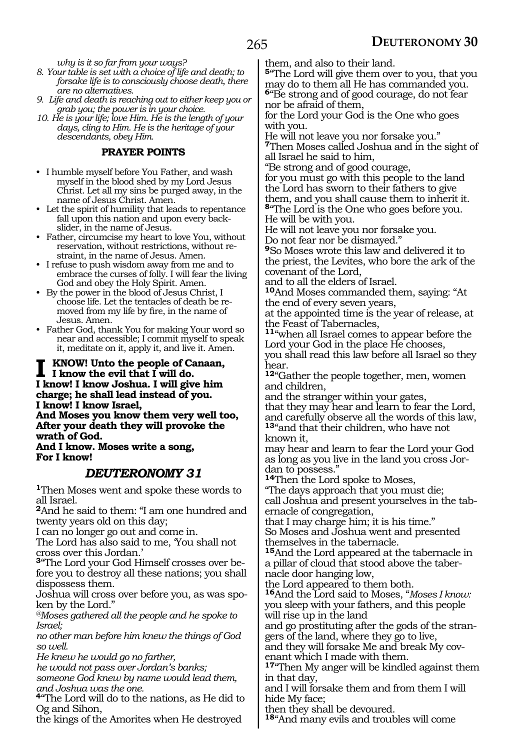*why is it so far from your ways?*

- *8. Your table is set with a choice of life and death; to forsake life is to consciously choose death, there are no alternatives.*
- *9. Life and death is reaching out to either keep you or grab you; the power is in your choice.*

*10. He is your life; love Him. He is the length of your days, cling to Him. He is the heritage of your descendants, obey Him.*

#### **PRAYER POINTS**

- I humble myself before You Father, and wash myself in the blood shed by my Lord Jesus Christ. Let all my sins be purged away, in the name of Jesus Christ. Amen.
- Let the spirit of humility that leads to repentance fall upon this nation and upon every backslider, in the name of Jesus.
- Father, circumcise my heart to love You, without reservation, without restrictions, without restraint, in the name of Jesus. Amen.
- I refuse to push wisdom away from me and to embrace the curses of folly. I will fear the living God and obey the Holy Spirit. Amen.
- By the power in the blood of Jesus Christ, I choose life. Let the tentacles of death be removed from my life by fire, in the name of Jesus. Amen.
- Father God, thank You for making Your word so near and accessible; I commit myself to speak it, meditate on it, apply it, and live it. Amen.

**I know! Unto the people of Canaan, I know the evil that I will do. I know! I know Joshua. I will give him charge; he shall lead instead of you. I know! I know Israel, And Moses you know them very well too, After your death they will provoke the wrath of God.**

#### **And I know. Moses write a song, For I know!**

### *DEUTERONOMY 31*

**<sup>1</sup>**Then Moses went and spoke these words to all Israel.

**<sup>2</sup>**And he said to them: "I am one hundred and twenty years old on this day;

I can no longer go out and come in.

The Lord has also said to me, 'You shall not cross over this Jordan.'

**3**"The Lord your God Himself crosses over before you to destroy all these nations; you shall dispossess them.

Joshua will cross over before you, as was spoken by the Lord."

*@Moses gathered all the people and he spoke to Israel;*

*no other man before him knew the things of God so well.*

*He knew he would go no farther,*

*he would not pass over Jordan's banks;*

*someone God knew by name would lead them, and Joshua was the one.*

**<sup>4</sup>**"The Lord will do to the nations, as He did to Og and Sihon,

the kings of the Amorites when He destroyed

them, and also to their land.

**<sup>5</sup>**"The Lord will give them over to you, that you may do to them all He has commanded you. **<sup>6</sup>**"Be strong and of good courage, do not fear

nor be afraid of them,

for the Lord your God is the One who goes with you.

He will not leave you nor forsake you." **<sup>7</sup>**Then Moses called Joshua and in the sight of all Israel he said to him,

"Be strong and of good courage,

for you must go with this people to the land the Lord has sworn to their fathers to give them, and you shall cause them to inherit it. **<sup>8</sup>**"The Lord is the One who goes before you. He will be with you.

He will not leave you nor forsake you. Do not fear nor be dismayed."

**<sup>9</sup>**So Moses wrote this law and delivered it to the priest, the Levites, who bore the ark of the covenant of the Lord,

and to all the elders of Israel.

**<sup>10</sup>**And Moses commanded them, saying: "At the end of every seven years,

at the appointed time is the year of release, at the Feast of Tabernacles,

**<sup>11</sup>**"when all Israel comes to appear before the Lord your God in the place He chooses, you shall read this law before all Israel so they hear.

**<sup>12</sup>**"Gather the people together, men, women and children,

and the stranger within your gates,

that they may hear and learn to fear the Lord, and carefully observe all the words of this law, **<sup>13</sup>**"and that their children, who have not known it,

may hear and learn to fear the Lord your God as long as you live in the land you cross Jor- dan to possess."

**<sup>14</sup>**Then the Lord spoke to Moses,

"The days approach that you must die; call Joshua and present yourselves in the tabernacle of congregation,

that I may charge him; it is his time." So Moses and Joshua went and presented themselves in the tabernacle.

**<sup>15</sup>**And the Lord appeared at the tabernacle in a pillar of cloud that stood above the tabernacle door hanging low,

the Lord appeared to them both.

**<sup>16</sup>**And the Lord said to Moses, "*Moses I know:* you sleep with your fathers, and this people will rise up in the land

and go prostituting after the gods of the strangers of the land, where they go to live,

and they will forsake Me and break My covenant which I made with them.

**<sup>17</sup>**"Then My anger will be kindled against them in that day,

and I will forsake them and from them I will hide My face;

then they shall be devoured.

**<sup>18</sup>**"And many evils and troubles will come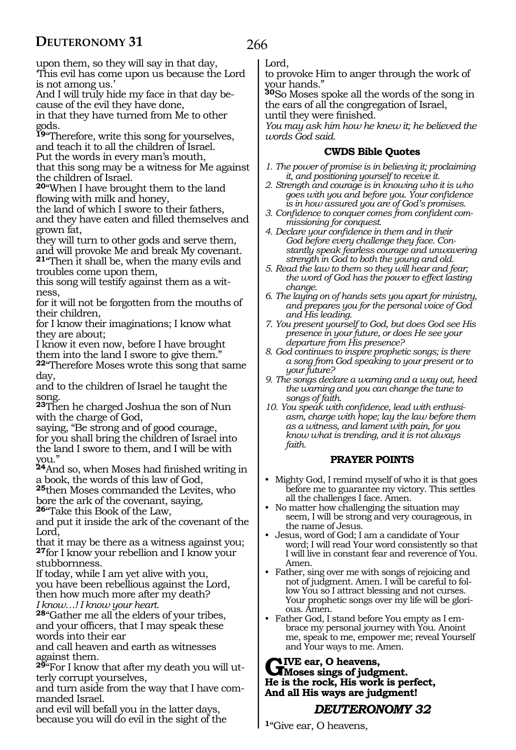266

upon them, so they will say in that day, 'This evil has come upon us because the Lord is not among us.'

And I will truly hide my face in that day because of the evil they have done, in that they have turned from Me to other

gods.

**<sup>19</sup>**"Therefore, write this song for yourselves, and teach it to all the children of Israel. Put the words in every man's mouth, that this song may be a witness for Me against the children of Israel.

**<sup>20</sup>**"When I have brought them to the land flowing with milk and honey,

the land of which I swore to their fathers, and they have eaten and filled themselves and grown fat,

they will turn to other gods and serve them, and will provoke Me and break My covenant. **<sup>21</sup>**"Then it shall be, when the many evils and

troubles come upon them,

this song will testify against them as a witness,

for it will not be forgotten from the mouths of their children,

for I know their imaginations; I know what they are about;

I know it even now, before I have brought them into the land I swore to give them."

**<sup>22</sup>**"Therefore Moses wrote this song that same day,

and to the children of Israel he taught the song.

**<sup>23</sup>**Then he charged Joshua the son of Nun with the charge of God,

saying, "Be strong and of good courage, for you shall bring the children of Israel into the land I swore to them, and I will be with you."

**<sup>24</sup>**And so, when Moses had finished writing in a book, the words of this law of God,

**<sup>25</sup>**then Moses commanded the Levites, who bore the ark of the covenant, saying,

**<sup>26</sup>**"Take this Book of the Law,

and put it inside the ark of the covenant of the Lord,

that it may be there as a witness against you; **<sup>27</sup>**for I know your rebellion and I know your stubbornness.

If today, while I am yet alive with you, you have been rebellious against the Lord, then how much more after my death? *I know…! I know your heart.*

**<sup>28</sup>**"Gather me all the elders of your tribes, and your officers, that I may speak these words into their ear

and call heaven and earth as witnesses against them.

**29**"For I know that after my death you will utterly corrupt yourselves,

and turn aside from the way that I have commanded Israel.

and evil will befall you in the latter days, because you will do evil in the sight of the Lord,

to provoke Him to anger through the work of your hands."

**<sup>30</sup>**So Moses spoke all the words of the song in the ears of all the congregation of Israel, until they were finished.

*You may ask him how he knew it; he believed the words God said.*

#### **CWDS Bible Quotes**

- *1. The power of promise is in believing it; proclaiming it, and positioning yourself to receive it.*
- *2. Strength and courage is in knowing who it is who goes with you and before you. Your confidence is in how assured you are of God's promises.*
- *3. Confidence to conquer comes from confident commissioning for conquest.*
- *4. Declare your confidence in them and in their God before every challenge they face. Constantly speak fearless courage and unwavering strength in God to both the young and old.*
- *5. Read the law to them so they will hear and fear; the word of God has the power to effect lasting change.*
- *6. The laying on of hands sets you apart for ministry, and prepares you for the personal voice of God and His leading.*
- *7. You present yourself to God, but does God see His presence in your future, or does He see your departure from His presence?*
- *8. God continues to inspire prophetic songs; is there a song from God speaking to your present or to your future?*
- *9. The songs declare a warning and a way out, heed the warning and you can change the tune to songs of faith.*
- *10. You speak with confidence, lead with enthusiasm, charge with hope; lay the law before them as a witness, and lament with pain, for you know what is trending, and it is not always faith.*

#### **PRAYER POINTS**

- Mighty God, I remind myself of who it is that goes before me to guarantee my victory. This settles all the challenges I face. Amen.
- No matter how challenging the situation may seem, I will be strong and very courageous, in the name of Jesus.
- Jesus, word of God; I am a candidate of Your word; I will read Your word consistently so that I will live in constant fear and reverence of You. Amen.
- Father, sing over me with songs of rejoicing and not of judgment. Amen. I will be careful to follow You so I attract blessing and not curses. Your prophetic songs over my life will be glorious. Amen.
- Father God, I stand before You empty as I embrace my personal journey with You. Anoint me, speak to me, empower me; reveal Yourself and Your ways to me. Amen.

# GIVE ear, O heavens,<br>
Moses sings of judgment.<br>
He is the goal: His work is no **He is the rock, His work is perfect, And all His ways are judgment!**

# *DEUTERONOMY 32*

**<sup>1</sup>**"Give ear, O heavens,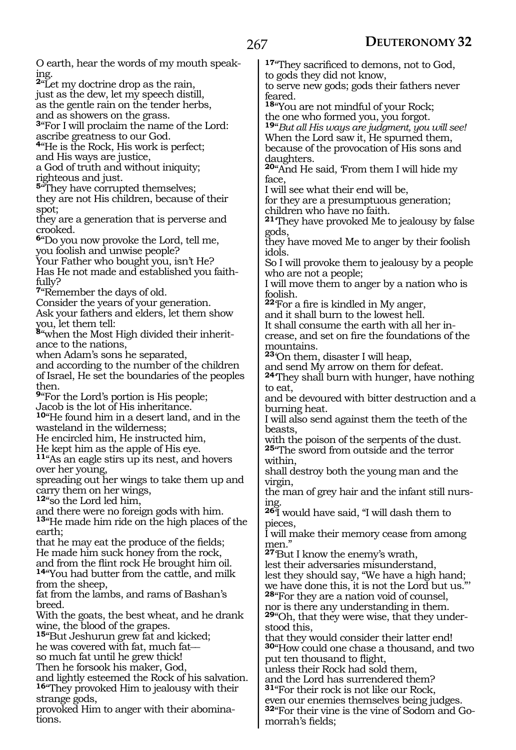O earth, hear the words of my mouth speaking. **<sup>2</sup>**"Let my doctrine drop as the rain, just as the dew, let my speech distill, as the gentle rain on the tender herbs, and as showers on the grass. **<sup>3</sup>**"For I will proclaim the name of the Lord: ascribe greatness to our God. **<sup>4</sup>**"He is the Rock, His work is perfect; and His ways are justice, a God of truth and without iniquity; righteous and just. **5**<sup>"</sup>They have corrupted themselves; they are not His children, because of their spot; they are a generation that is perverse and crooked. **<sup>6</sup>**"Do you now provoke the Lord, tell me, you foolish and unwise people? Your Father who bought you, isn't He? Has He not made and established you faithfully? **<sup>7</sup>**"Remember the days of old. Consider the years of your generation. Ask your fathers and elders, let them show you, let them tell: **8**"when the Most High divided their inheritance to the nations, when Adam's sons he separated, and according to the number of the children of Israel, He set the boundaries of the peoples then. **<sup>9</sup>**"For the Lord's portion is His people; Jacob is the lot of His inheritance. **<sup>10</sup>**"He found him in a desert land, and in the wasteland in the wilderness; He encircled him, He instructed him, He kept him as the apple of His eye. **<sup>11</sup>**"As an eagle stirs up its nest, and hovers over her young, spreading out her wings to take them up and carry them on her wings, **<sup>12</sup>**"so the Lord led him, and there were no foreign gods with him. **<sup>13</sup>**"He made him ride on the high places of the earth; that he may eat the produce of the fields; He made him suck honey from the rock, and from the flint rock He brought him oil. **<sup>14</sup>**"You had butter from the cattle, and milk from the sheep, fat from the lambs, and rams of Bashan's breed. With the goats, the best wheat, and he drank wine, the blood of the grapes. **<sup>15</sup>**"But Jeshurun grew fat and kicked; he was covered with fat, much fatso much fat until he grew thick! Then he forsook his maker, God, and lightly esteemed the Rock of his salvation. **<sup>16</sup>**"They provoked Him to jealousy with their strange gods, provoked Him to anger with their abominations. **<sup>17</sup>**"They sacrificed to demons, not to God, to gods they did not know, to serve new gods; gods their fathers never feared. **<sup>18</sup>**"You are not mindful of your Rock; the one who formed you, you forgot. **<sup>19</sup>**"*But all His ways are judgment, you will see!* When the Lord saw it, He spurned them, because of the provocation of His sons and daughters. **<sup>20</sup>**"And He said, 'From them I will hide my face, I will see what their end will be, for they are a presumptuous generation; children who have no faith. **<sup>21</sup>**'They have provoked Me to jealousy by false gods, they have moved Me to anger by their foolish idols. So I will provoke them to jealousy by a people who are not a people; I will move them to anger by a nation who is foolish. **<sup>22</sup>**'For a fire is kindled in My anger, and it shall burn to the lowest hell. It shall consume the earth with all her increase, and set on fire the foundations of the mountains. **<sup>23</sup>**'On them, disaster I will heap, and send My arrow on them for defeat. **<sup>24</sup>**'They shall burn with hunger, have nothing to eat, and be devoured with bitter destruction and a burning heat. I will also send against them the teeth of the beasts, with the poison of the serpents of the dust. **<sup>25</sup>**"The sword from outside and the terror within, shall destroy both the young man and the virgin, the man of grey hair and the infant still nursing. **<sup>26</sup>**'I would have said, "I will dash them to pieces, I will make their memory cease from among men." **<sup>27</sup>**'But I know the enemy's wrath, lest their adversaries misunderstand, lest they should say, "We have a high hand; we have done this, it is not the Lord but us." **<sup>28</sup>**"For they are a nation void of counsel, nor is there any understanding in them. **29**"Oh, that they were wise, that they understood this, that they would consider their latter end! **<sup>30</sup>**"How could one chase a thousand, and two put ten thousand to flight, unless their Rock had sold them, and the Lord has surrendered them? **<sup>31</sup>**"For their rock is not like our Rock, even our enemies themselves being judges. **32**"For their vine is the vine of Sodom and Go-

morrah's fields;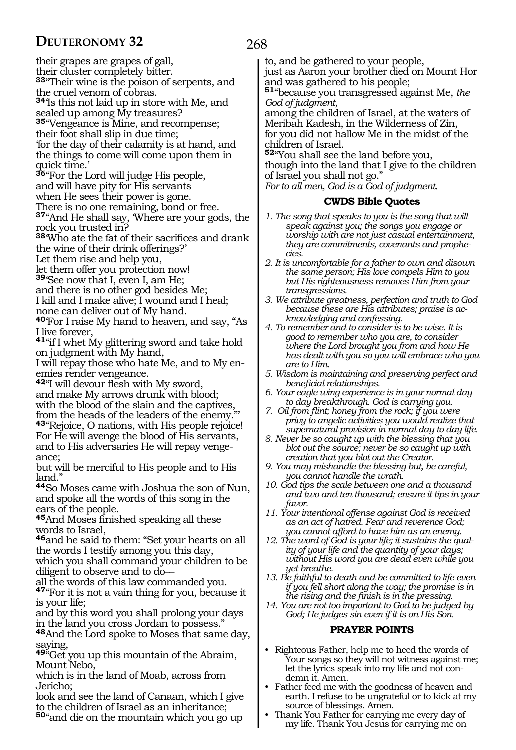their grapes are grapes of gall, their cluster completely bitter. **<sup>33</sup>**"Their wine is the poison of serpents, and the cruel venom of cobras. **<sup>34</sup>**'Is this not laid up in store with Me, and sealed up among My treasures? **<sup>35</sup>**"Vengeance is Mine, and recompense; their foot shall slip in due time; 'for the day of their calamity is at hand, and the things to come will come upon them in quick time.' **<sup>36</sup>**"For the Lord will judge His people, and will have pity for His servants when He sees their power is gone. There is no one remaining, bond or free. **<sup>37</sup>**"And He shall say, 'Where are your gods, the rock you trusted in? **<sup>38</sup>**'Who ate the fat of their sacrifices and drank the wine of their drink offerings?' Let them rise and help you, let them offer you protection now! **<sup>39</sup>**'See now that I, even I, am He; and there is no other god besides Me; I kill and I make alive; I wound and I heal; none can deliver out of My hand. **<sup>40</sup>**'For I raise My hand to heaven, and say, "As I live forever, **<sup>41</sup>**"if I whet My glittering sword and take hold on judgment with My hand, I will repay those who hate Me, and to My enemies render vengeance. **<sup>42</sup>**"I will devour flesh with My sword, and make My arrows drunk with blood; with the blood of the slain and the captives, from the heads of the leaders of the enemy."

**<sup>43</sup>**"Rejoice, O nations, with His people rejoice! For He will avenge the blood of His servants, and to His adversaries He will repay vengeance;

but will be merciful to His people and to His land."

**<sup>44</sup>**So Moses came with Joshua the son of Nun, and spoke all the words of this song in the ears of the people.

**<sup>45</sup>**And Moses finished speaking all these words to Israel,

**<sup>46</sup>**and he said to them: "Set your hearts on all the words I testify among you this day,

which you shall command your children to be diligent to observe and to do

all the words of this law commanded you.

**<sup>47</sup>**"For it is not a vain thing for you, because it is your life;

and by this word you shall prolong your days in the land you cross Jordan to possess."

**<sup>48</sup>**And the Lord spoke to Moses that same day, saying,

**<sup>49</sup>**"Get you up this mountain of the Abraim, Mount Nebo,

which is in the land of Moab, across from Jericho;

look and see the land of Canaan, which I give to the children of Israel as an inheritance; **<sup>50</sup>**"and die on the mountain which you go up

268

to, and be gathered to your people,

just as Aaron your brother died on Mount Hor and was gathered to his people;

**<sup>51</sup>**"because you transgressed against Me, *the God of judgment,*

among the children of Israel, at the waters of Meribah Kadesh, in the Wilderness of Zin, for you did not hallow Me in the midst of the children of Israel.

**<sup>52</sup>**"You shall see the land before you,

though into the land that I give to the children of Israel you shall not go."

*For to all men, God is a God of judgment.*

#### **CWDS Bible Quotes**

- *1. The song that speaks to you is the song that will speak against you; the songs you engage or worship with are not just casual entertainment, they are commitments, covenants and prophecies.*
- *2. It is uncomfortable for a father to own and disown the same person; His love compels Him to you but His righteousness removes Him from your transgressions.*
- *3. We attribute greatness, perfection and truth to God because these are His attributes; praise is acknowledging and confessing.*
- *4. To remember and to consider is to be wise. It is good to remember who you are, to consider where the Lord brought you from and how He has dealt with you so you will embrace who you are to Him.*
- *5. Wisdom is maintaining and preserving perfect and beneficial relationships.*
- *6. Your eagle wing experience is in your normal day to day breakthrough. God is carrying you.*
- *7. Oil from flint; honey from the rock; if you were privy to angelic activities you would realize that supernatural provision in normal day to day life.*
- *8. Never be so caught up with the blessing that you blot out the source; never be so caught up with creation that you blot out the Creator.*
- *9. You may mishandle the blessing but, be careful, you cannot handle the wrath.*
- *10. God tips the scale between one and a thousand and two and ten thousand; ensure it tips in your favor.*
- *11. Your intentional offense against God is received as an act of hatred. Fear and reverence God; you cannot afford to have him as an enemy.*
- *12. The word of God is your life; it sustains the quality of your life and the quantity of your days; without His word you are dead even while you yet breathe.*
- *13. Be faithful to death and be committed to life even if you fell short along the way; the promise is in the rising and the finish is in the pressing.*
- *14. You are not too important to God to be judged by God; He judges sin even if it is on His Son.*

#### **PRAYER POINTS**

- Righteous Father, help me to heed the words of Your songs so they will not witness against me; let the lyrics speak into my life and not condemn it. Amen.
- Father feed me with the goodness of heaven and earth. I refuse to be ungrateful or to kick at my source of blessings. Amen.
- Thank You Father for carrying me every day of my life. Thank You Jesus for carrying me on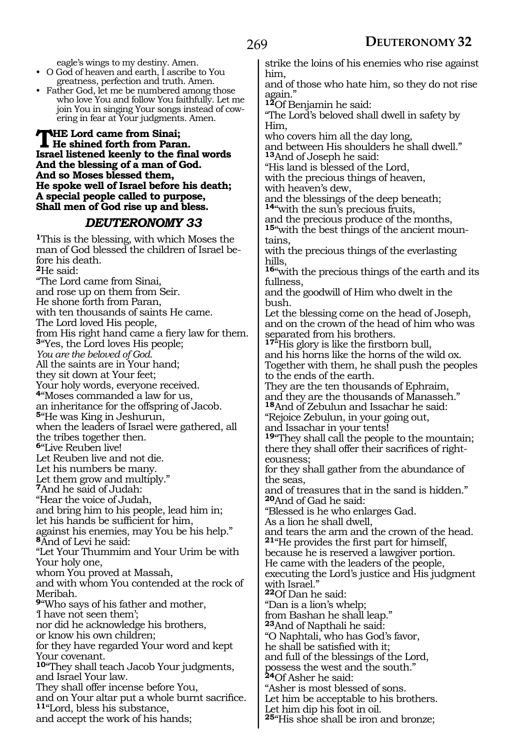eagle's wings to my destiny. Amen.

- O God of heaven and earth, I ascribe to You greatness, perfection and truth. Amen.
- Father God, let me be numbered among those who love You and follow You faithfully. Let me join You in singing Your songs instead of cowering in fear at Your judgments. Amen.

**The Lord came from Sinai; He shined forth from Paran. Israel listened keenly to the final words And the blessing of a man of God. And so Moses blessed them, He spoke well of Israel before his death; A special people called to purpose, Shall men of God rise up and bless.**

#### *DEUTERONOMY 33*

**<sup>1</sup>**This is the blessing, with which Moses the man of God blessed the children of Israel before his death. **<sup>2</sup>**He said: "The Lord came from Sinai, and rose up on them from Seir. He shone forth from Paran, with ten thousands of saints He came. The Lord loved His people, from His right hand came a fiery law for them. **<sup>3</sup>**"Yes, the Lord loves His people; *You are the beloved of God.* All the saints are in Your hand; they sit down at Your feet; Your holy words, everyone received. **<sup>4</sup>**"Moses commanded a law for us, an inheritance for the offspring of Jacob. **<sup>5</sup>**"He was King in Jeshurun, when the leaders of Israel were gathered, all the tribes together then. **<sup>6</sup>**"Live Reuben live! Let Reuben live and not die. Let his numbers be many. Let them grow and multiply." **<sup>7</sup>**And he said of Judah: "Hear the voice of Judah, and bring him to his people, lead him in; let his hands be sufficient for him, against his enemies, may You be his help." **<sup>8</sup>**And of Levi he said: "Let Your Thummim and Your Urim be with Your holy one, whom You proved at Massah, and with whom You contended at the rock of Meribah. **<sup>9</sup>**"Who says of his father and mother, 'I have not seen them'; nor did he acknowledge his brothers, or know his own children; for they have regarded Your word and kept Your covenant. **<sup>10</sup>**"They shall teach Jacob Your judgments, and Israel Your law. They shall offer incense before You, and on Your altar put a whole burnt sacrifice. **<sup>11</sup>**"Lord, bless his substance, and accept the work of his hands;

strike the loins of his enemies who rise against him,

and of those who hate him, so they do not rise again."

**<sup>12</sup>**Of Benjamin he said:

"The Lord's beloved shall dwell in safety by Him,

who covers him all the day long,

and between His shoulders he shall dwell." **<sup>13</sup>**And of Joseph he said:

"His land is blessed of the Lord,

with the precious things of heaven,

with heaven's dew,

and the blessings of the deep beneath; **<sup>14</sup>**"with the sun's precious fruits,

and the precious produce of the months, **15**"with the best things of the ancient moun-

tains, with the precious things of the everlasting hills,

**<sup>16</sup>**"with the precious things of the earth and its fullness,

and the goodwill of Him who dwelt in the bush.

Let the blessing come on the head of Joseph, and on the crown of the head of him who was separated from his brothers.

**<sup>17</sup>**"His glory is like the firstborn bull, and his horns like the horns of the wild ox. Together with them, he shall push the peoples to the ends of the earth.

They are the ten thousands of Ephraim, and they are the thousands of Manasseh." **<sup>18</sup>**And of Zebulun and Issachar he said:

"Rejoice Zebulun, in your going out,

and Issachar in your tents!

**<sup>19</sup>**"They shall call the people to the mountain; there they shall offer their sacrifices of right- eousness;

for they shall gather from the abundance of the seas,

and of treasures that in the sand is hidden." **<sup>20</sup>**And of Gad he said:

"Blessed is he who enlarges Gad.

As a lion he shall dwell,

and tears the arm and the crown of the head. **<sup>21</sup>**"He provides the first part for himself,

because he is reserved a lawgiver portion.

He came with the leaders of the people,

executing the Lord's justice and His judgment with Israel."

**<sup>22</sup>**Of Dan he said:

"Dan is a lion's whelp;

from Bashan he shall leap."

**<sup>23</sup>**And of Napthali he said:

"O Naphtali, who has God's favor,

he shall be satisfied with it;

and full of the blessings of the Lord,

possess the west and the south."

**<sup>24</sup>**Of Asher he said:

"Asher is most blessed of sons.

Let him be acceptable to his brothers.

Let him dip his foot in oil.

**<sup>25</sup>**"His shoe shall be iron and bronze;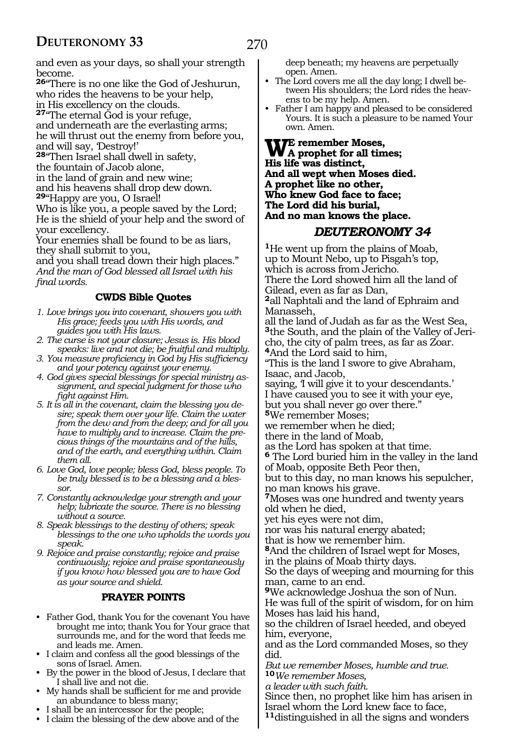and even as your days, so shall your strength become.

**<sup>26</sup>**"There is no one like the God of Jeshurun, who rides the heavens to be your help, in His excellency on the clouds.

**<sup>27</sup>**"The eternal God is your refuge, and underneath are the everlasting arms; he will thrust out the enemy from before you, and will say, 'Destroy!'

**<sup>28</sup>**"Then Israel shall dwell in safety, the fountain of Jacob alone, in the land of grain and new wine;

and his heavens shall drop dew down.

**<sup>29</sup>**"Happy are you, O Israel!

Who is like you, a people saved by the Lord; He is the shield of your help and the sword of your excellency.

Your enemies shall be found to be as liars, they shall submit to you,

and you shall tread down their high places." *And the man of God blessed all Israel with his final words.*

#### **CWDS Bible Quotes**

*1. Love brings you into covenant, showers you with His grace; feeds you with His words, and guides you with His laws.*

- *2. The curse is not your closure; Jesus is. His blood speaks: live and not die; be fruitful and multiply.*
- *3. You measure proficiency in God by His sufficiency and your potency against your enemy.*
- *4. God gives special blessings for special ministry assignment, and special judgment for those who fight against Him.*
- *5. It is all in the covenant, claim the blessing you desire; speak them over your life. Claim the water from the dew and from the deep; and for all you have to multiply and to increase. Claim the precious things of the mountains and of the hills, and of the earth, and everything within. Claim them all.*
- *6. Love God, love people; bless God, bless people. To be truly blessed is to be a blessing and a blessor.*
- *7. Constantly acknowledge your strength and your help; lubricate the source. There is no blessing without a source.*
- *8. Speak blessings to the destiny of others; speak blessings to the one who upholds the words you speak.*
- *9. Rejoice and praise constantly; rejoice and praise continuously; rejoice and praise spontaneously if you know how blessed you are to have God as your source and shield.*

#### **PRAYER POINTS**

- Father God, thank You for the covenant You have brought me into; thank You for Your grace that surrounds me, and for the word that feeds me and leads me. Amen.
- I claim and confess all the good blessings of the sons of Israel. Amen.
- By the power in the blood of Jesus, I declare that I shall live and not die.
- My hands shall be sufficient for me and provide an abundance to bless many;
- I shall be an intercessor for the people;
- I claim the blessing of the dew above and of the

deep beneath; my heavens are perpetually open. Amen.

- The Lord covers me all the day long; I dwell between His shoulders; the Lord rides the heavens to be my help. Amen.
- Father I am happy and pleased to be considered Yours. It is such a pleasure to be named Your own. Amen.

**We remember Moses, A prophet for all times; His life was distinct, And all wept when Moses died. A prophet like no other, Who knew God face to face; The Lord did his burial, And no man knows the place.**

# *DEUTERONOMY 34*

**<sup>1</sup>**He went up from the plains of Moab, up to Mount Nebo, up to Pisgah's top, which is across from Jericho. There the Lord showed him all the land of Gilead, even as far as Dan,

**<sup>2</sup>**all Naphtali and the land of Ephraim and Manasseh,

all the land of Judah as far as the West Sea, **3**the South, and the plain of the Valley of Jericho, the city of palm trees, as far as Zoar. **<sup>4</sup>**And the Lord said to him,

"This is the land I swore to give Abraham, Isaac, and Jacob,

saying, 'I will give it to your descendants.' I have caused you to see it with your eye, but you shall never go over there."

**<sup>5</sup>**We remember Moses;

we remember when he died;

there in the land of Moab,

as the Lord has spoken at that time.

**<sup>6</sup>** The Lord buried him in the valley in the land of Moab, opposite Beth Peor then,

but to this day, no man knows his sepulcher, no man knows his grave.

**<sup>7</sup>**Moses was one hundred and twenty years old when he died,

yet his eyes were not dim,

nor was his natural energy abated;

that is how we remember him.

**<sup>8</sup>**And the children of Israel wept for Moses, in the plains of Moab thirty days.

So the days of weeping and mourning for this man, came to an end.

**<sup>9</sup>**We acknowledge Joshua the son of Nun. He was full of the spirit of wisdom, for on him Moses has laid his hand,

so the children of Israel heeded, and obeyed him, everyone,

and as the Lord commanded Moses, so they did.

*But we remember Moses, humble and true.* **<sup>10</sup>***We remember Moses,*

*a leader with such faith.*

Since then, no prophet like him has arisen in Israel whom the Lord knew face to face, **<sup>11</sup>**distinguished in all the signs and wonders